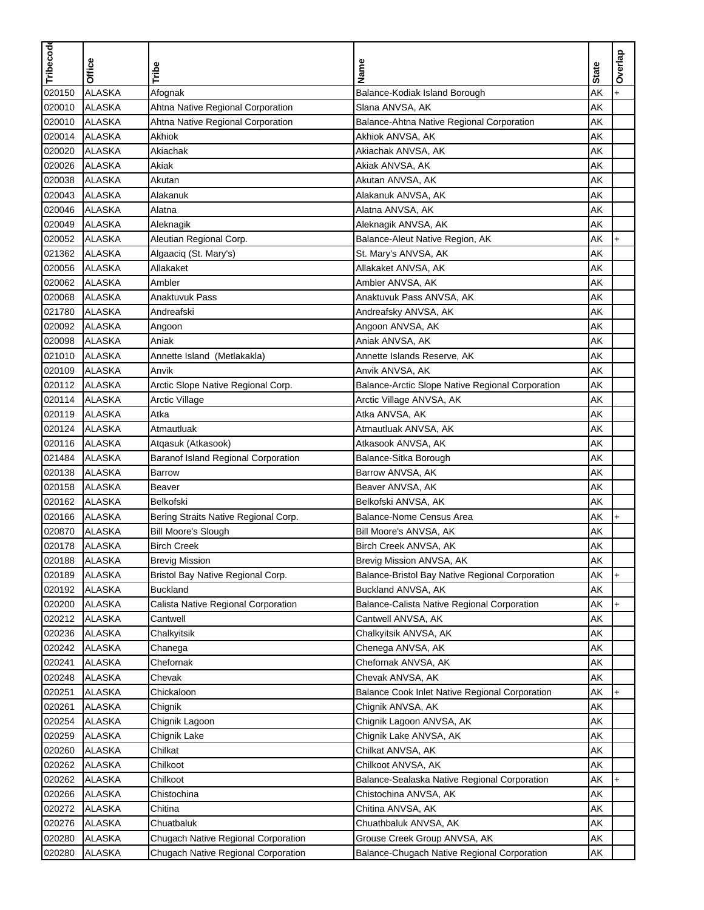| <b>ALASKA</b><br>AK<br>020150<br>Afognak<br>Balance-Kodiak Island Borough<br>$\ddot{}$<br>020010<br><b>ALASKA</b><br>Ahtna Native Regional Corporation<br>Slana ANVSA, AK<br>AK<br><b>ALASKA</b><br>Balance-Ahtna Native Regional Corporation<br>020010<br>Ahtna Native Regional Corporation<br>AΚ<br><b>ALASKA</b><br>AK<br>020014<br>Akhiok<br>Akhiok ANVSA, AK<br><b>ALASKA</b><br>020020<br>Akiachak<br>Akiachak ANVSA, AK<br>AΚ<br><b>ALASKA</b><br>020026<br>Akiak<br>AK<br>Akiak ANVSA, AK<br><b>ALASKA</b><br>020038<br>Akutan<br>Akutan ANVSA, AK<br>AΚ<br><b>ALASKA</b><br>AK<br>020043<br>Alakanuk<br>Alakanuk ANVSA, AK<br>020046<br><b>ALASKA</b><br>Alatna ANVSA, AK<br>AK<br>Alatna<br>020049<br><b>ALASKA</b><br>AK<br>Aleknagik<br>Aleknagik ANVSA, AK<br>020052<br><b>ALASKA</b><br>AK<br>Aleutian Regional Corp.<br>Balance-Aleut Native Region, AK<br>$+$<br><b>ALASKA</b><br>AK<br>021362<br>Algaaciq (St. Mary's)<br>St. Mary's ANVSA, AK<br><b>ALASKA</b><br>020056<br>Allakaket<br>AK<br>Allakaket ANVSA, AK<br><b>ALASKA</b><br>Ambler ANVSA, AK<br>AΚ<br>020062<br>Ambler<br>020068<br><b>ALASKA</b><br>Anaktuvuk Pass<br>AK<br>Anaktuvuk Pass ANVSA, AK<br><b>ALASKA</b><br>AΚ<br>021780<br>Andreafski<br>Andreafsky ANVSA, AK<br>020092<br><b>ALASKA</b><br>AK<br>Angoon ANVSA, AK<br>Angoon<br><b>ALASKA</b><br>AK<br>020098<br>Aniak<br>Aniak ANVSA, AK<br>021010<br><b>ALASKA</b><br>AK<br>Annette Island (Metlakakla)<br>Annette Islands Reserve, AK<br><b>ALASKA</b><br>AK<br>020109<br>Anvik<br>Anvik ANVSA, AK<br>Arctic Slope Native Regional Corp.<br>020112<br><b>ALASKA</b><br>Balance-Arctic Slope Native Regional Corporation<br>AK<br><b>ALASKA</b><br>AK<br>020114<br><b>Arctic Village</b><br>Arctic Village ANVSA, AK<br>020119<br><b>ALASKA</b><br>Atka ANVSA, AK<br>AK<br>Atka<br><b>ALASKA</b><br>AK<br>020124<br>Atmautluak<br>Atmautluak ANVSA, AK<br><b>ALASKA</b><br>AK<br>020116<br>Atqasuk (Atkasook)<br>Atkasook ANVSA, AK<br>021484<br><b>ALASKA</b><br>AK<br>Baranof Island Regional Corporation<br>Balance-Sitka Borough<br><b>ALASKA</b><br>AK<br>020138<br>Barrow ANVSA, AK<br><b>Barrow</b><br><b>ALASKA</b><br>AK<br>020158<br>Beaver ANVSA, AK<br><b>Beaver</b><br><b>ALASKA</b><br>AK<br>020162<br>Belkofski<br>Belkofski ANVSA, AK<br><b>ALASKA</b><br>AK<br>020166<br>Bering Straits Native Regional Corp.<br>Balance-Nome Census Area<br>$\ddot{}$<br><b>ALASKA</b><br>020870<br><b>Bill Moore's Slough</b><br>AK<br>Bill Moore's ANVSA, AK<br>AΚ<br>020178<br><b>ALASKA</b><br><b>Birch Creek</b><br>Birch Creek ANVSA, AK<br>020188<br>ALASKA<br><b>Brevig Mission</b><br>Brevig Mission ANVSA, AK<br>AK<br>AK<br>020189<br><b>ALASKA</b><br>$\ddot{}$<br>Bristol Bay Native Regional Corp.<br>Balance-Bristol Bay Native Regional Corporation<br><b>ALASKA</b><br>AK<br>020192<br><b>Buckland</b><br>Buckland ANVSA, AK<br>020200<br>AΚ<br><b>ALASKA</b><br>Calista Native Regional Corporation<br>Balance-Calista Native Regional Corporation<br><b>ALASKA</b><br>AΚ<br>020212<br>Cantwell<br>Cantwell ANVSA, AK<br>020236<br><b>ALASKA</b><br>AΚ<br>Chalkyitsik<br>Chalkyitsik ANVSA, AK<br><b>ALASKA</b><br>AΚ<br>020242<br>Chenega ANVSA, AK<br>Chanega<br>020241<br><b>ALASKA</b><br>AΚ<br>Chefornak ANVSA, AK<br>Chefornak<br>020248<br><b>ALASKA</b><br>Chevak<br>Chevak ANVSA, AK<br>AK<br>020251<br><b>ALASKA</b><br>Chickaloon<br>AΚ<br>Balance Cook Inlet Native Regional Corporation<br>$+$<br>020261<br><b>ALASKA</b><br>AΚ<br>Chignik<br>Chignik ANVSA, AK<br>020254<br><b>ALASKA</b><br>AK<br>Chignik Lagoon ANVSA, AK<br>Chignik Lagoon<br>AK<br>020259<br><b>ALASKA</b><br>Chignik Lake<br>Chignik Lake ANVSA, AK<br>020260<br><b>ALASKA</b><br>AK<br>Chilkat<br>Chilkat ANVSA, AK<br><b>ALASKA</b><br>AΚ<br>020262<br>Chilkoot<br>Chilkoot ANVSA, AK<br>020262<br><b>ALASKA</b><br>AΚ<br>Chilkoot<br>Balance-Sealaska Native Regional Corporation<br>020266<br><b>ALASKA</b><br>Chistochina<br>AΚ<br>Chistochina ANVSA, AK<br>020272<br><b>ALASKA</b><br>Chitina<br>Chitina ANVSA, AK<br>AΚ<br>020276<br><b>ALASKA</b><br>AΚ<br>Chuatbaluk<br>Chuathbaluk ANVSA, AK<br>AK<br>020280<br><b>ALASKA</b><br>Grouse Creek Group ANVSA, AK<br>Chugach Native Regional Corporation | Tribecode | <b>Office</b> | Tribe                               | Name                                        | <b>State</b> | Overlap |
|---------------------------------------------------------------------------------------------------------------------------------------------------------------------------------------------------------------------------------------------------------------------------------------------------------------------------------------------------------------------------------------------------------------------------------------------------------------------------------------------------------------------------------------------------------------------------------------------------------------------------------------------------------------------------------------------------------------------------------------------------------------------------------------------------------------------------------------------------------------------------------------------------------------------------------------------------------------------------------------------------------------------------------------------------------------------------------------------------------------------------------------------------------------------------------------------------------------------------------------------------------------------------------------------------------------------------------------------------------------------------------------------------------------------------------------------------------------------------------------------------------------------------------------------------------------------------------------------------------------------------------------------------------------------------------------------------------------------------------------------------------------------------------------------------------------------------------------------------------------------------------------------------------------------------------------------------------------------------------------------------------------------------------------------------------------------------------------------------------------------------------------------------------------------------------------------------------------------------------------------------------------------------------------------------------------------------------------------------------------------------------------------------------------------------------------------------------------------------------------------------------------------------------------------------------------------------------------------------------------------------------------------------------------------------------------------------------------------------------------------------------------------------------------------------------------------------------------------------------------------------------------------------------------------------------------------------------------------------------------------------------------------------------------------------------------------------------------------------------------------------------------------------------------------------------------------------------------------------------------------------------------------------------------------------------------------------------------------------------------------------------------------------------------------------------------------------------------------------------------------------------------------------------------------------------------------------------------------------------------------------------------------------------------------------------------------------------------------------------------------------------------------------------------------------------------------------------------------------------------------------------------------------------------------------------------------------------------------------------------------------------------------------------------------------------------------------------------------------------------------------------------------------------------------------------------------------------------------------------------------------------------------|-----------|---------------|-------------------------------------|---------------------------------------------|--------------|---------|
|                                                                                                                                                                                                                                                                                                                                                                                                                                                                                                                                                                                                                                                                                                                                                                                                                                                                                                                                                                                                                                                                                                                                                                                                                                                                                                                                                                                                                                                                                                                                                                                                                                                                                                                                                                                                                                                                                                                                                                                                                                                                                                                                                                                                                                                                                                                                                                                                                                                                                                                                                                                                                                                                                                                                                                                                                                                                                                                                                                                                                                                                                                                                                                                                                                                                                                                                                                                                                                                                                                                                                                                                                                                                                                                                                                                                                                                                                                                                                                                                                                                                                                                                                                                                                                                                     |           |               |                                     |                                             |              |         |
|                                                                                                                                                                                                                                                                                                                                                                                                                                                                                                                                                                                                                                                                                                                                                                                                                                                                                                                                                                                                                                                                                                                                                                                                                                                                                                                                                                                                                                                                                                                                                                                                                                                                                                                                                                                                                                                                                                                                                                                                                                                                                                                                                                                                                                                                                                                                                                                                                                                                                                                                                                                                                                                                                                                                                                                                                                                                                                                                                                                                                                                                                                                                                                                                                                                                                                                                                                                                                                                                                                                                                                                                                                                                                                                                                                                                                                                                                                                                                                                                                                                                                                                                                                                                                                                                     |           |               |                                     |                                             |              |         |
|                                                                                                                                                                                                                                                                                                                                                                                                                                                                                                                                                                                                                                                                                                                                                                                                                                                                                                                                                                                                                                                                                                                                                                                                                                                                                                                                                                                                                                                                                                                                                                                                                                                                                                                                                                                                                                                                                                                                                                                                                                                                                                                                                                                                                                                                                                                                                                                                                                                                                                                                                                                                                                                                                                                                                                                                                                                                                                                                                                                                                                                                                                                                                                                                                                                                                                                                                                                                                                                                                                                                                                                                                                                                                                                                                                                                                                                                                                                                                                                                                                                                                                                                                                                                                                                                     |           |               |                                     |                                             |              |         |
|                                                                                                                                                                                                                                                                                                                                                                                                                                                                                                                                                                                                                                                                                                                                                                                                                                                                                                                                                                                                                                                                                                                                                                                                                                                                                                                                                                                                                                                                                                                                                                                                                                                                                                                                                                                                                                                                                                                                                                                                                                                                                                                                                                                                                                                                                                                                                                                                                                                                                                                                                                                                                                                                                                                                                                                                                                                                                                                                                                                                                                                                                                                                                                                                                                                                                                                                                                                                                                                                                                                                                                                                                                                                                                                                                                                                                                                                                                                                                                                                                                                                                                                                                                                                                                                                     |           |               |                                     |                                             |              |         |
|                                                                                                                                                                                                                                                                                                                                                                                                                                                                                                                                                                                                                                                                                                                                                                                                                                                                                                                                                                                                                                                                                                                                                                                                                                                                                                                                                                                                                                                                                                                                                                                                                                                                                                                                                                                                                                                                                                                                                                                                                                                                                                                                                                                                                                                                                                                                                                                                                                                                                                                                                                                                                                                                                                                                                                                                                                                                                                                                                                                                                                                                                                                                                                                                                                                                                                                                                                                                                                                                                                                                                                                                                                                                                                                                                                                                                                                                                                                                                                                                                                                                                                                                                                                                                                                                     |           |               |                                     |                                             |              |         |
|                                                                                                                                                                                                                                                                                                                                                                                                                                                                                                                                                                                                                                                                                                                                                                                                                                                                                                                                                                                                                                                                                                                                                                                                                                                                                                                                                                                                                                                                                                                                                                                                                                                                                                                                                                                                                                                                                                                                                                                                                                                                                                                                                                                                                                                                                                                                                                                                                                                                                                                                                                                                                                                                                                                                                                                                                                                                                                                                                                                                                                                                                                                                                                                                                                                                                                                                                                                                                                                                                                                                                                                                                                                                                                                                                                                                                                                                                                                                                                                                                                                                                                                                                                                                                                                                     |           |               |                                     |                                             |              |         |
|                                                                                                                                                                                                                                                                                                                                                                                                                                                                                                                                                                                                                                                                                                                                                                                                                                                                                                                                                                                                                                                                                                                                                                                                                                                                                                                                                                                                                                                                                                                                                                                                                                                                                                                                                                                                                                                                                                                                                                                                                                                                                                                                                                                                                                                                                                                                                                                                                                                                                                                                                                                                                                                                                                                                                                                                                                                                                                                                                                                                                                                                                                                                                                                                                                                                                                                                                                                                                                                                                                                                                                                                                                                                                                                                                                                                                                                                                                                                                                                                                                                                                                                                                                                                                                                                     |           |               |                                     |                                             |              |         |
|                                                                                                                                                                                                                                                                                                                                                                                                                                                                                                                                                                                                                                                                                                                                                                                                                                                                                                                                                                                                                                                                                                                                                                                                                                                                                                                                                                                                                                                                                                                                                                                                                                                                                                                                                                                                                                                                                                                                                                                                                                                                                                                                                                                                                                                                                                                                                                                                                                                                                                                                                                                                                                                                                                                                                                                                                                                                                                                                                                                                                                                                                                                                                                                                                                                                                                                                                                                                                                                                                                                                                                                                                                                                                                                                                                                                                                                                                                                                                                                                                                                                                                                                                                                                                                                                     |           |               |                                     |                                             |              |         |
|                                                                                                                                                                                                                                                                                                                                                                                                                                                                                                                                                                                                                                                                                                                                                                                                                                                                                                                                                                                                                                                                                                                                                                                                                                                                                                                                                                                                                                                                                                                                                                                                                                                                                                                                                                                                                                                                                                                                                                                                                                                                                                                                                                                                                                                                                                                                                                                                                                                                                                                                                                                                                                                                                                                                                                                                                                                                                                                                                                                                                                                                                                                                                                                                                                                                                                                                                                                                                                                                                                                                                                                                                                                                                                                                                                                                                                                                                                                                                                                                                                                                                                                                                                                                                                                                     |           |               |                                     |                                             |              |         |
|                                                                                                                                                                                                                                                                                                                                                                                                                                                                                                                                                                                                                                                                                                                                                                                                                                                                                                                                                                                                                                                                                                                                                                                                                                                                                                                                                                                                                                                                                                                                                                                                                                                                                                                                                                                                                                                                                                                                                                                                                                                                                                                                                                                                                                                                                                                                                                                                                                                                                                                                                                                                                                                                                                                                                                                                                                                                                                                                                                                                                                                                                                                                                                                                                                                                                                                                                                                                                                                                                                                                                                                                                                                                                                                                                                                                                                                                                                                                                                                                                                                                                                                                                                                                                                                                     |           |               |                                     |                                             |              |         |
|                                                                                                                                                                                                                                                                                                                                                                                                                                                                                                                                                                                                                                                                                                                                                                                                                                                                                                                                                                                                                                                                                                                                                                                                                                                                                                                                                                                                                                                                                                                                                                                                                                                                                                                                                                                                                                                                                                                                                                                                                                                                                                                                                                                                                                                                                                                                                                                                                                                                                                                                                                                                                                                                                                                                                                                                                                                                                                                                                                                                                                                                                                                                                                                                                                                                                                                                                                                                                                                                                                                                                                                                                                                                                                                                                                                                                                                                                                                                                                                                                                                                                                                                                                                                                                                                     |           |               |                                     |                                             |              |         |
|                                                                                                                                                                                                                                                                                                                                                                                                                                                                                                                                                                                                                                                                                                                                                                                                                                                                                                                                                                                                                                                                                                                                                                                                                                                                                                                                                                                                                                                                                                                                                                                                                                                                                                                                                                                                                                                                                                                                                                                                                                                                                                                                                                                                                                                                                                                                                                                                                                                                                                                                                                                                                                                                                                                                                                                                                                                                                                                                                                                                                                                                                                                                                                                                                                                                                                                                                                                                                                                                                                                                                                                                                                                                                                                                                                                                                                                                                                                                                                                                                                                                                                                                                                                                                                                                     |           |               |                                     |                                             |              |         |
|                                                                                                                                                                                                                                                                                                                                                                                                                                                                                                                                                                                                                                                                                                                                                                                                                                                                                                                                                                                                                                                                                                                                                                                                                                                                                                                                                                                                                                                                                                                                                                                                                                                                                                                                                                                                                                                                                                                                                                                                                                                                                                                                                                                                                                                                                                                                                                                                                                                                                                                                                                                                                                                                                                                                                                                                                                                                                                                                                                                                                                                                                                                                                                                                                                                                                                                                                                                                                                                                                                                                                                                                                                                                                                                                                                                                                                                                                                                                                                                                                                                                                                                                                                                                                                                                     |           |               |                                     |                                             |              |         |
|                                                                                                                                                                                                                                                                                                                                                                                                                                                                                                                                                                                                                                                                                                                                                                                                                                                                                                                                                                                                                                                                                                                                                                                                                                                                                                                                                                                                                                                                                                                                                                                                                                                                                                                                                                                                                                                                                                                                                                                                                                                                                                                                                                                                                                                                                                                                                                                                                                                                                                                                                                                                                                                                                                                                                                                                                                                                                                                                                                                                                                                                                                                                                                                                                                                                                                                                                                                                                                                                                                                                                                                                                                                                                                                                                                                                                                                                                                                                                                                                                                                                                                                                                                                                                                                                     |           |               |                                     |                                             |              |         |
|                                                                                                                                                                                                                                                                                                                                                                                                                                                                                                                                                                                                                                                                                                                                                                                                                                                                                                                                                                                                                                                                                                                                                                                                                                                                                                                                                                                                                                                                                                                                                                                                                                                                                                                                                                                                                                                                                                                                                                                                                                                                                                                                                                                                                                                                                                                                                                                                                                                                                                                                                                                                                                                                                                                                                                                                                                                                                                                                                                                                                                                                                                                                                                                                                                                                                                                                                                                                                                                                                                                                                                                                                                                                                                                                                                                                                                                                                                                                                                                                                                                                                                                                                                                                                                                                     |           |               |                                     |                                             |              |         |
|                                                                                                                                                                                                                                                                                                                                                                                                                                                                                                                                                                                                                                                                                                                                                                                                                                                                                                                                                                                                                                                                                                                                                                                                                                                                                                                                                                                                                                                                                                                                                                                                                                                                                                                                                                                                                                                                                                                                                                                                                                                                                                                                                                                                                                                                                                                                                                                                                                                                                                                                                                                                                                                                                                                                                                                                                                                                                                                                                                                                                                                                                                                                                                                                                                                                                                                                                                                                                                                                                                                                                                                                                                                                                                                                                                                                                                                                                                                                                                                                                                                                                                                                                                                                                                                                     |           |               |                                     |                                             |              |         |
|                                                                                                                                                                                                                                                                                                                                                                                                                                                                                                                                                                                                                                                                                                                                                                                                                                                                                                                                                                                                                                                                                                                                                                                                                                                                                                                                                                                                                                                                                                                                                                                                                                                                                                                                                                                                                                                                                                                                                                                                                                                                                                                                                                                                                                                                                                                                                                                                                                                                                                                                                                                                                                                                                                                                                                                                                                                                                                                                                                                                                                                                                                                                                                                                                                                                                                                                                                                                                                                                                                                                                                                                                                                                                                                                                                                                                                                                                                                                                                                                                                                                                                                                                                                                                                                                     |           |               |                                     |                                             |              |         |
|                                                                                                                                                                                                                                                                                                                                                                                                                                                                                                                                                                                                                                                                                                                                                                                                                                                                                                                                                                                                                                                                                                                                                                                                                                                                                                                                                                                                                                                                                                                                                                                                                                                                                                                                                                                                                                                                                                                                                                                                                                                                                                                                                                                                                                                                                                                                                                                                                                                                                                                                                                                                                                                                                                                                                                                                                                                                                                                                                                                                                                                                                                                                                                                                                                                                                                                                                                                                                                                                                                                                                                                                                                                                                                                                                                                                                                                                                                                                                                                                                                                                                                                                                                                                                                                                     |           |               |                                     |                                             |              |         |
|                                                                                                                                                                                                                                                                                                                                                                                                                                                                                                                                                                                                                                                                                                                                                                                                                                                                                                                                                                                                                                                                                                                                                                                                                                                                                                                                                                                                                                                                                                                                                                                                                                                                                                                                                                                                                                                                                                                                                                                                                                                                                                                                                                                                                                                                                                                                                                                                                                                                                                                                                                                                                                                                                                                                                                                                                                                                                                                                                                                                                                                                                                                                                                                                                                                                                                                                                                                                                                                                                                                                                                                                                                                                                                                                                                                                                                                                                                                                                                                                                                                                                                                                                                                                                                                                     |           |               |                                     |                                             |              |         |
|                                                                                                                                                                                                                                                                                                                                                                                                                                                                                                                                                                                                                                                                                                                                                                                                                                                                                                                                                                                                                                                                                                                                                                                                                                                                                                                                                                                                                                                                                                                                                                                                                                                                                                                                                                                                                                                                                                                                                                                                                                                                                                                                                                                                                                                                                                                                                                                                                                                                                                                                                                                                                                                                                                                                                                                                                                                                                                                                                                                                                                                                                                                                                                                                                                                                                                                                                                                                                                                                                                                                                                                                                                                                                                                                                                                                                                                                                                                                                                                                                                                                                                                                                                                                                                                                     |           |               |                                     |                                             |              |         |
|                                                                                                                                                                                                                                                                                                                                                                                                                                                                                                                                                                                                                                                                                                                                                                                                                                                                                                                                                                                                                                                                                                                                                                                                                                                                                                                                                                                                                                                                                                                                                                                                                                                                                                                                                                                                                                                                                                                                                                                                                                                                                                                                                                                                                                                                                                                                                                                                                                                                                                                                                                                                                                                                                                                                                                                                                                                                                                                                                                                                                                                                                                                                                                                                                                                                                                                                                                                                                                                                                                                                                                                                                                                                                                                                                                                                                                                                                                                                                                                                                                                                                                                                                                                                                                                                     |           |               |                                     |                                             |              |         |
|                                                                                                                                                                                                                                                                                                                                                                                                                                                                                                                                                                                                                                                                                                                                                                                                                                                                                                                                                                                                                                                                                                                                                                                                                                                                                                                                                                                                                                                                                                                                                                                                                                                                                                                                                                                                                                                                                                                                                                                                                                                                                                                                                                                                                                                                                                                                                                                                                                                                                                                                                                                                                                                                                                                                                                                                                                                                                                                                                                                                                                                                                                                                                                                                                                                                                                                                                                                                                                                                                                                                                                                                                                                                                                                                                                                                                                                                                                                                                                                                                                                                                                                                                                                                                                                                     |           |               |                                     |                                             |              |         |
|                                                                                                                                                                                                                                                                                                                                                                                                                                                                                                                                                                                                                                                                                                                                                                                                                                                                                                                                                                                                                                                                                                                                                                                                                                                                                                                                                                                                                                                                                                                                                                                                                                                                                                                                                                                                                                                                                                                                                                                                                                                                                                                                                                                                                                                                                                                                                                                                                                                                                                                                                                                                                                                                                                                                                                                                                                                                                                                                                                                                                                                                                                                                                                                                                                                                                                                                                                                                                                                                                                                                                                                                                                                                                                                                                                                                                                                                                                                                                                                                                                                                                                                                                                                                                                                                     |           |               |                                     |                                             |              |         |
|                                                                                                                                                                                                                                                                                                                                                                                                                                                                                                                                                                                                                                                                                                                                                                                                                                                                                                                                                                                                                                                                                                                                                                                                                                                                                                                                                                                                                                                                                                                                                                                                                                                                                                                                                                                                                                                                                                                                                                                                                                                                                                                                                                                                                                                                                                                                                                                                                                                                                                                                                                                                                                                                                                                                                                                                                                                                                                                                                                                                                                                                                                                                                                                                                                                                                                                                                                                                                                                                                                                                                                                                                                                                                                                                                                                                                                                                                                                                                                                                                                                                                                                                                                                                                                                                     |           |               |                                     |                                             |              |         |
|                                                                                                                                                                                                                                                                                                                                                                                                                                                                                                                                                                                                                                                                                                                                                                                                                                                                                                                                                                                                                                                                                                                                                                                                                                                                                                                                                                                                                                                                                                                                                                                                                                                                                                                                                                                                                                                                                                                                                                                                                                                                                                                                                                                                                                                                                                                                                                                                                                                                                                                                                                                                                                                                                                                                                                                                                                                                                                                                                                                                                                                                                                                                                                                                                                                                                                                                                                                                                                                                                                                                                                                                                                                                                                                                                                                                                                                                                                                                                                                                                                                                                                                                                                                                                                                                     |           |               |                                     |                                             |              |         |
|                                                                                                                                                                                                                                                                                                                                                                                                                                                                                                                                                                                                                                                                                                                                                                                                                                                                                                                                                                                                                                                                                                                                                                                                                                                                                                                                                                                                                                                                                                                                                                                                                                                                                                                                                                                                                                                                                                                                                                                                                                                                                                                                                                                                                                                                                                                                                                                                                                                                                                                                                                                                                                                                                                                                                                                                                                                                                                                                                                                                                                                                                                                                                                                                                                                                                                                                                                                                                                                                                                                                                                                                                                                                                                                                                                                                                                                                                                                                                                                                                                                                                                                                                                                                                                                                     |           |               |                                     |                                             |              |         |
|                                                                                                                                                                                                                                                                                                                                                                                                                                                                                                                                                                                                                                                                                                                                                                                                                                                                                                                                                                                                                                                                                                                                                                                                                                                                                                                                                                                                                                                                                                                                                                                                                                                                                                                                                                                                                                                                                                                                                                                                                                                                                                                                                                                                                                                                                                                                                                                                                                                                                                                                                                                                                                                                                                                                                                                                                                                                                                                                                                                                                                                                                                                                                                                                                                                                                                                                                                                                                                                                                                                                                                                                                                                                                                                                                                                                                                                                                                                                                                                                                                                                                                                                                                                                                                                                     |           |               |                                     |                                             |              |         |
|                                                                                                                                                                                                                                                                                                                                                                                                                                                                                                                                                                                                                                                                                                                                                                                                                                                                                                                                                                                                                                                                                                                                                                                                                                                                                                                                                                                                                                                                                                                                                                                                                                                                                                                                                                                                                                                                                                                                                                                                                                                                                                                                                                                                                                                                                                                                                                                                                                                                                                                                                                                                                                                                                                                                                                                                                                                                                                                                                                                                                                                                                                                                                                                                                                                                                                                                                                                                                                                                                                                                                                                                                                                                                                                                                                                                                                                                                                                                                                                                                                                                                                                                                                                                                                                                     |           |               |                                     |                                             |              |         |
|                                                                                                                                                                                                                                                                                                                                                                                                                                                                                                                                                                                                                                                                                                                                                                                                                                                                                                                                                                                                                                                                                                                                                                                                                                                                                                                                                                                                                                                                                                                                                                                                                                                                                                                                                                                                                                                                                                                                                                                                                                                                                                                                                                                                                                                                                                                                                                                                                                                                                                                                                                                                                                                                                                                                                                                                                                                                                                                                                                                                                                                                                                                                                                                                                                                                                                                                                                                                                                                                                                                                                                                                                                                                                                                                                                                                                                                                                                                                                                                                                                                                                                                                                                                                                                                                     |           |               |                                     |                                             |              |         |
|                                                                                                                                                                                                                                                                                                                                                                                                                                                                                                                                                                                                                                                                                                                                                                                                                                                                                                                                                                                                                                                                                                                                                                                                                                                                                                                                                                                                                                                                                                                                                                                                                                                                                                                                                                                                                                                                                                                                                                                                                                                                                                                                                                                                                                                                                                                                                                                                                                                                                                                                                                                                                                                                                                                                                                                                                                                                                                                                                                                                                                                                                                                                                                                                                                                                                                                                                                                                                                                                                                                                                                                                                                                                                                                                                                                                                                                                                                                                                                                                                                                                                                                                                                                                                                                                     |           |               |                                     |                                             |              |         |
|                                                                                                                                                                                                                                                                                                                                                                                                                                                                                                                                                                                                                                                                                                                                                                                                                                                                                                                                                                                                                                                                                                                                                                                                                                                                                                                                                                                                                                                                                                                                                                                                                                                                                                                                                                                                                                                                                                                                                                                                                                                                                                                                                                                                                                                                                                                                                                                                                                                                                                                                                                                                                                                                                                                                                                                                                                                                                                                                                                                                                                                                                                                                                                                                                                                                                                                                                                                                                                                                                                                                                                                                                                                                                                                                                                                                                                                                                                                                                                                                                                                                                                                                                                                                                                                                     |           |               |                                     |                                             |              |         |
|                                                                                                                                                                                                                                                                                                                                                                                                                                                                                                                                                                                                                                                                                                                                                                                                                                                                                                                                                                                                                                                                                                                                                                                                                                                                                                                                                                                                                                                                                                                                                                                                                                                                                                                                                                                                                                                                                                                                                                                                                                                                                                                                                                                                                                                                                                                                                                                                                                                                                                                                                                                                                                                                                                                                                                                                                                                                                                                                                                                                                                                                                                                                                                                                                                                                                                                                                                                                                                                                                                                                                                                                                                                                                                                                                                                                                                                                                                                                                                                                                                                                                                                                                                                                                                                                     |           |               |                                     |                                             |              |         |
|                                                                                                                                                                                                                                                                                                                                                                                                                                                                                                                                                                                                                                                                                                                                                                                                                                                                                                                                                                                                                                                                                                                                                                                                                                                                                                                                                                                                                                                                                                                                                                                                                                                                                                                                                                                                                                                                                                                                                                                                                                                                                                                                                                                                                                                                                                                                                                                                                                                                                                                                                                                                                                                                                                                                                                                                                                                                                                                                                                                                                                                                                                                                                                                                                                                                                                                                                                                                                                                                                                                                                                                                                                                                                                                                                                                                                                                                                                                                                                                                                                                                                                                                                                                                                                                                     |           |               |                                     |                                             |              |         |
|                                                                                                                                                                                                                                                                                                                                                                                                                                                                                                                                                                                                                                                                                                                                                                                                                                                                                                                                                                                                                                                                                                                                                                                                                                                                                                                                                                                                                                                                                                                                                                                                                                                                                                                                                                                                                                                                                                                                                                                                                                                                                                                                                                                                                                                                                                                                                                                                                                                                                                                                                                                                                                                                                                                                                                                                                                                                                                                                                                                                                                                                                                                                                                                                                                                                                                                                                                                                                                                                                                                                                                                                                                                                                                                                                                                                                                                                                                                                                                                                                                                                                                                                                                                                                                                                     |           |               |                                     |                                             |              |         |
|                                                                                                                                                                                                                                                                                                                                                                                                                                                                                                                                                                                                                                                                                                                                                                                                                                                                                                                                                                                                                                                                                                                                                                                                                                                                                                                                                                                                                                                                                                                                                                                                                                                                                                                                                                                                                                                                                                                                                                                                                                                                                                                                                                                                                                                                                                                                                                                                                                                                                                                                                                                                                                                                                                                                                                                                                                                                                                                                                                                                                                                                                                                                                                                                                                                                                                                                                                                                                                                                                                                                                                                                                                                                                                                                                                                                                                                                                                                                                                                                                                                                                                                                                                                                                                                                     |           |               |                                     |                                             |              |         |
|                                                                                                                                                                                                                                                                                                                                                                                                                                                                                                                                                                                                                                                                                                                                                                                                                                                                                                                                                                                                                                                                                                                                                                                                                                                                                                                                                                                                                                                                                                                                                                                                                                                                                                                                                                                                                                                                                                                                                                                                                                                                                                                                                                                                                                                                                                                                                                                                                                                                                                                                                                                                                                                                                                                                                                                                                                                                                                                                                                                                                                                                                                                                                                                                                                                                                                                                                                                                                                                                                                                                                                                                                                                                                                                                                                                                                                                                                                                                                                                                                                                                                                                                                                                                                                                                     |           |               |                                     |                                             |              |         |
|                                                                                                                                                                                                                                                                                                                                                                                                                                                                                                                                                                                                                                                                                                                                                                                                                                                                                                                                                                                                                                                                                                                                                                                                                                                                                                                                                                                                                                                                                                                                                                                                                                                                                                                                                                                                                                                                                                                                                                                                                                                                                                                                                                                                                                                                                                                                                                                                                                                                                                                                                                                                                                                                                                                                                                                                                                                                                                                                                                                                                                                                                                                                                                                                                                                                                                                                                                                                                                                                                                                                                                                                                                                                                                                                                                                                                                                                                                                                                                                                                                                                                                                                                                                                                                                                     |           |               |                                     |                                             |              |         |
|                                                                                                                                                                                                                                                                                                                                                                                                                                                                                                                                                                                                                                                                                                                                                                                                                                                                                                                                                                                                                                                                                                                                                                                                                                                                                                                                                                                                                                                                                                                                                                                                                                                                                                                                                                                                                                                                                                                                                                                                                                                                                                                                                                                                                                                                                                                                                                                                                                                                                                                                                                                                                                                                                                                                                                                                                                                                                                                                                                                                                                                                                                                                                                                                                                                                                                                                                                                                                                                                                                                                                                                                                                                                                                                                                                                                                                                                                                                                                                                                                                                                                                                                                                                                                                                                     |           |               |                                     |                                             |              |         |
|                                                                                                                                                                                                                                                                                                                                                                                                                                                                                                                                                                                                                                                                                                                                                                                                                                                                                                                                                                                                                                                                                                                                                                                                                                                                                                                                                                                                                                                                                                                                                                                                                                                                                                                                                                                                                                                                                                                                                                                                                                                                                                                                                                                                                                                                                                                                                                                                                                                                                                                                                                                                                                                                                                                                                                                                                                                                                                                                                                                                                                                                                                                                                                                                                                                                                                                                                                                                                                                                                                                                                                                                                                                                                                                                                                                                                                                                                                                                                                                                                                                                                                                                                                                                                                                                     |           |               |                                     |                                             |              |         |
|                                                                                                                                                                                                                                                                                                                                                                                                                                                                                                                                                                                                                                                                                                                                                                                                                                                                                                                                                                                                                                                                                                                                                                                                                                                                                                                                                                                                                                                                                                                                                                                                                                                                                                                                                                                                                                                                                                                                                                                                                                                                                                                                                                                                                                                                                                                                                                                                                                                                                                                                                                                                                                                                                                                                                                                                                                                                                                                                                                                                                                                                                                                                                                                                                                                                                                                                                                                                                                                                                                                                                                                                                                                                                                                                                                                                                                                                                                                                                                                                                                                                                                                                                                                                                                                                     |           |               |                                     |                                             |              |         |
|                                                                                                                                                                                                                                                                                                                                                                                                                                                                                                                                                                                                                                                                                                                                                                                                                                                                                                                                                                                                                                                                                                                                                                                                                                                                                                                                                                                                                                                                                                                                                                                                                                                                                                                                                                                                                                                                                                                                                                                                                                                                                                                                                                                                                                                                                                                                                                                                                                                                                                                                                                                                                                                                                                                                                                                                                                                                                                                                                                                                                                                                                                                                                                                                                                                                                                                                                                                                                                                                                                                                                                                                                                                                                                                                                                                                                                                                                                                                                                                                                                                                                                                                                                                                                                                                     |           |               |                                     |                                             |              |         |
|                                                                                                                                                                                                                                                                                                                                                                                                                                                                                                                                                                                                                                                                                                                                                                                                                                                                                                                                                                                                                                                                                                                                                                                                                                                                                                                                                                                                                                                                                                                                                                                                                                                                                                                                                                                                                                                                                                                                                                                                                                                                                                                                                                                                                                                                                                                                                                                                                                                                                                                                                                                                                                                                                                                                                                                                                                                                                                                                                                                                                                                                                                                                                                                                                                                                                                                                                                                                                                                                                                                                                                                                                                                                                                                                                                                                                                                                                                                                                                                                                                                                                                                                                                                                                                                                     |           |               |                                     |                                             |              |         |
|                                                                                                                                                                                                                                                                                                                                                                                                                                                                                                                                                                                                                                                                                                                                                                                                                                                                                                                                                                                                                                                                                                                                                                                                                                                                                                                                                                                                                                                                                                                                                                                                                                                                                                                                                                                                                                                                                                                                                                                                                                                                                                                                                                                                                                                                                                                                                                                                                                                                                                                                                                                                                                                                                                                                                                                                                                                                                                                                                                                                                                                                                                                                                                                                                                                                                                                                                                                                                                                                                                                                                                                                                                                                                                                                                                                                                                                                                                                                                                                                                                                                                                                                                                                                                                                                     |           |               |                                     |                                             |              |         |
|                                                                                                                                                                                                                                                                                                                                                                                                                                                                                                                                                                                                                                                                                                                                                                                                                                                                                                                                                                                                                                                                                                                                                                                                                                                                                                                                                                                                                                                                                                                                                                                                                                                                                                                                                                                                                                                                                                                                                                                                                                                                                                                                                                                                                                                                                                                                                                                                                                                                                                                                                                                                                                                                                                                                                                                                                                                                                                                                                                                                                                                                                                                                                                                                                                                                                                                                                                                                                                                                                                                                                                                                                                                                                                                                                                                                                                                                                                                                                                                                                                                                                                                                                                                                                                                                     |           |               |                                     |                                             |              |         |
|                                                                                                                                                                                                                                                                                                                                                                                                                                                                                                                                                                                                                                                                                                                                                                                                                                                                                                                                                                                                                                                                                                                                                                                                                                                                                                                                                                                                                                                                                                                                                                                                                                                                                                                                                                                                                                                                                                                                                                                                                                                                                                                                                                                                                                                                                                                                                                                                                                                                                                                                                                                                                                                                                                                                                                                                                                                                                                                                                                                                                                                                                                                                                                                                                                                                                                                                                                                                                                                                                                                                                                                                                                                                                                                                                                                                                                                                                                                                                                                                                                                                                                                                                                                                                                                                     |           |               |                                     |                                             |              |         |
|                                                                                                                                                                                                                                                                                                                                                                                                                                                                                                                                                                                                                                                                                                                                                                                                                                                                                                                                                                                                                                                                                                                                                                                                                                                                                                                                                                                                                                                                                                                                                                                                                                                                                                                                                                                                                                                                                                                                                                                                                                                                                                                                                                                                                                                                                                                                                                                                                                                                                                                                                                                                                                                                                                                                                                                                                                                                                                                                                                                                                                                                                                                                                                                                                                                                                                                                                                                                                                                                                                                                                                                                                                                                                                                                                                                                                                                                                                                                                                                                                                                                                                                                                                                                                                                                     |           |               |                                     |                                             |              |         |
|                                                                                                                                                                                                                                                                                                                                                                                                                                                                                                                                                                                                                                                                                                                                                                                                                                                                                                                                                                                                                                                                                                                                                                                                                                                                                                                                                                                                                                                                                                                                                                                                                                                                                                                                                                                                                                                                                                                                                                                                                                                                                                                                                                                                                                                                                                                                                                                                                                                                                                                                                                                                                                                                                                                                                                                                                                                                                                                                                                                                                                                                                                                                                                                                                                                                                                                                                                                                                                                                                                                                                                                                                                                                                                                                                                                                                                                                                                                                                                                                                                                                                                                                                                                                                                                                     |           |               |                                     |                                             |              |         |
|                                                                                                                                                                                                                                                                                                                                                                                                                                                                                                                                                                                                                                                                                                                                                                                                                                                                                                                                                                                                                                                                                                                                                                                                                                                                                                                                                                                                                                                                                                                                                                                                                                                                                                                                                                                                                                                                                                                                                                                                                                                                                                                                                                                                                                                                                                                                                                                                                                                                                                                                                                                                                                                                                                                                                                                                                                                                                                                                                                                                                                                                                                                                                                                                                                                                                                                                                                                                                                                                                                                                                                                                                                                                                                                                                                                                                                                                                                                                                                                                                                                                                                                                                                                                                                                                     |           |               |                                     |                                             |              |         |
|                                                                                                                                                                                                                                                                                                                                                                                                                                                                                                                                                                                                                                                                                                                                                                                                                                                                                                                                                                                                                                                                                                                                                                                                                                                                                                                                                                                                                                                                                                                                                                                                                                                                                                                                                                                                                                                                                                                                                                                                                                                                                                                                                                                                                                                                                                                                                                                                                                                                                                                                                                                                                                                                                                                                                                                                                                                                                                                                                                                                                                                                                                                                                                                                                                                                                                                                                                                                                                                                                                                                                                                                                                                                                                                                                                                                                                                                                                                                                                                                                                                                                                                                                                                                                                                                     |           |               |                                     |                                             |              |         |
|                                                                                                                                                                                                                                                                                                                                                                                                                                                                                                                                                                                                                                                                                                                                                                                                                                                                                                                                                                                                                                                                                                                                                                                                                                                                                                                                                                                                                                                                                                                                                                                                                                                                                                                                                                                                                                                                                                                                                                                                                                                                                                                                                                                                                                                                                                                                                                                                                                                                                                                                                                                                                                                                                                                                                                                                                                                                                                                                                                                                                                                                                                                                                                                                                                                                                                                                                                                                                                                                                                                                                                                                                                                                                                                                                                                                                                                                                                                                                                                                                                                                                                                                                                                                                                                                     |           |               |                                     |                                             |              |         |
|                                                                                                                                                                                                                                                                                                                                                                                                                                                                                                                                                                                                                                                                                                                                                                                                                                                                                                                                                                                                                                                                                                                                                                                                                                                                                                                                                                                                                                                                                                                                                                                                                                                                                                                                                                                                                                                                                                                                                                                                                                                                                                                                                                                                                                                                                                                                                                                                                                                                                                                                                                                                                                                                                                                                                                                                                                                                                                                                                                                                                                                                                                                                                                                                                                                                                                                                                                                                                                                                                                                                                                                                                                                                                                                                                                                                                                                                                                                                                                                                                                                                                                                                                                                                                                                                     |           |               |                                     |                                             |              |         |
|                                                                                                                                                                                                                                                                                                                                                                                                                                                                                                                                                                                                                                                                                                                                                                                                                                                                                                                                                                                                                                                                                                                                                                                                                                                                                                                                                                                                                                                                                                                                                                                                                                                                                                                                                                                                                                                                                                                                                                                                                                                                                                                                                                                                                                                                                                                                                                                                                                                                                                                                                                                                                                                                                                                                                                                                                                                                                                                                                                                                                                                                                                                                                                                                                                                                                                                                                                                                                                                                                                                                                                                                                                                                                                                                                                                                                                                                                                                                                                                                                                                                                                                                                                                                                                                                     |           |               |                                     |                                             |              |         |
|                                                                                                                                                                                                                                                                                                                                                                                                                                                                                                                                                                                                                                                                                                                                                                                                                                                                                                                                                                                                                                                                                                                                                                                                                                                                                                                                                                                                                                                                                                                                                                                                                                                                                                                                                                                                                                                                                                                                                                                                                                                                                                                                                                                                                                                                                                                                                                                                                                                                                                                                                                                                                                                                                                                                                                                                                                                                                                                                                                                                                                                                                                                                                                                                                                                                                                                                                                                                                                                                                                                                                                                                                                                                                                                                                                                                                                                                                                                                                                                                                                                                                                                                                                                                                                                                     | 020280    | <b>ALASKA</b> | Chugach Native Regional Corporation | Balance-Chugach Native Regional Corporation | AK           |         |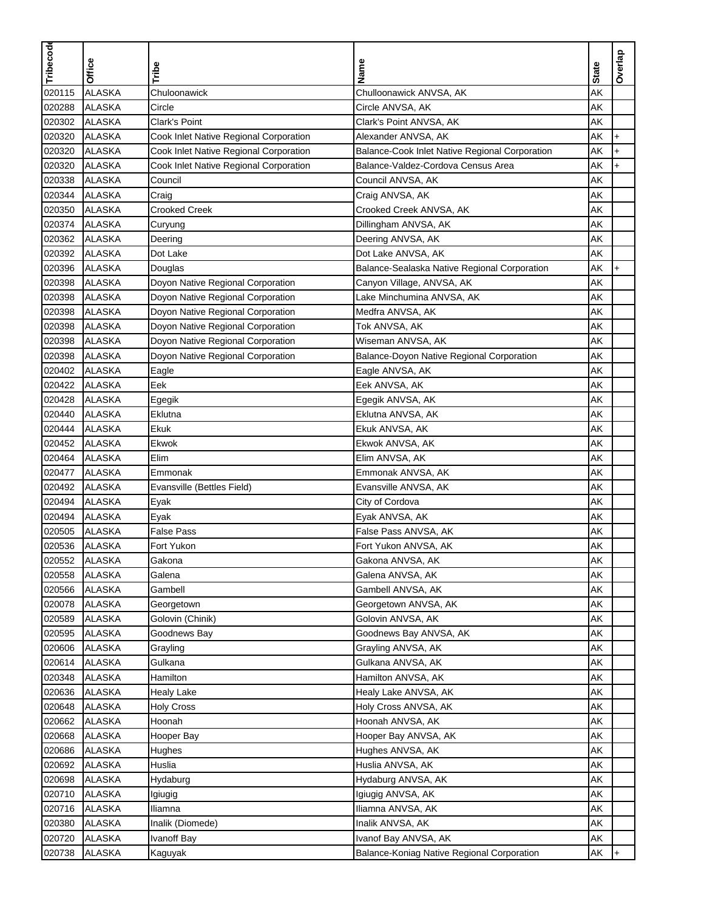| Tribecode |               |                                        |                                                |              | Overlap            |
|-----------|---------------|----------------------------------------|------------------------------------------------|--------------|--------------------|
|           | Office        | Tribe                                  | Name                                           | <b>State</b> |                    |
| 020115    | <b>ALASKA</b> | Chuloonawick                           | Chulloonawick ANVSA, AK                        | AK           |                    |
| 020288    | <b>ALASKA</b> | Circle                                 | Circle ANVSA, AK                               | AK           |                    |
| 020302    | <b>ALASKA</b> | <b>Clark's Point</b>                   | Clark's Point ANVSA, AK                        | AΚ           |                    |
| 020320    | <b>ALASKA</b> | Cook Inlet Native Regional Corporation | Alexander ANVSA, AK                            | AK           | $\ddot{}$          |
| 020320    | <b>ALASKA</b> | Cook Inlet Native Regional Corporation | Balance-Cook Inlet Native Regional Corporation | AΚ           |                    |
| 020320    | <b>ALASKA</b> | Cook Inlet Native Regional Corporation | Balance-Valdez-Cordova Census Area             | AK           |                    |
| 020338    | <b>ALASKA</b> | Council                                | Council ANVSA, AK                              | AΚ           |                    |
| 020344    | <b>ALASKA</b> | Craig                                  | Craig ANVSA, AK                                | AK           |                    |
| 020350    | <b>ALASKA</b> | <b>Crooked Creek</b>                   | Crooked Creek ANVSA, AK                        | AK           |                    |
| 020374    | <b>ALASKA</b> | Curyung                                | Dillingham ANVSA, AK                           | AK           |                    |
| 020362    | <b>ALASKA</b> | Deering                                | Deering ANVSA, AK                              | AK           |                    |
| 020392    | <b>ALASKA</b> | Dot Lake                               | Dot Lake ANVSA, AK                             | AK           |                    |
| 020396    | <b>ALASKA</b> | Douglas                                | Balance-Sealaska Native Regional Corporation   | AK           | $\ddot{}$          |
| 020398    | <b>ALASKA</b> | Doyon Native Regional Corporation      | Canyon Village, ANVSA, AK                      | AK           |                    |
| 020398    | <b>ALASKA</b> | Doyon Native Regional Corporation      | Lake Minchumina ANVSA, AK                      | AΚ           |                    |
| 020398    | <b>ALASKA</b> | Doyon Native Regional Corporation      | Medfra ANVSA, AK                               | AK           |                    |
| 020398    | <b>ALASKA</b> | Doyon Native Regional Corporation      | Tok ANVSA, AK                                  | AK           |                    |
| 020398    | <b>ALASKA</b> | Doyon Native Regional Corporation      | Wiseman ANVSA, AK                              | AK           |                    |
| 020398    | <b>ALASKA</b> | Doyon Native Regional Corporation      | Balance-Doyon Native Regional Corporation      | AK           |                    |
| 020402    | <b>ALASKA</b> | Eagle                                  | Eagle ANVSA, AK                                | AK           |                    |
| 020422    | <b>ALASKA</b> | Eek                                    | Eek ANVSA, AK                                  | AK           |                    |
| 020428    | <b>ALASKA</b> | Egegik                                 | Egegik ANVSA, AK                               | AK           |                    |
| 020440    | <b>ALASKA</b> | Eklutna                                | Eklutna ANVSA, AK                              | AK           |                    |
| 020444    | <b>ALASKA</b> | Ekuk                                   | Ekuk ANVSA, AK                                 | AK           |                    |
| 020452    | <b>ALASKA</b> | Ekwok                                  | Ekwok ANVSA, AK                                | AK           |                    |
| 020464    | <b>ALASKA</b> | Elim                                   | Elim ANVSA, AK                                 | AK           |                    |
| 020477    | <b>ALASKA</b> | Emmonak                                | Emmonak ANVSA, AK                              | AK           |                    |
| 020492    | <b>ALASKA</b> | Evansville (Bettles Field)             | Evansville ANVSA, AK                           | AK           |                    |
| 020494    | <b>ALASKA</b> | Eyak                                   | City of Cordova                                | AK           |                    |
| 020494    | <b>ALASKA</b> | Eyak                                   | Eyak ANVSA, AK                                 | AK           |                    |
| 020505    | <b>ALASKA</b> | <b>False Pass</b>                      | False Pass ANVSA, AK                           | AK           |                    |
| 020536    | <b>ALASKA</b> | Fort Yukon                             | Fort Yukon ANVSA, AK                           | AΚ           |                    |
| 020552    | ALASKA        | Gakona                                 | Gakona ANVSA, AK                               | AK           |                    |
| 020558    | <b>ALASKA</b> | Galena                                 | Galena ANVSA, AK                               | AK           |                    |
| 020566    | <b>ALASKA</b> | Gambell                                | Gambell ANVSA, AK                              | AK           |                    |
| 020078    | <b>ALASKA</b> | Georgetown                             | Georgetown ANVSA, AK                           | AK           |                    |
| 020589    | <b>ALASKA</b> | Golovin (Chinik)                       | Golovin ANVSA, AK                              | AK           |                    |
| 020595    | <b>ALASKA</b> | Goodnews Bay                           | Goodnews Bay ANVSA, AK                         | AK           |                    |
| 020606    | <b>ALASKA</b> | Grayling                               | Grayling ANVSA, AK                             | AK           |                    |
| 020614    | <b>ALASKA</b> | Gulkana                                | Gulkana ANVSA, AK                              | AK           |                    |
| 020348    | <b>ALASKA</b> | Hamilton                               | Hamilton ANVSA, AK                             | AK           |                    |
| 020636    | <b>ALASKA</b> | Healy Lake                             | Healy Lake ANVSA, AK                           | AK           |                    |
| 020648    | <b>ALASKA</b> | <b>Holy Cross</b>                      | Holy Cross ANVSA, AK                           | AK           |                    |
| 020662    | <b>ALASKA</b> | Hoonah                                 | Hoonah ANVSA, AK                               | AK           |                    |
| 020668    | <b>ALASKA</b> | Hooper Bay                             | Hooper Bay ANVSA, AK                           | AΚ           |                    |
| 020686    | <b>ALASKA</b> | Hughes                                 | Hughes ANVSA, AK                               | AK           |                    |
| 020692    | <b>ALASKA</b> | Huslia                                 | Huslia ANVSA, AK                               | AK           |                    |
|           |               |                                        |                                                |              |                    |
| 020698    | <b>ALASKA</b> | Hydaburg                               | Hydaburg ANVSA, AK                             | AK           |                    |
| 020710    | <b>ALASKA</b> | Igiugig                                | Igiugig ANVSA, AK                              | AK           |                    |
| 020716    | <b>ALASKA</b> | Iliamna                                | Iliamna ANVSA, AK                              | AK           |                    |
| 020380    | <b>ALASKA</b> | Inalik (Diomede)                       | Inalik ANVSA, AK                               | AK           |                    |
| 020720    | <b>ALASKA</b> | Ivanoff Bay                            | Ivanof Bay ANVSA, AK                           | AK           |                    |
| 020738    | <b>ALASKA</b> | Kaguyak                                | Balance-Koniag Native Regional Corporation     | AK           | $\left  + \right $ |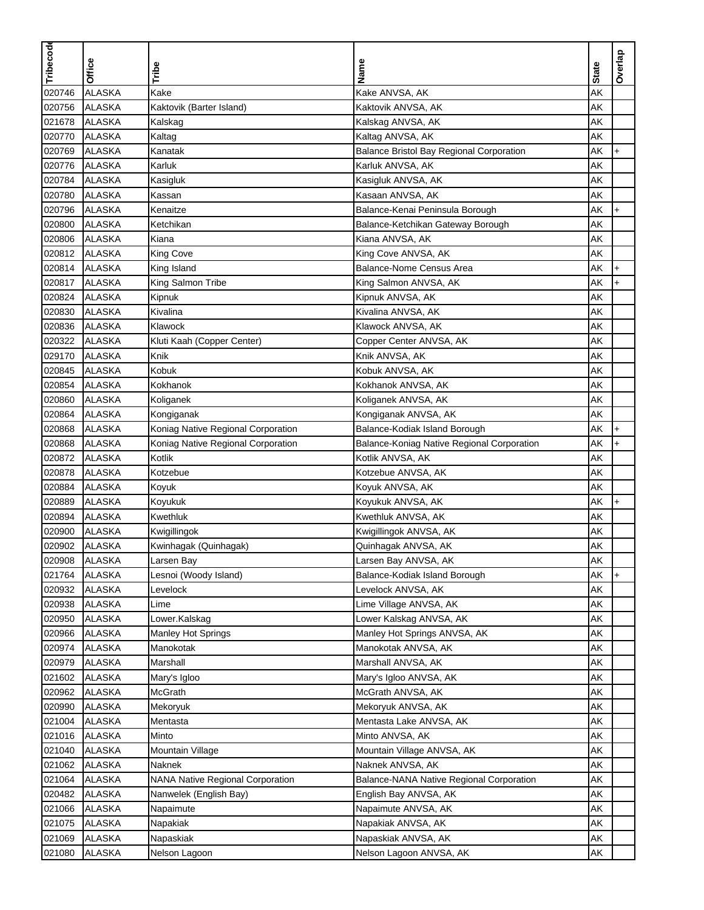| Tribecode        |               |                                    |                                            |              | Overlap   |
|------------------|---------------|------------------------------------|--------------------------------------------|--------------|-----------|
|                  | <b>Office</b> | Tribe                              | Name                                       | <b>State</b> |           |
| 020746           | <b>ALASKA</b> | Kake                               | Kake ANVSA, AK                             | AK           |           |
| 020756           | <b>ALASKA</b> | Kaktovik (Barter Island)           | Kaktovik ANVSA, AK                         | ΑK           |           |
| 021678           | <b>ALASKA</b> | Kalskag                            | Kalskag ANVSA, AK                          | AΚ           |           |
| 020770           | <b>ALASKA</b> | Kaltag                             | Kaltag ANVSA, AK                           | AK           |           |
| 020769           | <b>ALASKA</b> | Kanatak                            | Balance Bristol Bay Regional Corporation   | AK           | $\ddot{}$ |
| 020776           | <b>ALASKA</b> | Karluk                             | Karluk ANVSA, AK                           | AK           |           |
| 020784           | <b>ALASKA</b> | Kasigluk                           | Kasigluk ANVSA, AK                         | AΚ           |           |
| 020780           | <b>ALASKA</b> | Kassan                             | Kasaan ANVSA, AK                           | AK           |           |
| 020796           | <b>ALASKA</b> | Kenaitze                           | Balance-Kenai Peninsula Borough            | AK           | $\ddot{}$ |
| 020800           | <b>ALASKA</b> | Ketchikan                          | Balance-Ketchikan Gateway Borough          | AK           |           |
| 020806           | <b>ALASKA</b> | Kiana                              | Kiana ANVSA, AK                            | AK           |           |
| 020812           | <b>ALASKA</b> | <b>King Cove</b>                   | King Cove ANVSA, AK                        | AK           |           |
| 020814           | <b>ALASKA</b> | King Island                        | Balance-Nome Census Area                   | AK           | $\ddot{}$ |
| 020817           | <b>ALASKA</b> | King Salmon Tribe                  | King Salmon ANVSA, AK                      | AΚ           | $\ddot{}$ |
| 020824           | <b>ALASKA</b> | Kipnuk                             | Kipnuk ANVSA, AK                           | AΚ           |           |
| 020830           | <b>ALASKA</b> | Kivalina                           | Kivalina ANVSA, AK                         | AK           |           |
| 020836           | <b>ALASKA</b> | Klawock                            | Klawock ANVSA, AK                          | AK           |           |
| 020322           | <b>ALASKA</b> | Kluti Kaah (Copper Center)         | Copper Center ANVSA, AK                    | AK           |           |
| 029170           | <b>ALASKA</b> | Knik                               | Knik ANVSA, AK                             | AK           |           |
| 020845           | <b>ALASKA</b> | Kobuk                              | Kobuk ANVSA, AK                            | AK           |           |
| 020854           | <b>ALASKA</b> | Kokhanok                           | Kokhanok ANVSA, AK                         | AK           |           |
| 020860           | <b>ALASKA</b> | Koliganek                          | Koliganek ANVSA, AK                        | AK           |           |
| 020864           | <b>ALASKA</b> | Kongiganak                         | Kongiganak ANVSA, AK                       | AΚ           |           |
| 020868           | <b>ALASKA</b> | Koniag Native Regional Corporation | Balance-Kodiak Island Borough              | AΚ           | $\ddot{}$ |
| 020868           | <b>ALASKA</b> | Koniag Native Regional Corporation | Balance-Koniag Native Regional Corporation | AΚ           | $\ddot{}$ |
| 020872           | <b>ALASKA</b> | Kotlik                             | Kotlik ANVSA, AK                           | AK           |           |
| 020878           | <b>ALASKA</b> | Kotzebue                           | Kotzebue ANVSA, AK                         | AK           |           |
| 020884           | <b>ALASKA</b> | Koyuk                              | Koyuk ANVSA, AK                            | AK           |           |
| 020889           | <b>ALASKA</b> | Koyukuk                            | Koyukuk ANVSA, AK                          | AK           | $\ddot{}$ |
| 020894           | <b>ALASKA</b> | Kwethluk                           | Kwethluk ANVSA, AK                         | AK           |           |
| 020900           | <b>ALASKA</b> | Kwigillingok                       | Kwigillingok ANVSA, AK                     | AK           |           |
| 020902           | <b>ALASKA</b> | Kwinhagak (Quinhagak)              | Quinhagak ANVSA, AK                        | AΚ           |           |
| 020908           | ALASKA        | Larsen Bay                         | Larsen Bay ANVSA, AK                       | AK           |           |
| 021764           | <b>ALASKA</b> | Lesnoi (Woody Island)              | Balance-Kodiak Island Borough              | AK           | $+$       |
| 020932           | <b>ALASKA</b> | Levelock                           | Levelock ANVSA, AK                         | AK           |           |
| 020938           | <b>ALASKA</b> | Lime                               | Lime Village ANVSA, AK                     | AK           |           |
| 020950           | <b>ALASKA</b> | Lower.Kalskag                      | Lower Kalskag ANVSA, AK                    | AK           |           |
| 020966           | <b>ALASKA</b> | <b>Manley Hot Springs</b>          | Manley Hot Springs ANVSA, AK               | AK           |           |
| 020974           | <b>ALASKA</b> | Manokotak                          | Manokotak ANVSA, AK                        | AΚ           |           |
|                  | <b>ALASKA</b> | Marshall                           | Marshall ANVSA, AK                         | AΚ           |           |
| 020979<br>021602 | <b>ALASKA</b> |                                    | Mary's Igloo ANVSA, AK                     | AK           |           |
| 020962           | <b>ALASKA</b> | Mary's Igloo                       |                                            |              |           |
|                  |               | McGrath                            | McGrath ANVSA, AK                          | AK           |           |
| 020990           | <b>ALASKA</b> | Mekoryuk                           | Mekoryuk ANVSA, AK                         | AK           |           |
| 021004           | <b>ALASKA</b> | Mentasta                           | Mentasta Lake ANVSA, AK                    | AK           |           |
| 021016           | <b>ALASKA</b> | Minto                              | Minto ANVSA, AK                            | AΚ           |           |
| 021040           | <b>ALASKA</b> | Mountain Village                   | Mountain Village ANVSA, AK                 | AK           |           |
| 021062           | <b>ALASKA</b> | Naknek                             | Naknek ANVSA, AK                           | AΚ           |           |
| 021064           | <b>ALASKA</b> | NANA Native Regional Corporation   | Balance-NANA Native Regional Corporation   | AΚ           |           |
| 020482           | <b>ALASKA</b> | Nanwelek (English Bay)             | English Bay ANVSA, AK                      | AK           |           |
| 021066           | <b>ALASKA</b> | Napaimute                          | Napaimute ANVSA, AK                        | AK           |           |
| 021075           | <b>ALASKA</b> | Napakiak                           | Napakiak ANVSA, AK                         | AΚ           |           |
| 021069           | <b>ALASKA</b> | Napaskiak                          | Napaskiak ANVSA, AK                        | AK           |           |
| 021080           | <b>ALASKA</b> | Nelson Lagoon                      | Nelson Lagoon ANVSA, AK                    | AK           |           |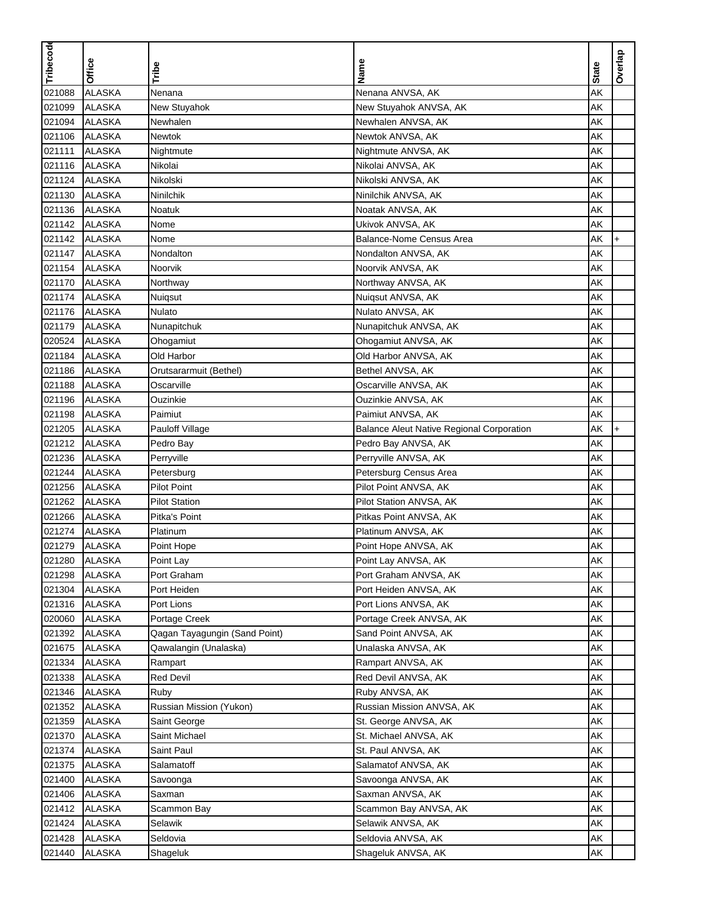| Tribecode |                                |                               |                                                  |              |           |
|-----------|--------------------------------|-------------------------------|--------------------------------------------------|--------------|-----------|
|           | Office                         | Tribe                         | Name                                             | <b>State</b> | Overlap   |
|           |                                |                               |                                                  |              |           |
| 021088    | <b>ALASKA</b><br><b>ALASKA</b> | Nenana                        | Nenana ANVSA, AK                                 | AK           |           |
| 021099    |                                | New Stuyahok                  | New Stuyahok ANVSA, AK                           | AK           |           |
| 021094    | <b>ALASKA</b>                  | Newhalen                      | Newhalen ANVSA, AK                               | AK           |           |
| 021106    | <b>ALASKA</b>                  | <b>Newtok</b>                 | Newtok ANVSA, AK                                 | AK           |           |
| 021111    | <b>ALASKA</b>                  | Nightmute                     | Nightmute ANVSA, AK                              | AK           |           |
| 021116    | <b>ALASKA</b>                  | Nikolai                       | Nikolai ANVSA, AK                                | AK           |           |
| 021124    | <b>ALASKA</b>                  | Nikolski                      | Nikolski ANVSA, AK                               | AΚ           |           |
| 021130    | <b>ALASKA</b>                  | Ninilchik                     | Ninilchik ANVSA, AK                              | AK           |           |
| 021136    | <b>ALASKA</b>                  | Noatuk                        | Noatak ANVSA, AK                                 | AK           |           |
| 021142    | <b>ALASKA</b>                  | Nome                          | Ukivok ANVSA, AK                                 | AK           |           |
| 021142    | <b>ALASKA</b>                  | Nome                          | Balance-Nome Census Area                         | AΚ           | $+$       |
| 021147    | <b>ALASKA</b>                  | Nondalton                     | Nondalton ANVSA, AK                              | AK           |           |
| 021154    | <b>ALASKA</b>                  | Noorvik                       | Noorvik ANVSA, AK                                | AK           |           |
| 021170    | <b>ALASKA</b>                  | Northway                      | Northway ANVSA, AK                               | AΚ           |           |
| 021174    | <b>ALASKA</b>                  | Nuiqsut                       | Nuiqsut ANVSA, AK                                | AΚ           |           |
| 021176    | <b>ALASKA</b>                  | Nulato                        | Nulato ANVSA, AK                                 | AΚ           |           |
| 021179    | <b>ALASKA</b>                  | Nunapitchuk                   | Nunapitchuk ANVSA, AK                            | AK           |           |
| 020524    | <b>ALASKA</b>                  | Ohogamiut                     | Ohogamiut ANVSA, AK                              | AK           |           |
| 021184    | <b>ALASKA</b>                  | Old Harbor                    | Old Harbor ANVSA, AK                             | AK           |           |
| 021186    | <b>ALASKA</b>                  | Orutsararmuit (Bethel)        | Bethel ANVSA, AK                                 | AK           |           |
| 021188    | <b>ALASKA</b>                  | Oscarville                    | Oscarville ANVSA, AK                             | AK           |           |
| 021196    | <b>ALASKA</b>                  | Ouzinkie                      | Ouzinkie ANVSA, AK                               | AK           |           |
| 021198    | <b>ALASKA</b>                  | Paimiut                       | Paimiut ANVSA, AK                                | AΚ           |           |
| 021205    | <b>ALASKA</b>                  | Pauloff Village               | <b>Balance Aleut Native Regional Corporation</b> | AΚ           | $\ddot{}$ |
| 021212    | <b>ALASKA</b>                  | Pedro Bay                     | Pedro Bay ANVSA, AK                              | AK           |           |
| 021236    | <b>ALASKA</b>                  | Perryville                    | Perryville ANVSA, AK                             | AK           |           |
| 021244    | <b>ALASKA</b>                  | Petersburg                    | Petersburg Census Area                           | AK           |           |
| 021256    | <b>ALASKA</b>                  | <b>Pilot Point</b>            | Pilot Point ANVSA, AK                            | AK           |           |
| 021262    | <b>ALASKA</b>                  | <b>Pilot Station</b>          | Pilot Station ANVSA, AK                          | AK           |           |
| 021266    | <b>ALASKA</b>                  | Pitka's Point                 | Pitkas Point ANVSA, AK                           | AK           |           |
| 021274    | <b>ALASKA</b>                  | Platinum                      | Platinum ANVSA, AK                               | AK           |           |
| 021279    | <b>ALASKA</b>                  | Point Hope                    | Point Hope ANVSA, AK                             | AΚ           |           |
| 021280    | ALASKA                         | Point Lay                     | Point Lay ANVSA, AK                              | AK           |           |
| 021298    | <b>ALASKA</b>                  | Port Graham                   | Port Graham ANVSA, AK                            | AK           |           |
| 021304    | <b>ALASKA</b>                  | Port Heiden                   | Port Heiden ANVSA, AK                            | AK           |           |
| 021316    | <b>ALASKA</b>                  | Port Lions                    | Port Lions ANVSA, AK                             | AK           |           |
| 020060    | <b>ALASKA</b>                  | Portage Creek                 | Portage Creek ANVSA, AK                          | AK           |           |
| 021392    | <b>ALASKA</b>                  | Qagan Tayagungin (Sand Point) | Sand Point ANVSA, AK                             | AK           |           |
| 021675    | <b>ALASKA</b>                  | Qawalangin (Unalaska)         | Unalaska ANVSA, AK                               | AK           |           |
| 021334    | <b>ALASKA</b>                  | Rampart                       | Rampart ANVSA, AK                                | AK           |           |
| 021338    | <b>ALASKA</b>                  | <b>Red Devil</b>              | Red Devil ANVSA, AK                              | AK           |           |
| 021346    | <b>ALASKA</b>                  | Ruby                          | Ruby ANVSA, AK                                   | AK           |           |
| 021352    | <b>ALASKA</b>                  | Russian Mission (Yukon)       | Russian Mission ANVSA, AK                        | AK           |           |
| 021359    | <b>ALASKA</b>                  | Saint George                  | St. George ANVSA, AK                             | AK           |           |
| 021370    | <b>ALASKA</b>                  | Saint Michael                 | St. Michael ANVSA, AK                            | AΚ           |           |
| 021374    | <b>ALASKA</b>                  | Saint Paul                    | St. Paul ANVSA, AK                               | AK           |           |
| 021375    | <b>ALASKA</b>                  | Salamatoff                    | Salamatof ANVSA, AK                              | AK           |           |
| 021400    | <b>ALASKA</b>                  | Savoonga                      | Savoonga ANVSA, AK                               | AΚ           |           |
| 021406    | <b>ALASKA</b>                  | Saxman                        | Saxman ANVSA, AK                                 | AK           |           |
| 021412    | <b>ALASKA</b>                  | Scammon Bay                   | Scammon Bay ANVSA, AK                            | AK           |           |
| 021424    | <b>ALASKA</b>                  | Selawik                       | Selawik ANVSA, AK                                | AK           |           |
| 021428    | <b>ALASKA</b>                  | Seldovia                      | Seldovia ANVSA, AK                               | AK           |           |
| 021440    | <b>ALASKA</b>                  | Shageluk                      | Shageluk ANVSA, AK                               | AK           |           |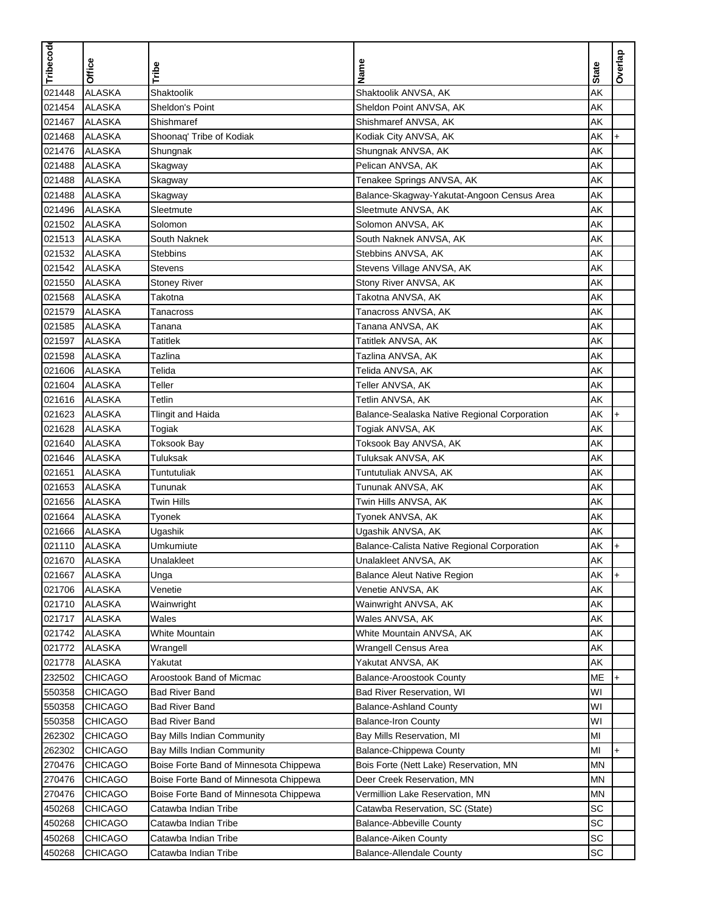| Overlap<br>Office<br><b>State</b><br>Tribe<br><b>ALASKA</b><br>AK<br>Shaktoolik<br>021448<br>Shaktoolik ANVSA, AK<br>021454<br><b>ALASKA</b><br>Sheldon's Point<br>Sheldon Point ANVSA, AK<br>AK<br><b>ALASKA</b><br>AK<br>021467<br>Shishmaref<br>Shishmaref ANVSA, AK<br><b>ALASKA</b><br>AK<br>021468<br>Shoonaq' Tribe of Kodiak<br>Kodiak City ANVSA, AK<br>$\ddot{}$<br><b>ALASKA</b><br>AK<br>021476<br>Shungnak<br>Shungnak ANVSA, AK<br>021488<br><b>ALASKA</b><br>AK<br>Pelican ANVSA, AK<br>Skagway<br>AK<br>021488<br><b>ALASKA</b><br>Tenakee Springs ANVSA, AK<br>Skagway<br>AK<br>021488<br><b>ALASKA</b><br>Balance-Skagway-Yakutat-Angoon Census Area<br>Skagway<br>021496<br><b>ALASKA</b><br>AK<br>Sleetmute<br>Sleetmute ANVSA, AK<br>021502<br><b>ALASKA</b><br>AK<br>Solomon<br>Solomon ANVSA, AK<br>021513<br><b>ALASKA</b><br>AK<br>South Naknek<br>South Naknek ANVSA, AK<br>021532<br><b>ALASKA</b><br>AK<br><b>Stebbins</b><br>Stebbins ANVSA, AK<br><b>ALASKA</b><br>021542<br>AK<br>Stevens<br>Stevens Village ANVSA, AK<br><b>ALASKA</b><br>021550<br>AΚ<br><b>Stoney River</b><br>Stony River ANVSA, AK<br>021568<br><b>ALASKA</b><br>AΚ<br>Takotna<br>Takotna ANVSA, AK<br><b>ALASKA</b><br>AK<br>021579<br>Tanacross ANVSA, AK<br>Tanacross<br>021585<br><b>ALASKA</b><br>AK<br>Tanana ANVSA, AK<br>Tanana<br>AK<br>021597<br><b>ALASKA</b><br><b>Tatitlek</b><br>Tatitlek ANVSA, AK<br>021598<br><b>ALASKA</b><br>AK<br>Tazlina<br>Tazlina ANVSA, AK<br><b>ALASKA</b><br>AK<br>021606<br>Telida<br>Telida ANVSA, AK<br>021604<br><b>ALASKA</b><br>Teller<br>AK<br>Teller ANVSA, AK<br><b>ALASKA</b><br>AK<br>021616<br>Tetlin<br>Tetlin ANVSA, AK<br>021623<br><b>ALASKA</b><br>AΚ<br><b>Tlingit and Haida</b><br>Balance-Sealaska Native Regional Corporation<br>$\ddot{}$<br>021628<br><b>ALASKA</b><br>AΚ<br>Togiak<br>Togiak ANVSA, AK<br><b>ALASKA</b><br>Toksook Bay ANVSA, AK<br>AK<br>021640<br><b>Toksook Bay</b><br>021646<br><b>ALASKA</b><br>Tuluksak<br>AK<br>Tuluksak ANVSA, AK<br>AK<br>021651<br><b>ALASKA</b><br>Tuntutuliak<br>Tuntutuliak ANVSA, AK<br><b>ALASKA</b><br>AK<br>021653<br>Tununak<br>Tununak ANVSA, AK<br><b>ALASKA</b><br>AK<br>021656<br><b>Twin Hills</b><br>Twin Hills ANVSA, AK<br>021664<br><b>ALASKA</b><br>AK<br>Tyonek<br>Tyonek ANVSA, AK<br><b>ALASKA</b><br>021666<br>AK<br>Ugashik<br>Ugashik ANVSA, AK<br>AΚ<br>021110<br><b>ALASKA</b><br>Umkumiute<br>Balance-Calista Native Regional Corporation<br>$\ddot{}$<br>021670<br>ALASKA<br>Unalakleet<br>Unalakleet ANVSA, AK<br>AK<br><b>ALASKA</b><br>AK<br>021667<br><b>Balance Aleut Native Region</b><br>$+$<br>Unga<br>021706<br><b>ALASKA</b><br>AK<br>Venetie<br>Venetie ANVSA, AK<br>021710<br><b>ALASKA</b><br>AK<br>Wainwright<br>Wainwright ANVSA, AK<br>021717<br><b>ALASKA</b><br>Wales<br>Wales ANVSA, AK<br>AΚ<br><b>ALASKA</b><br>AK<br>021742<br>White Mountain<br>White Mountain ANVSA, AK<br><b>ALASKA</b><br>AΚ<br>021772<br>Wrangell Census Area<br>Wrangell<br><b>ALASKA</b><br>021778<br>Yakutat<br>Yakutat ANVSA, AK<br>AK<br>232502<br><b>CHICAGO</b><br>Aroostook Band of Micmac<br><b>Balance-Aroostook County</b><br>МE<br>$+$<br><b>CHICAGO</b><br>WI<br>550358<br><b>Bad River Band</b><br>Bad River Reservation, WI<br>WI<br><b>CHICAGO</b><br>550358<br><b>Bad River Band</b><br><b>Balance-Ashland County</b><br>550358<br>WI<br><b>CHICAGO</b><br><b>Bad River Band</b><br><b>Balance-Iron County</b><br>262302<br><b>CHICAGO</b><br>Bay Mills Reservation, MI<br>MI<br>Bay Mills Indian Community<br>MI<br>262302<br><b>CHICAGO</b><br>Bay Mills Indian Community<br>Balance-Chippewa County<br>$\ddot{}$<br>270476<br><b>CHICAGO</b><br>Boise Forte Band of Minnesota Chippewa<br>Bois Forte (Nett Lake) Reservation, MN<br>ΜN<br><b>CHICAGO</b><br>270476<br>Boise Forte Band of Minnesota Chippewa<br>Deer Creek Reservation, MN<br>ΜN<br>270476<br><b>CHICAGO</b><br>ΜN<br>Boise Forte Band of Minnesota Chippewa<br>Vermillion Lake Reservation, MN<br>SC<br>450268<br><b>CHICAGO</b><br>Catawba Indian Tribe<br>Catawba Reservation, SC (State)<br>450268<br>SC<br><b>CHICAGO</b><br>Catawba Indian Tribe<br><b>Balance-Abbeville County</b> | Tribecode |  |      |  |
|----------------------------------------------------------------------------------------------------------------------------------------------------------------------------------------------------------------------------------------------------------------------------------------------------------------------------------------------------------------------------------------------------------------------------------------------------------------------------------------------------------------------------------------------------------------------------------------------------------------------------------------------------------------------------------------------------------------------------------------------------------------------------------------------------------------------------------------------------------------------------------------------------------------------------------------------------------------------------------------------------------------------------------------------------------------------------------------------------------------------------------------------------------------------------------------------------------------------------------------------------------------------------------------------------------------------------------------------------------------------------------------------------------------------------------------------------------------------------------------------------------------------------------------------------------------------------------------------------------------------------------------------------------------------------------------------------------------------------------------------------------------------------------------------------------------------------------------------------------------------------------------------------------------------------------------------------------------------------------------------------------------------------------------------------------------------------------------------------------------------------------------------------------------------------------------------------------------------------------------------------------------------------------------------------------------------------------------------------------------------------------------------------------------------------------------------------------------------------------------------------------------------------------------------------------------------------------------------------------------------------------------------------------------------------------------------------------------------------------------------------------------------------------------------------------------------------------------------------------------------------------------------------------------------------------------------------------------------------------------------------------------------------------------------------------------------------------------------------------------------------------------------------------------------------------------------------------------------------------------------------------------------------------------------------------------------------------------------------------------------------------------------------------------------------------------------------------------------------------------------------------------------------------------------------------------------------------------------------------------------------------------------------------------------------------------------------------------------------------------------------------------------------------------------------------------------------------------------------------------------------------------------------------------------------------------------------------------------------------------------------------------------------------------------------------------------------------------------------------------------------------------------------------------------------------------------------------------------|-----------|--|------|--|
|                                                                                                                                                                                                                                                                                                                                                                                                                                                                                                                                                                                                                                                                                                                                                                                                                                                                                                                                                                                                                                                                                                                                                                                                                                                                                                                                                                                                                                                                                                                                                                                                                                                                                                                                                                                                                                                                                                                                                                                                                                                                                                                                                                                                                                                                                                                                                                                                                                                                                                                                                                                                                                                                                                                                                                                                                                                                                                                                                                                                                                                                                                                                                                                                                                                                                                                                                                                                                                                                                                                                                                                                                                                                                                                                                                                                                                                                                                                                                                                                                                                                                                                                                                                                                      |           |  | Name |  |
|                                                                                                                                                                                                                                                                                                                                                                                                                                                                                                                                                                                                                                                                                                                                                                                                                                                                                                                                                                                                                                                                                                                                                                                                                                                                                                                                                                                                                                                                                                                                                                                                                                                                                                                                                                                                                                                                                                                                                                                                                                                                                                                                                                                                                                                                                                                                                                                                                                                                                                                                                                                                                                                                                                                                                                                                                                                                                                                                                                                                                                                                                                                                                                                                                                                                                                                                                                                                                                                                                                                                                                                                                                                                                                                                                                                                                                                                                                                                                                                                                                                                                                                                                                                                                      |           |  |      |  |
|                                                                                                                                                                                                                                                                                                                                                                                                                                                                                                                                                                                                                                                                                                                                                                                                                                                                                                                                                                                                                                                                                                                                                                                                                                                                                                                                                                                                                                                                                                                                                                                                                                                                                                                                                                                                                                                                                                                                                                                                                                                                                                                                                                                                                                                                                                                                                                                                                                                                                                                                                                                                                                                                                                                                                                                                                                                                                                                                                                                                                                                                                                                                                                                                                                                                                                                                                                                                                                                                                                                                                                                                                                                                                                                                                                                                                                                                                                                                                                                                                                                                                                                                                                                                                      |           |  |      |  |
|                                                                                                                                                                                                                                                                                                                                                                                                                                                                                                                                                                                                                                                                                                                                                                                                                                                                                                                                                                                                                                                                                                                                                                                                                                                                                                                                                                                                                                                                                                                                                                                                                                                                                                                                                                                                                                                                                                                                                                                                                                                                                                                                                                                                                                                                                                                                                                                                                                                                                                                                                                                                                                                                                                                                                                                                                                                                                                                                                                                                                                                                                                                                                                                                                                                                                                                                                                                                                                                                                                                                                                                                                                                                                                                                                                                                                                                                                                                                                                                                                                                                                                                                                                                                                      |           |  |      |  |
|                                                                                                                                                                                                                                                                                                                                                                                                                                                                                                                                                                                                                                                                                                                                                                                                                                                                                                                                                                                                                                                                                                                                                                                                                                                                                                                                                                                                                                                                                                                                                                                                                                                                                                                                                                                                                                                                                                                                                                                                                                                                                                                                                                                                                                                                                                                                                                                                                                                                                                                                                                                                                                                                                                                                                                                                                                                                                                                                                                                                                                                                                                                                                                                                                                                                                                                                                                                                                                                                                                                                                                                                                                                                                                                                                                                                                                                                                                                                                                                                                                                                                                                                                                                                                      |           |  |      |  |
|                                                                                                                                                                                                                                                                                                                                                                                                                                                                                                                                                                                                                                                                                                                                                                                                                                                                                                                                                                                                                                                                                                                                                                                                                                                                                                                                                                                                                                                                                                                                                                                                                                                                                                                                                                                                                                                                                                                                                                                                                                                                                                                                                                                                                                                                                                                                                                                                                                                                                                                                                                                                                                                                                                                                                                                                                                                                                                                                                                                                                                                                                                                                                                                                                                                                                                                                                                                                                                                                                                                                                                                                                                                                                                                                                                                                                                                                                                                                                                                                                                                                                                                                                                                                                      |           |  |      |  |
|                                                                                                                                                                                                                                                                                                                                                                                                                                                                                                                                                                                                                                                                                                                                                                                                                                                                                                                                                                                                                                                                                                                                                                                                                                                                                                                                                                                                                                                                                                                                                                                                                                                                                                                                                                                                                                                                                                                                                                                                                                                                                                                                                                                                                                                                                                                                                                                                                                                                                                                                                                                                                                                                                                                                                                                                                                                                                                                                                                                                                                                                                                                                                                                                                                                                                                                                                                                                                                                                                                                                                                                                                                                                                                                                                                                                                                                                                                                                                                                                                                                                                                                                                                                                                      |           |  |      |  |
|                                                                                                                                                                                                                                                                                                                                                                                                                                                                                                                                                                                                                                                                                                                                                                                                                                                                                                                                                                                                                                                                                                                                                                                                                                                                                                                                                                                                                                                                                                                                                                                                                                                                                                                                                                                                                                                                                                                                                                                                                                                                                                                                                                                                                                                                                                                                                                                                                                                                                                                                                                                                                                                                                                                                                                                                                                                                                                                                                                                                                                                                                                                                                                                                                                                                                                                                                                                                                                                                                                                                                                                                                                                                                                                                                                                                                                                                                                                                                                                                                                                                                                                                                                                                                      |           |  |      |  |
|                                                                                                                                                                                                                                                                                                                                                                                                                                                                                                                                                                                                                                                                                                                                                                                                                                                                                                                                                                                                                                                                                                                                                                                                                                                                                                                                                                                                                                                                                                                                                                                                                                                                                                                                                                                                                                                                                                                                                                                                                                                                                                                                                                                                                                                                                                                                                                                                                                                                                                                                                                                                                                                                                                                                                                                                                                                                                                                                                                                                                                                                                                                                                                                                                                                                                                                                                                                                                                                                                                                                                                                                                                                                                                                                                                                                                                                                                                                                                                                                                                                                                                                                                                                                                      |           |  |      |  |
|                                                                                                                                                                                                                                                                                                                                                                                                                                                                                                                                                                                                                                                                                                                                                                                                                                                                                                                                                                                                                                                                                                                                                                                                                                                                                                                                                                                                                                                                                                                                                                                                                                                                                                                                                                                                                                                                                                                                                                                                                                                                                                                                                                                                                                                                                                                                                                                                                                                                                                                                                                                                                                                                                                                                                                                                                                                                                                                                                                                                                                                                                                                                                                                                                                                                                                                                                                                                                                                                                                                                                                                                                                                                                                                                                                                                                                                                                                                                                                                                                                                                                                                                                                                                                      |           |  |      |  |
|                                                                                                                                                                                                                                                                                                                                                                                                                                                                                                                                                                                                                                                                                                                                                                                                                                                                                                                                                                                                                                                                                                                                                                                                                                                                                                                                                                                                                                                                                                                                                                                                                                                                                                                                                                                                                                                                                                                                                                                                                                                                                                                                                                                                                                                                                                                                                                                                                                                                                                                                                                                                                                                                                                                                                                                                                                                                                                                                                                                                                                                                                                                                                                                                                                                                                                                                                                                                                                                                                                                                                                                                                                                                                                                                                                                                                                                                                                                                                                                                                                                                                                                                                                                                                      |           |  |      |  |
|                                                                                                                                                                                                                                                                                                                                                                                                                                                                                                                                                                                                                                                                                                                                                                                                                                                                                                                                                                                                                                                                                                                                                                                                                                                                                                                                                                                                                                                                                                                                                                                                                                                                                                                                                                                                                                                                                                                                                                                                                                                                                                                                                                                                                                                                                                                                                                                                                                                                                                                                                                                                                                                                                                                                                                                                                                                                                                                                                                                                                                                                                                                                                                                                                                                                                                                                                                                                                                                                                                                                                                                                                                                                                                                                                                                                                                                                                                                                                                                                                                                                                                                                                                                                                      |           |  |      |  |
|                                                                                                                                                                                                                                                                                                                                                                                                                                                                                                                                                                                                                                                                                                                                                                                                                                                                                                                                                                                                                                                                                                                                                                                                                                                                                                                                                                                                                                                                                                                                                                                                                                                                                                                                                                                                                                                                                                                                                                                                                                                                                                                                                                                                                                                                                                                                                                                                                                                                                                                                                                                                                                                                                                                                                                                                                                                                                                                                                                                                                                                                                                                                                                                                                                                                                                                                                                                                                                                                                                                                                                                                                                                                                                                                                                                                                                                                                                                                                                                                                                                                                                                                                                                                                      |           |  |      |  |
|                                                                                                                                                                                                                                                                                                                                                                                                                                                                                                                                                                                                                                                                                                                                                                                                                                                                                                                                                                                                                                                                                                                                                                                                                                                                                                                                                                                                                                                                                                                                                                                                                                                                                                                                                                                                                                                                                                                                                                                                                                                                                                                                                                                                                                                                                                                                                                                                                                                                                                                                                                                                                                                                                                                                                                                                                                                                                                                                                                                                                                                                                                                                                                                                                                                                                                                                                                                                                                                                                                                                                                                                                                                                                                                                                                                                                                                                                                                                                                                                                                                                                                                                                                                                                      |           |  |      |  |
|                                                                                                                                                                                                                                                                                                                                                                                                                                                                                                                                                                                                                                                                                                                                                                                                                                                                                                                                                                                                                                                                                                                                                                                                                                                                                                                                                                                                                                                                                                                                                                                                                                                                                                                                                                                                                                                                                                                                                                                                                                                                                                                                                                                                                                                                                                                                                                                                                                                                                                                                                                                                                                                                                                                                                                                                                                                                                                                                                                                                                                                                                                                                                                                                                                                                                                                                                                                                                                                                                                                                                                                                                                                                                                                                                                                                                                                                                                                                                                                                                                                                                                                                                                                                                      |           |  |      |  |
|                                                                                                                                                                                                                                                                                                                                                                                                                                                                                                                                                                                                                                                                                                                                                                                                                                                                                                                                                                                                                                                                                                                                                                                                                                                                                                                                                                                                                                                                                                                                                                                                                                                                                                                                                                                                                                                                                                                                                                                                                                                                                                                                                                                                                                                                                                                                                                                                                                                                                                                                                                                                                                                                                                                                                                                                                                                                                                                                                                                                                                                                                                                                                                                                                                                                                                                                                                                                                                                                                                                                                                                                                                                                                                                                                                                                                                                                                                                                                                                                                                                                                                                                                                                                                      |           |  |      |  |
|                                                                                                                                                                                                                                                                                                                                                                                                                                                                                                                                                                                                                                                                                                                                                                                                                                                                                                                                                                                                                                                                                                                                                                                                                                                                                                                                                                                                                                                                                                                                                                                                                                                                                                                                                                                                                                                                                                                                                                                                                                                                                                                                                                                                                                                                                                                                                                                                                                                                                                                                                                                                                                                                                                                                                                                                                                                                                                                                                                                                                                                                                                                                                                                                                                                                                                                                                                                                                                                                                                                                                                                                                                                                                                                                                                                                                                                                                                                                                                                                                                                                                                                                                                                                                      |           |  |      |  |
|                                                                                                                                                                                                                                                                                                                                                                                                                                                                                                                                                                                                                                                                                                                                                                                                                                                                                                                                                                                                                                                                                                                                                                                                                                                                                                                                                                                                                                                                                                                                                                                                                                                                                                                                                                                                                                                                                                                                                                                                                                                                                                                                                                                                                                                                                                                                                                                                                                                                                                                                                                                                                                                                                                                                                                                                                                                                                                                                                                                                                                                                                                                                                                                                                                                                                                                                                                                                                                                                                                                                                                                                                                                                                                                                                                                                                                                                                                                                                                                                                                                                                                                                                                                                                      |           |  |      |  |
|                                                                                                                                                                                                                                                                                                                                                                                                                                                                                                                                                                                                                                                                                                                                                                                                                                                                                                                                                                                                                                                                                                                                                                                                                                                                                                                                                                                                                                                                                                                                                                                                                                                                                                                                                                                                                                                                                                                                                                                                                                                                                                                                                                                                                                                                                                                                                                                                                                                                                                                                                                                                                                                                                                                                                                                                                                                                                                                                                                                                                                                                                                                                                                                                                                                                                                                                                                                                                                                                                                                                                                                                                                                                                                                                                                                                                                                                                                                                                                                                                                                                                                                                                                                                                      |           |  |      |  |
|                                                                                                                                                                                                                                                                                                                                                                                                                                                                                                                                                                                                                                                                                                                                                                                                                                                                                                                                                                                                                                                                                                                                                                                                                                                                                                                                                                                                                                                                                                                                                                                                                                                                                                                                                                                                                                                                                                                                                                                                                                                                                                                                                                                                                                                                                                                                                                                                                                                                                                                                                                                                                                                                                                                                                                                                                                                                                                                                                                                                                                                                                                                                                                                                                                                                                                                                                                                                                                                                                                                                                                                                                                                                                                                                                                                                                                                                                                                                                                                                                                                                                                                                                                                                                      |           |  |      |  |
|                                                                                                                                                                                                                                                                                                                                                                                                                                                                                                                                                                                                                                                                                                                                                                                                                                                                                                                                                                                                                                                                                                                                                                                                                                                                                                                                                                                                                                                                                                                                                                                                                                                                                                                                                                                                                                                                                                                                                                                                                                                                                                                                                                                                                                                                                                                                                                                                                                                                                                                                                                                                                                                                                                                                                                                                                                                                                                                                                                                                                                                                                                                                                                                                                                                                                                                                                                                                                                                                                                                                                                                                                                                                                                                                                                                                                                                                                                                                                                                                                                                                                                                                                                                                                      |           |  |      |  |
|                                                                                                                                                                                                                                                                                                                                                                                                                                                                                                                                                                                                                                                                                                                                                                                                                                                                                                                                                                                                                                                                                                                                                                                                                                                                                                                                                                                                                                                                                                                                                                                                                                                                                                                                                                                                                                                                                                                                                                                                                                                                                                                                                                                                                                                                                                                                                                                                                                                                                                                                                                                                                                                                                                                                                                                                                                                                                                                                                                                                                                                                                                                                                                                                                                                                                                                                                                                                                                                                                                                                                                                                                                                                                                                                                                                                                                                                                                                                                                                                                                                                                                                                                                                                                      |           |  |      |  |
|                                                                                                                                                                                                                                                                                                                                                                                                                                                                                                                                                                                                                                                                                                                                                                                                                                                                                                                                                                                                                                                                                                                                                                                                                                                                                                                                                                                                                                                                                                                                                                                                                                                                                                                                                                                                                                                                                                                                                                                                                                                                                                                                                                                                                                                                                                                                                                                                                                                                                                                                                                                                                                                                                                                                                                                                                                                                                                                                                                                                                                                                                                                                                                                                                                                                                                                                                                                                                                                                                                                                                                                                                                                                                                                                                                                                                                                                                                                                                                                                                                                                                                                                                                                                                      |           |  |      |  |
|                                                                                                                                                                                                                                                                                                                                                                                                                                                                                                                                                                                                                                                                                                                                                                                                                                                                                                                                                                                                                                                                                                                                                                                                                                                                                                                                                                                                                                                                                                                                                                                                                                                                                                                                                                                                                                                                                                                                                                                                                                                                                                                                                                                                                                                                                                                                                                                                                                                                                                                                                                                                                                                                                                                                                                                                                                                                                                                                                                                                                                                                                                                                                                                                                                                                                                                                                                                                                                                                                                                                                                                                                                                                                                                                                                                                                                                                                                                                                                                                                                                                                                                                                                                                                      |           |  |      |  |
|                                                                                                                                                                                                                                                                                                                                                                                                                                                                                                                                                                                                                                                                                                                                                                                                                                                                                                                                                                                                                                                                                                                                                                                                                                                                                                                                                                                                                                                                                                                                                                                                                                                                                                                                                                                                                                                                                                                                                                                                                                                                                                                                                                                                                                                                                                                                                                                                                                                                                                                                                                                                                                                                                                                                                                                                                                                                                                                                                                                                                                                                                                                                                                                                                                                                                                                                                                                                                                                                                                                                                                                                                                                                                                                                                                                                                                                                                                                                                                                                                                                                                                                                                                                                                      |           |  |      |  |
|                                                                                                                                                                                                                                                                                                                                                                                                                                                                                                                                                                                                                                                                                                                                                                                                                                                                                                                                                                                                                                                                                                                                                                                                                                                                                                                                                                                                                                                                                                                                                                                                                                                                                                                                                                                                                                                                                                                                                                                                                                                                                                                                                                                                                                                                                                                                                                                                                                                                                                                                                                                                                                                                                                                                                                                                                                                                                                                                                                                                                                                                                                                                                                                                                                                                                                                                                                                                                                                                                                                                                                                                                                                                                                                                                                                                                                                                                                                                                                                                                                                                                                                                                                                                                      |           |  |      |  |
|                                                                                                                                                                                                                                                                                                                                                                                                                                                                                                                                                                                                                                                                                                                                                                                                                                                                                                                                                                                                                                                                                                                                                                                                                                                                                                                                                                                                                                                                                                                                                                                                                                                                                                                                                                                                                                                                                                                                                                                                                                                                                                                                                                                                                                                                                                                                                                                                                                                                                                                                                                                                                                                                                                                                                                                                                                                                                                                                                                                                                                                                                                                                                                                                                                                                                                                                                                                                                                                                                                                                                                                                                                                                                                                                                                                                                                                                                                                                                                                                                                                                                                                                                                                                                      |           |  |      |  |
|                                                                                                                                                                                                                                                                                                                                                                                                                                                                                                                                                                                                                                                                                                                                                                                                                                                                                                                                                                                                                                                                                                                                                                                                                                                                                                                                                                                                                                                                                                                                                                                                                                                                                                                                                                                                                                                                                                                                                                                                                                                                                                                                                                                                                                                                                                                                                                                                                                                                                                                                                                                                                                                                                                                                                                                                                                                                                                                                                                                                                                                                                                                                                                                                                                                                                                                                                                                                                                                                                                                                                                                                                                                                                                                                                                                                                                                                                                                                                                                                                                                                                                                                                                                                                      |           |  |      |  |
|                                                                                                                                                                                                                                                                                                                                                                                                                                                                                                                                                                                                                                                                                                                                                                                                                                                                                                                                                                                                                                                                                                                                                                                                                                                                                                                                                                                                                                                                                                                                                                                                                                                                                                                                                                                                                                                                                                                                                                                                                                                                                                                                                                                                                                                                                                                                                                                                                                                                                                                                                                                                                                                                                                                                                                                                                                                                                                                                                                                                                                                                                                                                                                                                                                                                                                                                                                                                                                                                                                                                                                                                                                                                                                                                                                                                                                                                                                                                                                                                                                                                                                                                                                                                                      |           |  |      |  |
|                                                                                                                                                                                                                                                                                                                                                                                                                                                                                                                                                                                                                                                                                                                                                                                                                                                                                                                                                                                                                                                                                                                                                                                                                                                                                                                                                                                                                                                                                                                                                                                                                                                                                                                                                                                                                                                                                                                                                                                                                                                                                                                                                                                                                                                                                                                                                                                                                                                                                                                                                                                                                                                                                                                                                                                                                                                                                                                                                                                                                                                                                                                                                                                                                                                                                                                                                                                                                                                                                                                                                                                                                                                                                                                                                                                                                                                                                                                                                                                                                                                                                                                                                                                                                      |           |  |      |  |
|                                                                                                                                                                                                                                                                                                                                                                                                                                                                                                                                                                                                                                                                                                                                                                                                                                                                                                                                                                                                                                                                                                                                                                                                                                                                                                                                                                                                                                                                                                                                                                                                                                                                                                                                                                                                                                                                                                                                                                                                                                                                                                                                                                                                                                                                                                                                                                                                                                                                                                                                                                                                                                                                                                                                                                                                                                                                                                                                                                                                                                                                                                                                                                                                                                                                                                                                                                                                                                                                                                                                                                                                                                                                                                                                                                                                                                                                                                                                                                                                                                                                                                                                                                                                                      |           |  |      |  |
|                                                                                                                                                                                                                                                                                                                                                                                                                                                                                                                                                                                                                                                                                                                                                                                                                                                                                                                                                                                                                                                                                                                                                                                                                                                                                                                                                                                                                                                                                                                                                                                                                                                                                                                                                                                                                                                                                                                                                                                                                                                                                                                                                                                                                                                                                                                                                                                                                                                                                                                                                                                                                                                                                                                                                                                                                                                                                                                                                                                                                                                                                                                                                                                                                                                                                                                                                                                                                                                                                                                                                                                                                                                                                                                                                                                                                                                                                                                                                                                                                                                                                                                                                                                                                      |           |  |      |  |
|                                                                                                                                                                                                                                                                                                                                                                                                                                                                                                                                                                                                                                                                                                                                                                                                                                                                                                                                                                                                                                                                                                                                                                                                                                                                                                                                                                                                                                                                                                                                                                                                                                                                                                                                                                                                                                                                                                                                                                                                                                                                                                                                                                                                                                                                                                                                                                                                                                                                                                                                                                                                                                                                                                                                                                                                                                                                                                                                                                                                                                                                                                                                                                                                                                                                                                                                                                                                                                                                                                                                                                                                                                                                                                                                                                                                                                                                                                                                                                                                                                                                                                                                                                                                                      |           |  |      |  |
|                                                                                                                                                                                                                                                                                                                                                                                                                                                                                                                                                                                                                                                                                                                                                                                                                                                                                                                                                                                                                                                                                                                                                                                                                                                                                                                                                                                                                                                                                                                                                                                                                                                                                                                                                                                                                                                                                                                                                                                                                                                                                                                                                                                                                                                                                                                                                                                                                                                                                                                                                                                                                                                                                                                                                                                                                                                                                                                                                                                                                                                                                                                                                                                                                                                                                                                                                                                                                                                                                                                                                                                                                                                                                                                                                                                                                                                                                                                                                                                                                                                                                                                                                                                                                      |           |  |      |  |
|                                                                                                                                                                                                                                                                                                                                                                                                                                                                                                                                                                                                                                                                                                                                                                                                                                                                                                                                                                                                                                                                                                                                                                                                                                                                                                                                                                                                                                                                                                                                                                                                                                                                                                                                                                                                                                                                                                                                                                                                                                                                                                                                                                                                                                                                                                                                                                                                                                                                                                                                                                                                                                                                                                                                                                                                                                                                                                                                                                                                                                                                                                                                                                                                                                                                                                                                                                                                                                                                                                                                                                                                                                                                                                                                                                                                                                                                                                                                                                                                                                                                                                                                                                                                                      |           |  |      |  |
|                                                                                                                                                                                                                                                                                                                                                                                                                                                                                                                                                                                                                                                                                                                                                                                                                                                                                                                                                                                                                                                                                                                                                                                                                                                                                                                                                                                                                                                                                                                                                                                                                                                                                                                                                                                                                                                                                                                                                                                                                                                                                                                                                                                                                                                                                                                                                                                                                                                                                                                                                                                                                                                                                                                                                                                                                                                                                                                                                                                                                                                                                                                                                                                                                                                                                                                                                                                                                                                                                                                                                                                                                                                                                                                                                                                                                                                                                                                                                                                                                                                                                                                                                                                                                      |           |  |      |  |
|                                                                                                                                                                                                                                                                                                                                                                                                                                                                                                                                                                                                                                                                                                                                                                                                                                                                                                                                                                                                                                                                                                                                                                                                                                                                                                                                                                                                                                                                                                                                                                                                                                                                                                                                                                                                                                                                                                                                                                                                                                                                                                                                                                                                                                                                                                                                                                                                                                                                                                                                                                                                                                                                                                                                                                                                                                                                                                                                                                                                                                                                                                                                                                                                                                                                                                                                                                                                                                                                                                                                                                                                                                                                                                                                                                                                                                                                                                                                                                                                                                                                                                                                                                                                                      |           |  |      |  |
|                                                                                                                                                                                                                                                                                                                                                                                                                                                                                                                                                                                                                                                                                                                                                                                                                                                                                                                                                                                                                                                                                                                                                                                                                                                                                                                                                                                                                                                                                                                                                                                                                                                                                                                                                                                                                                                                                                                                                                                                                                                                                                                                                                                                                                                                                                                                                                                                                                                                                                                                                                                                                                                                                                                                                                                                                                                                                                                                                                                                                                                                                                                                                                                                                                                                                                                                                                                                                                                                                                                                                                                                                                                                                                                                                                                                                                                                                                                                                                                                                                                                                                                                                                                                                      |           |  |      |  |
|                                                                                                                                                                                                                                                                                                                                                                                                                                                                                                                                                                                                                                                                                                                                                                                                                                                                                                                                                                                                                                                                                                                                                                                                                                                                                                                                                                                                                                                                                                                                                                                                                                                                                                                                                                                                                                                                                                                                                                                                                                                                                                                                                                                                                                                                                                                                                                                                                                                                                                                                                                                                                                                                                                                                                                                                                                                                                                                                                                                                                                                                                                                                                                                                                                                                                                                                                                                                                                                                                                                                                                                                                                                                                                                                                                                                                                                                                                                                                                                                                                                                                                                                                                                                                      |           |  |      |  |
|                                                                                                                                                                                                                                                                                                                                                                                                                                                                                                                                                                                                                                                                                                                                                                                                                                                                                                                                                                                                                                                                                                                                                                                                                                                                                                                                                                                                                                                                                                                                                                                                                                                                                                                                                                                                                                                                                                                                                                                                                                                                                                                                                                                                                                                                                                                                                                                                                                                                                                                                                                                                                                                                                                                                                                                                                                                                                                                                                                                                                                                                                                                                                                                                                                                                                                                                                                                                                                                                                                                                                                                                                                                                                                                                                                                                                                                                                                                                                                                                                                                                                                                                                                                                                      |           |  |      |  |
|                                                                                                                                                                                                                                                                                                                                                                                                                                                                                                                                                                                                                                                                                                                                                                                                                                                                                                                                                                                                                                                                                                                                                                                                                                                                                                                                                                                                                                                                                                                                                                                                                                                                                                                                                                                                                                                                                                                                                                                                                                                                                                                                                                                                                                                                                                                                                                                                                                                                                                                                                                                                                                                                                                                                                                                                                                                                                                                                                                                                                                                                                                                                                                                                                                                                                                                                                                                                                                                                                                                                                                                                                                                                                                                                                                                                                                                                                                                                                                                                                                                                                                                                                                                                                      |           |  |      |  |
|                                                                                                                                                                                                                                                                                                                                                                                                                                                                                                                                                                                                                                                                                                                                                                                                                                                                                                                                                                                                                                                                                                                                                                                                                                                                                                                                                                                                                                                                                                                                                                                                                                                                                                                                                                                                                                                                                                                                                                                                                                                                                                                                                                                                                                                                                                                                                                                                                                                                                                                                                                                                                                                                                                                                                                                                                                                                                                                                                                                                                                                                                                                                                                                                                                                                                                                                                                                                                                                                                                                                                                                                                                                                                                                                                                                                                                                                                                                                                                                                                                                                                                                                                                                                                      |           |  |      |  |
|                                                                                                                                                                                                                                                                                                                                                                                                                                                                                                                                                                                                                                                                                                                                                                                                                                                                                                                                                                                                                                                                                                                                                                                                                                                                                                                                                                                                                                                                                                                                                                                                                                                                                                                                                                                                                                                                                                                                                                                                                                                                                                                                                                                                                                                                                                                                                                                                                                                                                                                                                                                                                                                                                                                                                                                                                                                                                                                                                                                                                                                                                                                                                                                                                                                                                                                                                                                                                                                                                                                                                                                                                                                                                                                                                                                                                                                                                                                                                                                                                                                                                                                                                                                                                      |           |  |      |  |
|                                                                                                                                                                                                                                                                                                                                                                                                                                                                                                                                                                                                                                                                                                                                                                                                                                                                                                                                                                                                                                                                                                                                                                                                                                                                                                                                                                                                                                                                                                                                                                                                                                                                                                                                                                                                                                                                                                                                                                                                                                                                                                                                                                                                                                                                                                                                                                                                                                                                                                                                                                                                                                                                                                                                                                                                                                                                                                                                                                                                                                                                                                                                                                                                                                                                                                                                                                                                                                                                                                                                                                                                                                                                                                                                                                                                                                                                                                                                                                                                                                                                                                                                                                                                                      |           |  |      |  |
|                                                                                                                                                                                                                                                                                                                                                                                                                                                                                                                                                                                                                                                                                                                                                                                                                                                                                                                                                                                                                                                                                                                                                                                                                                                                                                                                                                                                                                                                                                                                                                                                                                                                                                                                                                                                                                                                                                                                                                                                                                                                                                                                                                                                                                                                                                                                                                                                                                                                                                                                                                                                                                                                                                                                                                                                                                                                                                                                                                                                                                                                                                                                                                                                                                                                                                                                                                                                                                                                                                                                                                                                                                                                                                                                                                                                                                                                                                                                                                                                                                                                                                                                                                                                                      |           |  |      |  |
|                                                                                                                                                                                                                                                                                                                                                                                                                                                                                                                                                                                                                                                                                                                                                                                                                                                                                                                                                                                                                                                                                                                                                                                                                                                                                                                                                                                                                                                                                                                                                                                                                                                                                                                                                                                                                                                                                                                                                                                                                                                                                                                                                                                                                                                                                                                                                                                                                                                                                                                                                                                                                                                                                                                                                                                                                                                                                                                                                                                                                                                                                                                                                                                                                                                                                                                                                                                                                                                                                                                                                                                                                                                                                                                                                                                                                                                                                                                                                                                                                                                                                                                                                                                                                      |           |  |      |  |
|                                                                                                                                                                                                                                                                                                                                                                                                                                                                                                                                                                                                                                                                                                                                                                                                                                                                                                                                                                                                                                                                                                                                                                                                                                                                                                                                                                                                                                                                                                                                                                                                                                                                                                                                                                                                                                                                                                                                                                                                                                                                                                                                                                                                                                                                                                                                                                                                                                                                                                                                                                                                                                                                                                                                                                                                                                                                                                                                                                                                                                                                                                                                                                                                                                                                                                                                                                                                                                                                                                                                                                                                                                                                                                                                                                                                                                                                                                                                                                                                                                                                                                                                                                                                                      |           |  |      |  |
|                                                                                                                                                                                                                                                                                                                                                                                                                                                                                                                                                                                                                                                                                                                                                                                                                                                                                                                                                                                                                                                                                                                                                                                                                                                                                                                                                                                                                                                                                                                                                                                                                                                                                                                                                                                                                                                                                                                                                                                                                                                                                                                                                                                                                                                                                                                                                                                                                                                                                                                                                                                                                                                                                                                                                                                                                                                                                                                                                                                                                                                                                                                                                                                                                                                                                                                                                                                                                                                                                                                                                                                                                                                                                                                                                                                                                                                                                                                                                                                                                                                                                                                                                                                                                      |           |  |      |  |
|                                                                                                                                                                                                                                                                                                                                                                                                                                                                                                                                                                                                                                                                                                                                                                                                                                                                                                                                                                                                                                                                                                                                                                                                                                                                                                                                                                                                                                                                                                                                                                                                                                                                                                                                                                                                                                                                                                                                                                                                                                                                                                                                                                                                                                                                                                                                                                                                                                                                                                                                                                                                                                                                                                                                                                                                                                                                                                                                                                                                                                                                                                                                                                                                                                                                                                                                                                                                                                                                                                                                                                                                                                                                                                                                                                                                                                                                                                                                                                                                                                                                                                                                                                                                                      |           |  |      |  |
|                                                                                                                                                                                                                                                                                                                                                                                                                                                                                                                                                                                                                                                                                                                                                                                                                                                                                                                                                                                                                                                                                                                                                                                                                                                                                                                                                                                                                                                                                                                                                                                                                                                                                                                                                                                                                                                                                                                                                                                                                                                                                                                                                                                                                                                                                                                                                                                                                                                                                                                                                                                                                                                                                                                                                                                                                                                                                                                                                                                                                                                                                                                                                                                                                                                                                                                                                                                                                                                                                                                                                                                                                                                                                                                                                                                                                                                                                                                                                                                                                                                                                                                                                                                                                      |           |  |      |  |
|                                                                                                                                                                                                                                                                                                                                                                                                                                                                                                                                                                                                                                                                                                                                                                                                                                                                                                                                                                                                                                                                                                                                                                                                                                                                                                                                                                                                                                                                                                                                                                                                                                                                                                                                                                                                                                                                                                                                                                                                                                                                                                                                                                                                                                                                                                                                                                                                                                                                                                                                                                                                                                                                                                                                                                                                                                                                                                                                                                                                                                                                                                                                                                                                                                                                                                                                                                                                                                                                                                                                                                                                                                                                                                                                                                                                                                                                                                                                                                                                                                                                                                                                                                                                                      |           |  |      |  |
|                                                                                                                                                                                                                                                                                                                                                                                                                                                                                                                                                                                                                                                                                                                                                                                                                                                                                                                                                                                                                                                                                                                                                                                                                                                                                                                                                                                                                                                                                                                                                                                                                                                                                                                                                                                                                                                                                                                                                                                                                                                                                                                                                                                                                                                                                                                                                                                                                                                                                                                                                                                                                                                                                                                                                                                                                                                                                                                                                                                                                                                                                                                                                                                                                                                                                                                                                                                                                                                                                                                                                                                                                                                                                                                                                                                                                                                                                                                                                                                                                                                                                                                                                                                                                      |           |  |      |  |
| SC<br>450268<br><b>CHICAGO</b><br>Catawba Indian Tribe<br>Balance-Aiken County                                                                                                                                                                                                                                                                                                                                                                                                                                                                                                                                                                                                                                                                                                                                                                                                                                                                                                                                                                                                                                                                                                                                                                                                                                                                                                                                                                                                                                                                                                                                                                                                                                                                                                                                                                                                                                                                                                                                                                                                                                                                                                                                                                                                                                                                                                                                                                                                                                                                                                                                                                                                                                                                                                                                                                                                                                                                                                                                                                                                                                                                                                                                                                                                                                                                                                                                                                                                                                                                                                                                                                                                                                                                                                                                                                                                                                                                                                                                                                                                                                                                                                                                       |           |  |      |  |
| SC<br>450268<br><b>CHICAGO</b><br>Catawba Indian Tribe<br>Balance-Allendale County                                                                                                                                                                                                                                                                                                                                                                                                                                                                                                                                                                                                                                                                                                                                                                                                                                                                                                                                                                                                                                                                                                                                                                                                                                                                                                                                                                                                                                                                                                                                                                                                                                                                                                                                                                                                                                                                                                                                                                                                                                                                                                                                                                                                                                                                                                                                                                                                                                                                                                                                                                                                                                                                                                                                                                                                                                                                                                                                                                                                                                                                                                                                                                                                                                                                                                                                                                                                                                                                                                                                                                                                                                                                                                                                                                                                                                                                                                                                                                                                                                                                                                                                   |           |  |      |  |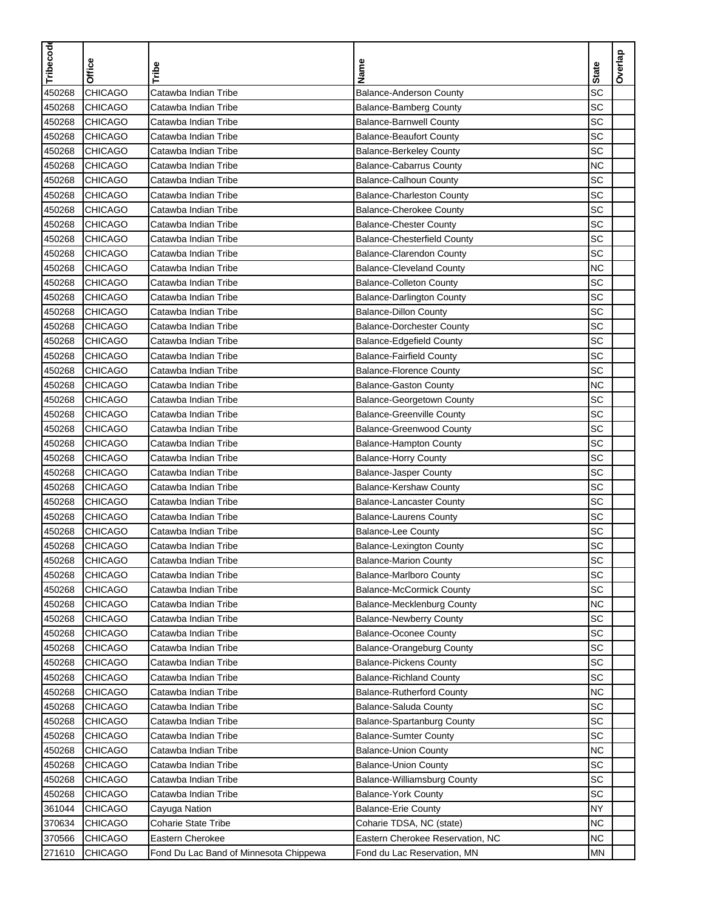| Tribecode | <b>Office</b>  | Tribe                                  | Name                               | <b>State</b> | Overlap |
|-----------|----------------|----------------------------------------|------------------------------------|--------------|---------|
| 450268    | <b>CHICAGO</b> | Catawba Indian Tribe                   | <b>Balance-Anderson County</b>     | SC           |         |
| 450268    | <b>CHICAGO</b> | Catawba Indian Tribe                   | <b>Balance-Bamberg County</b>      | SC           |         |
| 450268    | <b>CHICAGO</b> | Catawba Indian Tribe                   | <b>Balance-Barnwell County</b>     | SC           |         |
| 450268    | <b>CHICAGO</b> | Catawba Indian Tribe                   | <b>Balance-Beaufort County</b>     | SC           |         |
| 450268    | <b>CHICAGO</b> | Catawba Indian Tribe                   | <b>Balance-Berkeley County</b>     | SC           |         |
| 450268    | <b>CHICAGO</b> | Catawba Indian Tribe                   | <b>Balance-Cabarrus County</b>     | <b>NC</b>    |         |
| 450268    | <b>CHICAGO</b> | Catawba Indian Tribe                   | <b>Balance-Calhoun County</b>      | SC           |         |
| 450268    | <b>CHICAGO</b> | Catawba Indian Tribe                   | <b>Balance-Charleston County</b>   | SC           |         |
| 450268    | <b>CHICAGO</b> | Catawba Indian Tribe                   | <b>Balance-Cherokee County</b>     | SC           |         |
| 450268    | <b>CHICAGO</b> | Catawba Indian Tribe                   | <b>Balance-Chester County</b>      | SC           |         |
| 450268    | <b>CHICAGO</b> | Catawba Indian Tribe                   | <b>Balance-Chesterfield County</b> | SC           |         |
| 450268    | <b>CHICAGO</b> | Catawba Indian Tribe                   | <b>Balance-Clarendon County</b>    | SC           |         |
| 450268    | <b>CHICAGO</b> | Catawba Indian Tribe                   | <b>Balance-Cleveland County</b>    | <b>NC</b>    |         |
| 450268    | <b>CHICAGO</b> | Catawba Indian Tribe                   | <b>Balance-Colleton County</b>     | SC           |         |
| 450268    | <b>CHICAGO</b> | Catawba Indian Tribe                   | <b>Balance-Darlington County</b>   | SC           |         |
| 450268    | <b>CHICAGO</b> | Catawba Indian Tribe                   | <b>Balance-Dillon County</b>       | SC           |         |
| 450268    | <b>CHICAGO</b> | Catawba Indian Tribe                   | <b>Balance-Dorchester County</b>   | SC           |         |
| 450268    | <b>CHICAGO</b> | Catawba Indian Tribe                   | <b>Balance-Edgefield County</b>    | SC           |         |
| 450268    | <b>CHICAGO</b> | Catawba Indian Tribe                   | <b>Balance-Fairfield County</b>    | SC           |         |
| 450268    | <b>CHICAGO</b> | Catawba Indian Tribe                   | <b>Balance-Florence County</b>     | SC           |         |
| 450268    | <b>CHICAGO</b> | Catawba Indian Tribe                   | <b>Balance-Gaston County</b>       | <b>NC</b>    |         |
| 450268    | <b>CHICAGO</b> | Catawba Indian Tribe                   | Balance-Georgetown County          | SC           |         |
| 450268    | <b>CHICAGO</b> | Catawba Indian Tribe                   | <b>Balance-Greenville County</b>   | SC           |         |
| 450268    | <b>CHICAGO</b> | Catawba Indian Tribe                   | <b>Balance-Greenwood County</b>    | SC           |         |
| 450268    | <b>CHICAGO</b> | Catawba Indian Tribe                   | <b>Balance-Hampton County</b>      | SC           |         |
| 450268    | <b>CHICAGO</b> | Catawba Indian Tribe                   | <b>Balance-Horry County</b>        | SC           |         |
| 450268    | <b>CHICAGO</b> | Catawba Indian Tribe                   | <b>Balance-Jasper County</b>       | SC           |         |
| 450268    | <b>CHICAGO</b> | Catawba Indian Tribe                   | Balance-Kershaw County             | SC           |         |
| 450268    | <b>CHICAGO</b> | Catawba Indian Tribe                   | <b>Balance-Lancaster County</b>    | SC           |         |
| 450268    | <b>CHICAGO</b> | Catawba Indian Tribe                   | <b>Balance-Laurens County</b>      | SC           |         |
| 450268    | <b>CHICAGO</b> | Catawba Indian Tribe                   | <b>Balance-Lee County</b>          | SC           |         |
| 450268    | CHICAGO        | Catawba Indian Tribe                   | <b>Balance-Lexington County</b>    | SC           |         |
| 450268    | <b>CHICAGO</b> | Catawba Indian Tribe                   | <b>Balance-Marion County</b>       | <b>SC</b>    |         |
| 450268    | <b>CHICAGO</b> | Catawba Indian Tribe                   | Balance-Marlboro County            | SC           |         |
| 450268    | <b>CHICAGO</b> | Catawba Indian Tribe                   | <b>Balance-McCormick County</b>    | SC           |         |
| 450268    | <b>CHICAGO</b> | Catawba Indian Tribe                   | Balance-Mecklenburg County         | <b>NC</b>    |         |
| 450268    | <b>CHICAGO</b> | Catawba Indian Tribe                   | <b>Balance-Newberry County</b>     | <b>SC</b>    |         |
| 450268    | <b>CHICAGO</b> | Catawba Indian Tribe                   | <b>Balance-Oconee County</b>       | SC           |         |
| 450268    | <b>CHICAGO</b> | Catawba Indian Tribe                   | <b>Balance-Orangeburg County</b>   | SC           |         |
| 450268    | <b>CHICAGO</b> | Catawba Indian Tribe                   | <b>Balance-Pickens County</b>      | SC           |         |
| 450268    | <b>CHICAGO</b> | Catawba Indian Tribe                   | <b>Balance-Richland County</b>     | SC           |         |
| 450268    | <b>CHICAGO</b> | Catawba Indian Tribe                   | <b>Balance-Rutherford County</b>   | <b>NC</b>    |         |
| 450268    | <b>CHICAGO</b> | Catawba Indian Tribe                   | Balance-Saluda County              | SC           |         |
| 450268    | <b>CHICAGO</b> | Catawba Indian Tribe                   | Balance-Spartanburg County         | SC           |         |
| 450268    | <b>CHICAGO</b> | Catawba Indian Tribe                   | <b>Balance-Sumter County</b>       | <b>SC</b>    |         |
| 450268    | <b>CHICAGO</b> | Catawba Indian Tribe                   | <b>Balance-Union County</b>        | NC           |         |
| 450268    | <b>CHICAGO</b> | Catawba Indian Tribe                   | <b>Balance-Union County</b>        | SC           |         |
| 450268    | <b>CHICAGO</b> | Catawba Indian Tribe                   | Balance-Williamsburg County        | SC           |         |
| 450268    | <b>CHICAGO</b> | Catawba Indian Tribe                   | <b>Balance-York County</b>         | SC           |         |
| 361044    | <b>CHICAGO</b> | Cayuga Nation                          | <b>Balance-Erie County</b>         | NY           |         |
| 370634    | <b>CHICAGO</b> | <b>Coharie State Tribe</b>             | Coharie TDSA, NC (state)           | <b>NC</b>    |         |
| 370566    | <b>CHICAGO</b> | Eastern Cherokee                       | Eastern Cherokee Reservation, NC   | <b>NC</b>    |         |
| 271610    | <b>CHICAGO</b> | Fond Du Lac Band of Minnesota Chippewa | Fond du Lac Reservation, MN        | <b>MN</b>    |         |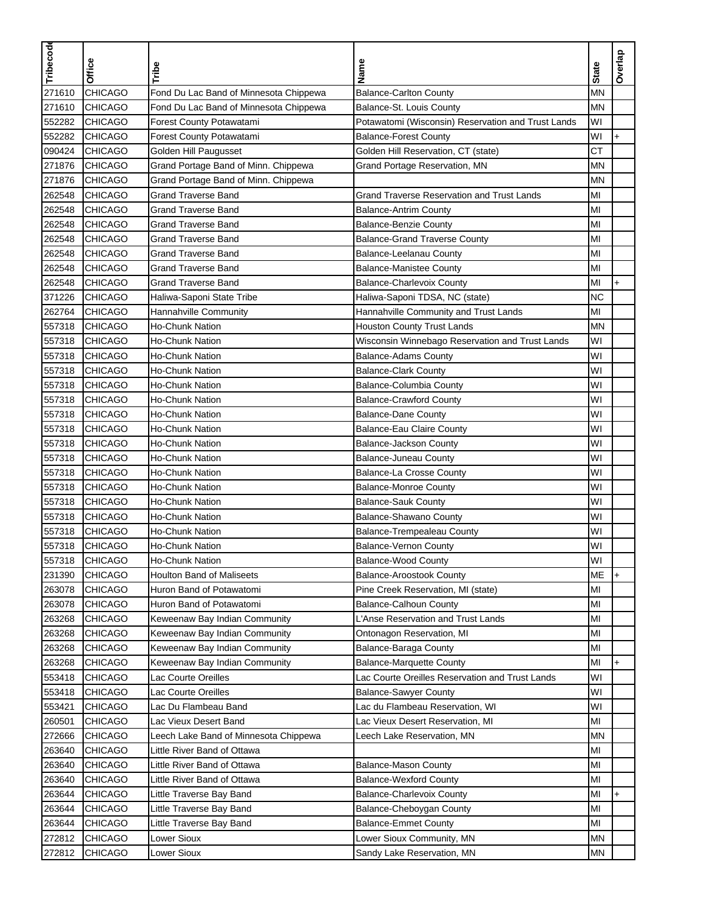| Tribecode |                |                                        |                                                    |              |                    |
|-----------|----------------|----------------------------------------|----------------------------------------------------|--------------|--------------------|
|           | <b>Office</b>  | Tribe                                  | Name                                               | <b>State</b> | Overlap            |
|           |                |                                        |                                                    |              |                    |
| 271610    | <b>CHICAGO</b> | Fond Du Lac Band of Minnesota Chippewa | <b>Balance-Carlton County</b>                      | <b>MN</b>    |                    |
| 271610    | <b>CHICAGO</b> | Fond Du Lac Band of Minnesota Chippewa | Balance-St. Louis County                           | <b>MN</b>    |                    |
| 552282    | <b>CHICAGO</b> | Forest County Potawatami               | Potawatomi (Wisconsin) Reservation and Trust Lands | WI           |                    |
| 552282    | <b>CHICAGO</b> | Forest County Potawatami               | <b>Balance-Forest County</b>                       | WI           | $\ddot{}$          |
| 090424    | <b>CHICAGO</b> | Golden Hill Paugusset                  | Golden Hill Reservation, CT (state)                | <b>CT</b>    |                    |
| 271876    | <b>CHICAGO</b> | Grand Portage Band of Minn. Chippewa   | Grand Portage Reservation, MN                      | <b>MN</b>    |                    |
| 271876    | <b>CHICAGO</b> | Grand Portage Band of Minn. Chippewa   |                                                    | MN           |                    |
| 262548    | <b>CHICAGO</b> | <b>Grand Traverse Band</b>             | <b>Grand Traverse Reservation and Trust Lands</b>  | MI           |                    |
| 262548    | <b>CHICAGO</b> | <b>Grand Traverse Band</b>             | <b>Balance-Antrim County</b>                       | MI           |                    |
| 262548    | <b>CHICAGO</b> | <b>Grand Traverse Band</b>             | <b>Balance-Benzie County</b>                       | MI           |                    |
| 262548    | <b>CHICAGO</b> | <b>Grand Traverse Band</b>             | <b>Balance-Grand Traverse County</b>               | MI           |                    |
| 262548    | <b>CHICAGO</b> | <b>Grand Traverse Band</b>             | Balance-Leelanau County                            | MI           |                    |
| 262548    | <b>CHICAGO</b> | <b>Grand Traverse Band</b>             | <b>Balance-Manistee County</b>                     | MI           |                    |
| 262548    | <b>CHICAGO</b> | <b>Grand Traverse Band</b>             | <b>Balance-Charlevoix County</b>                   | MI           | $+$                |
| 371226    | <b>CHICAGO</b> | Haliwa-Saponi State Tribe              | Haliwa-Saponi TDSA, NC (state)                     | <b>NC</b>    |                    |
| 262764    | <b>CHICAGO</b> | Hannahville Community                  | Hannahville Community and Trust Lands              | MI           |                    |
| 557318    | <b>CHICAGO</b> | Ho-Chunk Nation                        | <b>Houston County Trust Lands</b>                  | <b>MN</b>    |                    |
| 557318    | <b>CHICAGO</b> | <b>Ho-Chunk Nation</b>                 | Wisconsin Winnebago Reservation and Trust Lands    | WI           |                    |
| 557318    | <b>CHICAGO</b> | Ho-Chunk Nation                        | <b>Balance-Adams County</b>                        | WI           |                    |
| 557318    | <b>CHICAGO</b> | Ho-Chunk Nation                        | <b>Balance-Clark County</b>                        | WI           |                    |
| 557318    | <b>CHICAGO</b> | Ho-Chunk Nation                        | Balance-Columbia County                            | WI           |                    |
| 557318    | <b>CHICAGO</b> | Ho-Chunk Nation                        | <b>Balance-Crawford County</b>                     | WI           |                    |
| 557318    | <b>CHICAGO</b> | Ho-Chunk Nation                        | <b>Balance-Dane County</b>                         | WI           |                    |
| 557318    | <b>CHICAGO</b> | Ho-Chunk Nation                        | Balance-Eau Claire County                          | WI           |                    |
| 557318    | <b>CHICAGO</b> | Ho-Chunk Nation                        | <b>Balance-Jackson County</b>                      | WI           |                    |
| 557318    | <b>CHICAGO</b> | Ho-Chunk Nation                        | <b>Balance-Juneau County</b>                       | WI           |                    |
| 557318    | <b>CHICAGO</b> | <b>Ho-Chunk Nation</b>                 | Balance-La Crosse County                           | WI           |                    |
| 557318    | <b>CHICAGO</b> | Ho-Chunk Nation                        | <b>Balance-Monroe County</b>                       | WI           |                    |
| 557318    | <b>CHICAGO</b> | Ho-Chunk Nation                        | <b>Balance-Sauk County</b>                         | WI           |                    |
| 557318    | <b>CHICAGO</b> | Ho-Chunk Nation                        | Balance-Shawano County                             | WI           |                    |
| 557318    | <b>CHICAGO</b> | Ho-Chunk Nation                        | Balance-Trempealeau County                         | WI           |                    |
| 557318    | <b>CHICAGO</b> | <b>Ho-Chunk Nation</b>                 | <b>Balance-Vernon County</b>                       | WI           |                    |
| 557318    | <b>CHICAGO</b> | Ho-Chunk Nation                        | <b>Balance-Wood County</b>                         | WI           |                    |
| 231390    | <b>CHICAGO</b> | <b>Houlton Band of Maliseets</b>       | <b>Balance-Aroostook County</b>                    | ME           | $\left  + \right $ |
| 263078    | <b>CHICAGO</b> | Huron Band of Potawatomi               | Pine Creek Reservation, MI (state)                 | MI           |                    |
| 263078    | <b>CHICAGO</b> | Huron Band of Potawatomi               | <b>Balance-Calhoun County</b>                      | MI           |                    |
| 263268    | <b>CHICAGO</b> | Keweenaw Bay Indian Community          | L'Anse Reservation and Trust Lands                 | MI           |                    |
| 263268    | <b>CHICAGO</b> | Keweenaw Bay Indian Community          | Ontonagon Reservation, MI                          | MI           |                    |
| 263268    | <b>CHICAGO</b> | Keweenaw Bay Indian Community          | Balance-Baraga County                              | MI           |                    |
| 263268    | <b>CHICAGO</b> | Keweenaw Bay Indian Community          | <b>Balance-Marquette County</b>                    | MI           | +                  |
| 553418    | <b>CHICAGO</b> | Lac Courte Oreilles                    | Lac Courte Oreilles Reservation and Trust Lands    | WI           |                    |
| 553418    | <b>CHICAGO</b> | Lac Courte Oreilles                    | <b>Balance-Sawyer County</b>                       | WI           |                    |
| 553421    | <b>CHICAGO</b> | Lac Du Flambeau Band                   | Lac du Flambeau Reservation, WI                    | WI           |                    |
| 260501    | <b>CHICAGO</b> | Lac Vieux Desert Band                  | Lac Vieux Desert Reservation, MI                   | MI           |                    |
| 272666    | <b>CHICAGO</b> | Leech Lake Band of Minnesota Chippewa  | Leech Lake Reservation, MN                         | ΜN           |                    |
| 263640    | <b>CHICAGO</b> | Little River Band of Ottawa            |                                                    | MI           |                    |
| 263640    | <b>CHICAGO</b> | Little River Band of Ottawa            | <b>Balance-Mason County</b>                        | MI           |                    |
| 263640    | CHICAGO        | Little River Band of Ottawa            | <b>Balance-Wexford County</b>                      | MI           |                    |
| 263644    | <b>CHICAGO</b> | Little Traverse Bay Band               | Balance-Charlevoix County                          | MI           | $\ddot{}$          |
| 263644    | <b>CHICAGO</b> | Little Traverse Bay Band               | Balance-Cheboygan County                           | MI           |                    |
| 263644    | <b>CHICAGO</b> | Little Traverse Bay Band               | <b>Balance-Emmet County</b>                        | MI           |                    |
| 272812    | <b>CHICAGO</b> | Lower Sioux                            | Lower Sioux Community, MN                          | <b>MN</b>    |                    |
| 272812    | <b>CHICAGO</b> | Lower Sioux                            | Sandy Lake Reservation, MN                         | <b>MN</b>    |                    |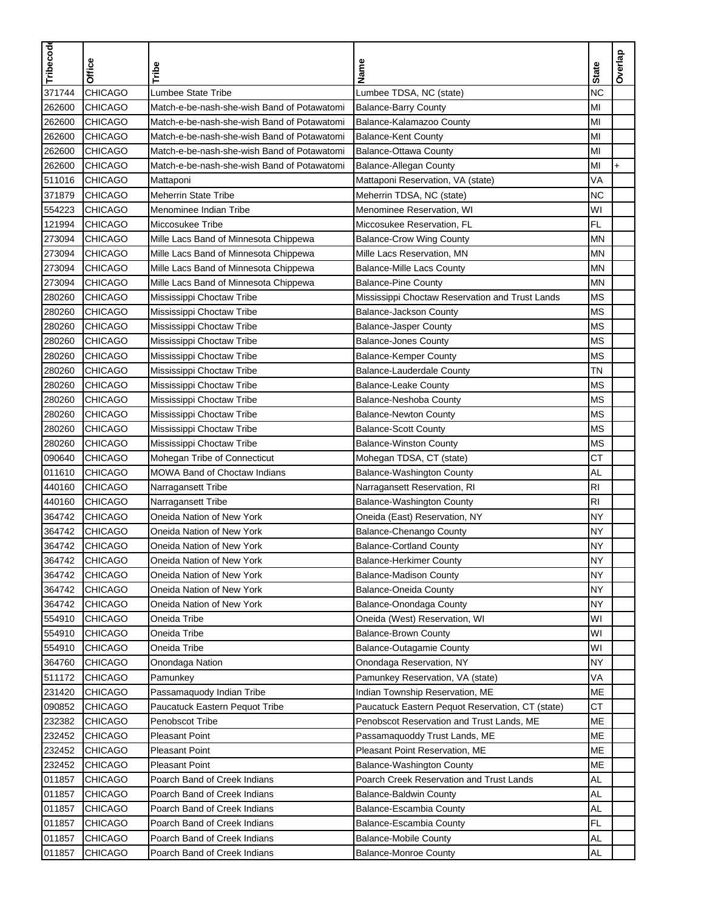| Tribecode | Office         | Tribe                                       | Name                                             | <b>State</b>   | Overlap   |
|-----------|----------------|---------------------------------------------|--------------------------------------------------|----------------|-----------|
| 371744    | <b>CHICAGO</b> | Lumbee State Tribe                          | Lumbee TDSA, NC (state)                          | <b>NC</b>      |           |
| 262600    | <b>CHICAGO</b> | Match-e-be-nash-she-wish Band of Potawatomi | <b>Balance-Barry County</b>                      | MI             |           |
| 262600    | <b>CHICAGO</b> | Match-e-be-nash-she-wish Band of Potawatomi | Balance-Kalamazoo County                         | MI             |           |
| 262600    | <b>CHICAGO</b> | Match-e-be-nash-she-wish Band of Potawatomi | <b>Balance-Kent County</b>                       | MI             |           |
| 262600    | <b>CHICAGO</b> | Match-e-be-nash-she-wish Band of Potawatomi | Balance-Ottawa County                            | MI             |           |
| 262600    | <b>CHICAGO</b> | Match-e-be-nash-she-wish Band of Potawatomi | <b>Balance-Allegan County</b>                    | MI             | $\ddot{}$ |
| 511016    | <b>CHICAGO</b> | Mattaponi                                   | Mattaponi Reservation, VA (state)                | VA             |           |
| 371879    | <b>CHICAGO</b> | <b>Meherrin State Tribe</b>                 | Meherrin TDSA, NC (state)                        | <b>NC</b>      |           |
| 554223    | <b>CHICAGO</b> | Menominee Indian Tribe                      | Menominee Reservation, WI                        | WI             |           |
| 121994    | <b>CHICAGO</b> | Miccosukee Tribe                            | Miccosukee Reservation, FL                       | <b>FL</b>      |           |
| 273094    | <b>CHICAGO</b> | Mille Lacs Band of Minnesota Chippewa       | <b>Balance-Crow Wing County</b>                  | MN             |           |
| 273094    | <b>CHICAGO</b> | Mille Lacs Band of Minnesota Chippewa       | Mille Lacs Reservation, MN                       | MN             |           |
| 273094    | <b>CHICAGO</b> | Mille Lacs Band of Minnesota Chippewa       | <b>Balance-Mille Lacs County</b>                 | <b>MN</b>      |           |
| 273094    | <b>CHICAGO</b> | Mille Lacs Band of Minnesota Chippewa       | <b>Balance-Pine County</b>                       | <b>MN</b>      |           |
| 280260    | <b>CHICAGO</b> | Mississippi Choctaw Tribe                   | Mississippi Choctaw Reservation and Trust Lands  | <b>MS</b>      |           |
| 280260    | <b>CHICAGO</b> | Mississippi Choctaw Tribe                   | Balance-Jackson County                           | <b>MS</b>      |           |
| 280260    | <b>CHICAGO</b> | Mississippi Choctaw Tribe                   | <b>Balance-Jasper County</b>                     | <b>MS</b>      |           |
| 280260    | <b>CHICAGO</b> | Mississippi Choctaw Tribe                   | <b>Balance-Jones County</b>                      | <b>MS</b>      |           |
| 280260    | <b>CHICAGO</b> | Mississippi Choctaw Tribe                   | <b>Balance-Kemper County</b>                     | <b>MS</b>      |           |
| 280260    | <b>CHICAGO</b> | Mississippi Choctaw Tribe                   | Balance-Lauderdale County                        | <b>TN</b>      |           |
| 280260    | <b>CHICAGO</b> | Mississippi Choctaw Tribe                   | <b>Balance-Leake County</b>                      | <b>MS</b>      |           |
| 280260    | <b>CHICAGO</b> | Mississippi Choctaw Tribe                   | Balance-Neshoba County                           | <b>MS</b>      |           |
| 280260    | <b>CHICAGO</b> | Mississippi Choctaw Tribe                   | <b>Balance-Newton County</b>                     | <b>MS</b>      |           |
| 280260    | <b>CHICAGO</b> | Mississippi Choctaw Tribe                   | <b>Balance-Scott County</b>                      | <b>MS</b>      |           |
| 280260    | <b>CHICAGO</b> | Mississippi Choctaw Tribe                   | <b>Balance-Winston County</b>                    | <b>MS</b>      |           |
| 090640    | <b>CHICAGO</b> | Mohegan Tribe of Connecticut                | Mohegan TDSA, CT (state)                         | <b>CT</b>      |           |
| 011610    | <b>CHICAGO</b> | <b>MOWA Band of Choctaw Indians</b>         | Balance-Washington County                        | <b>AL</b>      |           |
| 440160    | <b>CHICAGO</b> | Narragansett Tribe                          | Narragansett Reservation, RI                     | RI             |           |
| 440160    | <b>CHICAGO</b> | Narragansett Tribe                          | <b>Balance-Washington County</b>                 | R <sub>l</sub> |           |
| 364742    | <b>CHICAGO</b> | Oneida Nation of New York                   | Oneida (East) Reservation, NY                    | <b>NY</b>      |           |
| 364742    | <b>CHICAGO</b> | Oneida Nation of New York                   | Balance-Chenango County                          | <b>NY</b>      |           |
| 364742    | <b>CHICAGO</b> | Oneida Nation of New York                   | <b>Balance-Cortland County</b>                   | <b>NY</b>      |           |
| 364742    | <b>CHICAGO</b> | Oneida Nation of New York                   | <b>Balance-Herkimer County</b>                   | <b>NY</b>      |           |
| 364742    | <b>CHICAGO</b> | Oneida Nation of New York                   | <b>Balance-Madison County</b>                    | <b>NY</b>      |           |
| 364742    | <b>CHICAGO</b> | Oneida Nation of New York                   | <b>Balance-Oneida County</b>                     | <b>NY</b>      |           |
| 364742    | <b>CHICAGO</b> | Oneida Nation of New York                   | Balance-Onondaga County                          | <b>NY</b>      |           |
| 554910    | <b>CHICAGO</b> | Oneida Tribe                                | Oneida (West) Reservation, WI                    | WI             |           |
| 554910    | <b>CHICAGO</b> | Oneida Tribe                                | <b>Balance-Brown County</b>                      | WI             |           |
| 554910    | <b>CHICAGO</b> | Oneida Tribe                                | <b>Balance-Outagamie County</b>                  | WI             |           |
| 364760    | <b>CHICAGO</b> | Onondaga Nation                             | Onondaga Reservation, NY                         | <b>NY</b>      |           |
| 511172    | <b>CHICAGO</b> | Pamunkey                                    | Pamunkey Reservation, VA (state)                 | VA             |           |
| 231420    | <b>CHICAGO</b> | Passamaquody Indian Tribe                   | Indian Township Reservation, ME                  | ME             |           |
| 090852    | <b>CHICAGO</b> | Paucatuck Eastern Pequot Tribe              | Paucatuck Eastern Pequot Reservation, CT (state) | <b>CT</b>      |           |
| 232382    | <b>CHICAGO</b> | Penobscot Tribe                             | Penobscot Reservation and Trust Lands, ME        | МE             |           |
| 232452    | <b>CHICAGO</b> | <b>Pleasant Point</b>                       | Passamaquoddy Trust Lands, ME                    | ME             |           |
| 232452    | <b>CHICAGO</b> | <b>Pleasant Point</b>                       | Pleasant Point Reservation, ME                   | ME             |           |
| 232452    | <b>CHICAGO</b> | <b>Pleasant Point</b>                       | Balance-Washington County                        | ME             |           |
| 011857    | <b>CHICAGO</b> | Poarch Band of Creek Indians                | Poarch Creek Reservation and Trust Lands         | AL             |           |
| 011857    | <b>CHICAGO</b> | Poarch Band of Creek Indians                | Balance-Baldwin County                           | AL             |           |
| 011857    | <b>CHICAGO</b> | Poarch Band of Creek Indians                | Balance-Escambia County                          | AL             |           |
| 011857    | <b>CHICAGO</b> | Poarch Band of Creek Indians                | Balance-Escambia County                          | FL             |           |
| 011857    | <b>CHICAGO</b> | Poarch Band of Creek Indians                | <b>Balance-Mobile County</b>                     | <b>AL</b>      |           |
| 011857    | <b>CHICAGO</b> | Poarch Band of Creek Indians                | <b>Balance-Monroe County</b>                     | <b>AL</b>      |           |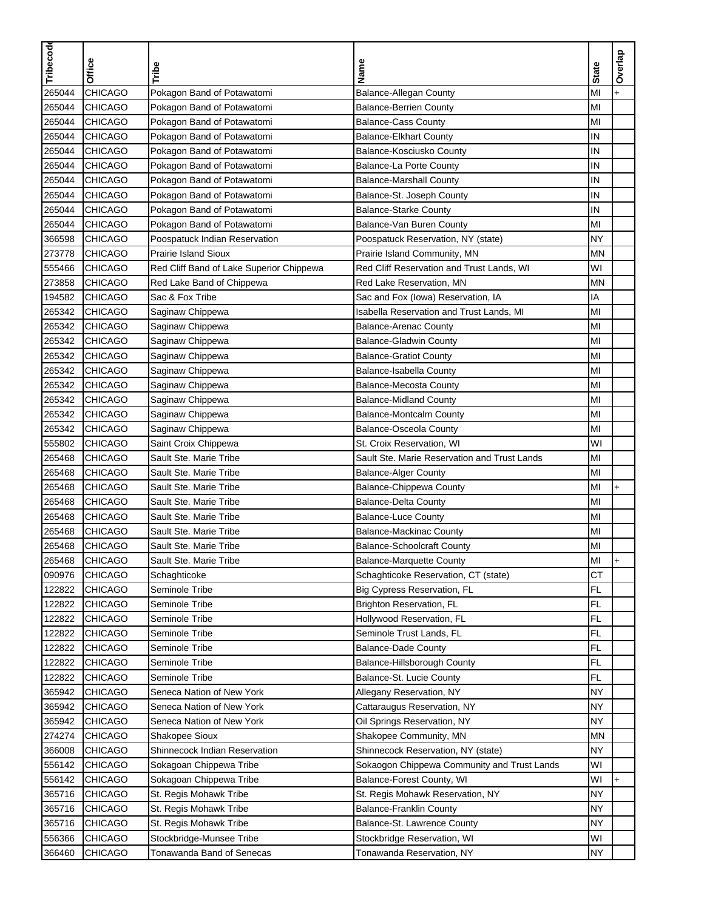| Tribecode |                |                                          |                                              |              | Overlap   |
|-----------|----------------|------------------------------------------|----------------------------------------------|--------------|-----------|
|           | Office         | Tribe                                    | Name                                         | <b>State</b> |           |
| 265044    | <b>CHICAGO</b> | Pokagon Band of Potawatomi               | <b>Balance-Allegan County</b>                | MI           |           |
| 265044    | <b>CHICAGO</b> | Pokagon Band of Potawatomi               | <b>Balance-Berrien County</b>                | MI           |           |
| 265044    | <b>CHICAGO</b> | Pokagon Band of Potawatomi               | <b>Balance-Cass County</b>                   | MI           |           |
| 265044    | <b>CHICAGO</b> | Pokagon Band of Potawatomi               | <b>Balance-Elkhart County</b>                | IN           |           |
|           |                |                                          |                                              | IN           |           |
| 265044    | <b>CHICAGO</b> | Pokagon Band of Potawatomi               | Balance-Kosciusko County                     |              |           |
| 265044    | <b>CHICAGO</b> | Pokagon Band of Potawatomi               | Balance-La Porte County                      | IN           |           |
| 265044    | <b>CHICAGO</b> | Pokagon Band of Potawatomi               | <b>Balance-Marshall County</b>               | IN           |           |
| 265044    | <b>CHICAGO</b> | Pokagon Band of Potawatomi               | Balance-St. Joseph County                    | IN           |           |
| 265044    | <b>CHICAGO</b> | Pokagon Band of Potawatomi               | <b>Balance-Starke County</b>                 | IN           |           |
| 265044    | <b>CHICAGO</b> | Pokagon Band of Potawatomi               | Balance-Van Buren County                     | MI           |           |
| 366598    | <b>CHICAGO</b> | Poospatuck Indian Reservation            | Poospatuck Reservation, NY (state)           | <b>NY</b>    |           |
| 273778    | <b>CHICAGO</b> | Prairie Island Sioux                     | Prairie Island Community, MN                 | <b>MN</b>    |           |
| 555466    | <b>CHICAGO</b> | Red Cliff Band of Lake Superior Chippewa | Red Cliff Reservation and Trust Lands, WI    | WI           |           |
| 273858    | <b>CHICAGO</b> | Red Lake Band of Chippewa                | Red Lake Reservation, MN                     | <b>MN</b>    |           |
| 194582    | <b>CHICAGO</b> | Sac & Fox Tribe                          | Sac and Fox (lowa) Reservation, IA           | IA           |           |
| 265342    | <b>CHICAGO</b> | Saginaw Chippewa                         | Isabella Reservation and Trust Lands. MI     | MI           |           |
| 265342    | <b>CHICAGO</b> | Saginaw Chippewa                         | <b>Balance-Arenac County</b>                 | MI           |           |
| 265342    | <b>CHICAGO</b> | Saginaw Chippewa                         | <b>Balance-Gladwin County</b>                | MI           |           |
| 265342    | <b>CHICAGO</b> | Saginaw Chippewa                         | <b>Balance-Gratiot County</b>                | MI           |           |
| 265342    | <b>CHICAGO</b> | Saginaw Chippewa                         | Balance-Isabella County                      | MI           |           |
| 265342    | <b>CHICAGO</b> | Saginaw Chippewa                         | <b>Balance-Mecosta County</b>                | MI           |           |
| 265342    | <b>CHICAGO</b> | Saginaw Chippewa                         | <b>Balance-Midland County</b>                | MI           |           |
| 265342    | <b>CHICAGO</b> | Saginaw Chippewa                         | <b>Balance-Montcalm County</b>               | MI           |           |
| 265342    | <b>CHICAGO</b> | Saginaw Chippewa                         | <b>Balance-Osceola County</b>                | MI           |           |
| 555802    | <b>CHICAGO</b> | Saint Croix Chippewa                     | St. Croix Reservation, WI                    | WI           |           |
| 265468    | <b>CHICAGO</b> | Sault Ste. Marie Tribe                   | Sault Ste. Marie Reservation and Trust Lands | MI           |           |
| 265468    | <b>CHICAGO</b> | Sault Ste. Marie Tribe                   | <b>Balance-Alger County</b>                  | MI           |           |
| 265468    | <b>CHICAGO</b> | Sault Ste. Marie Tribe                   |                                              | MI           | $\ddot{}$ |
|           |                |                                          | Balance-Chippewa County                      |              |           |
| 265468    | <b>CHICAGO</b> | Sault Ste. Marie Tribe                   | <b>Balance-Delta County</b>                  | MI           |           |
| 265468    | <b>CHICAGO</b> | Sault Ste. Marie Tribe                   | <b>Balance-Luce County</b>                   | MI           |           |
| 265468    | <b>CHICAGO</b> | Sault Ste. Marie Tribe                   | <b>Balance-Mackinac County</b>               | MI           |           |
| 265468    | CHICAGO        | Sault Ste. Marie Tribe                   | <b>Balance-Schoolcraft County</b>            | MI           |           |
| 265468    | <b>CHICAGO</b> | Sault Ste. Marie Tribe                   | <b>Balance-Marquette County</b>              | MI           | $\ddot{}$ |
| 090976    | <b>CHICAGO</b> | Schaghticoke                             | Schaghticoke Reservation, CT (state)         | CT           |           |
| 122822    | <b>CHICAGO</b> | Seminole Tribe                           | Big Cypress Reservation, FL                  | FL           |           |
| 122822    | <b>CHICAGO</b> | Seminole Tribe                           | <b>Brighton Reservation, FL</b>              | <b>FL</b>    |           |
| 122822    | <b>CHICAGO</b> | Seminole Tribe                           | Hollywood Reservation, FL                    | <b>FL</b>    |           |
| 122822    | <b>CHICAGO</b> | Seminole Tribe                           | Seminole Trust Lands, FL                     | FL           |           |
| 122822    | <b>CHICAGO</b> | Seminole Tribe                           | <b>Balance-Dade County</b>                   | FL           |           |
| 122822    | CHICAGO        | Seminole Tribe                           | Balance-Hillsborough County                  | FL           |           |
| 122822    | <b>CHICAGO</b> | Seminole Tribe                           | Balance-St. Lucie County                     | <b>FL</b>    |           |
| 365942    | CHICAGO        | Seneca Nation of New York                | Allegany Reservation, NY                     | <b>NY</b>    |           |
| 365942    | <b>CHICAGO</b> | Seneca Nation of New York                | Cattaraugus Reservation, NY                  | <b>NY</b>    |           |
| 365942    | CHICAGO        | Seneca Nation of New York                | Oil Springs Reservation, NY                  | <b>NY</b>    |           |
| 274274    | <b>CHICAGO</b> | Shakopee Sioux                           | Shakopee Community, MN                       | ΜN           |           |
| 366008    | <b>CHICAGO</b> | Shinnecock Indian Reservation            | Shinnecock Reservation, NY (state)           | <b>NY</b>    |           |
| 556142    | <b>CHICAGO</b> | Sokagoan Chippewa Tribe                  | Sokaogon Chippewa Community and Trust Lands  | WI           |           |
| 556142    | CHICAGO        | Sokagoan Chippewa Tribe                  | Balance-Forest County, WI                    | WI           |           |
| 365716    | <b>CHICAGO</b> | St. Regis Mohawk Tribe                   | St. Regis Mohawk Reservation, NY             | <b>NY</b>    |           |
| 365716    | <b>CHICAGO</b> | St. Regis Mohawk Tribe                   | Balance-Franklin County                      | <b>NY</b>    |           |
| 365716    | <b>CHICAGO</b> | St. Regis Mohawk Tribe                   | Balance-St. Lawrence County                  | <b>NY</b>    |           |
| 556366    | <b>CHICAGO</b> | Stockbridge-Munsee Tribe                 | Stockbridge Reservation, WI                  | WI           |           |
| 366460    | <b>CHICAGO</b> | Tonawanda Band of Senecas                | Tonawanda Reservation, NY                    | <b>NY</b>    |           |
|           |                |                                          |                                              |              |           |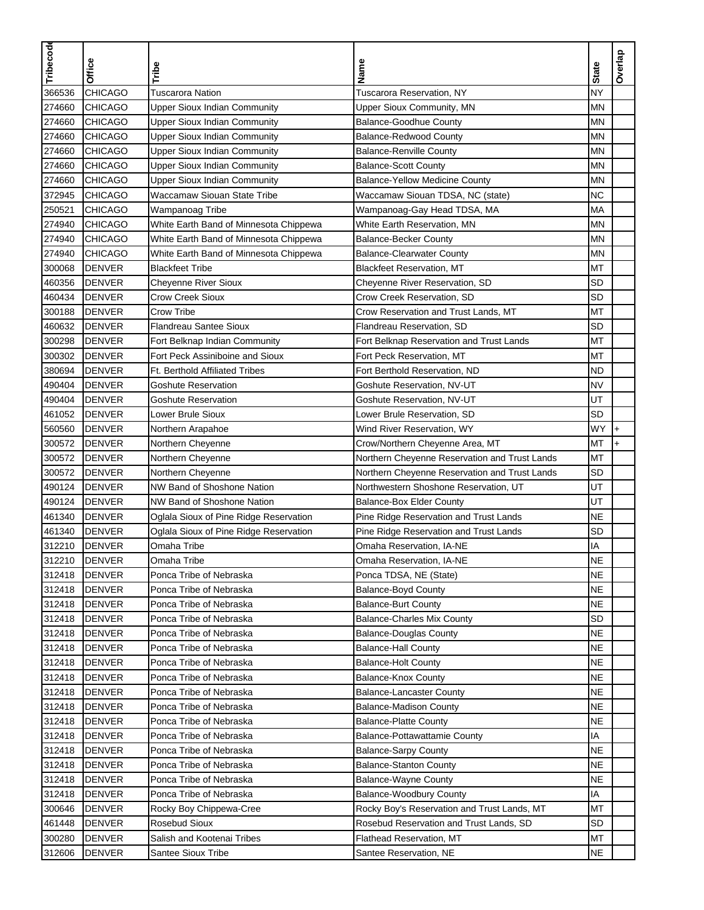| Tribecode | Office         | Tribe                                  | Name                                          | <b>State</b> | Overlap   |
|-----------|----------------|----------------------------------------|-----------------------------------------------|--------------|-----------|
| 366536    | <b>CHICAGO</b> | <b>Tuscarora Nation</b>                | Tuscarora Reservation, NY                     | <b>NY</b>    |           |
| 274660    | <b>CHICAGO</b> | <b>Upper Sioux Indian Community</b>    | Upper Sioux Community, MN                     | <b>MN</b>    |           |
| 274660    | <b>CHICAGO</b> | <b>Upper Sioux Indian Community</b>    | <b>Balance-Goodhue County</b>                 | <b>MN</b>    |           |
| 274660    | <b>CHICAGO</b> | <b>Upper Sioux Indian Community</b>    | <b>Balance-Redwood County</b>                 | <b>MN</b>    |           |
| 274660    | <b>CHICAGO</b> | <b>Upper Sioux Indian Community</b>    | <b>Balance-Renville County</b>                | <b>MN</b>    |           |
| 274660    | <b>CHICAGO</b> | <b>Upper Sioux Indian Community</b>    | <b>Balance-Scott County</b>                   | <b>MN</b>    |           |
| 274660    | <b>CHICAGO</b> | <b>Upper Sioux Indian Community</b>    | <b>Balance-Yellow Medicine County</b>         | <b>MN</b>    |           |
| 372945    | <b>CHICAGO</b> | Waccamaw Siouan State Tribe            | Waccamaw Siouan TDSA, NC (state)              | <b>NC</b>    |           |
| 250521    | <b>CHICAGO</b> | Wampanoag Tribe                        | Wampanoag-Gay Head TDSA, MA                   | <b>MA</b>    |           |
| 274940    | <b>CHICAGO</b> | White Earth Band of Minnesota Chippewa | White Earth Reservation, MN                   | <b>MN</b>    |           |
| 274940    | <b>CHICAGO</b> | White Earth Band of Minnesota Chippewa | <b>Balance-Becker County</b>                  | MN           |           |
| 274940    | <b>CHICAGO</b> | White Earth Band of Minnesota Chippewa | <b>Balance-Clearwater County</b>              | <b>MN</b>    |           |
| 300068    | <b>DENVER</b>  | <b>Blackfeet Tribe</b>                 | <b>Blackfeet Reservation, MT</b>              | MT           |           |
| 460356    | <b>DENVER</b>  | Cheyenne River Sioux                   | Cheyenne River Reservation, SD                | <b>SD</b>    |           |
| 460434    | <b>DENVER</b>  | <b>Crow Creek Sioux</b>                | Crow Creek Reservation, SD                    | <b>SD</b>    |           |
| 300188    | <b>DENVER</b>  | Crow Tribe                             | Crow Reservation and Trust Lands, MT          | MT           |           |
| 460632    | <b>DENVER</b>  | <b>Flandreau Santee Sioux</b>          | Flandreau Reservation, SD                     | <b>SD</b>    |           |
| 300298    | <b>DENVER</b>  | Fort Belknap Indian Community          | Fort Belknap Reservation and Trust Lands      | <b>MT</b>    |           |
| 300302    | <b>DENVER</b>  | Fort Peck Assiniboine and Sioux        | Fort Peck Reservation, MT                     | МT           |           |
| 380694    | <b>DENVER</b>  | <b>Ft. Berthold Affiliated Tribes</b>  | Fort Berthold Reservation, ND                 | <b>ND</b>    |           |
| 490404    | <b>DENVER</b>  | <b>Goshute Reservation</b>             | Goshute Reservation, NV-UT                    | <b>NV</b>    |           |
| 490404    | <b>DENVER</b>  | Goshute Reservation                    | Goshute Reservation, NV-UT                    | UT           |           |
| 461052    | <b>DENVER</b>  | Lower Brule Sioux                      | Lower Brule Reservation, SD                   | <b>SD</b>    |           |
| 560560    | <b>DENVER</b>  | Northern Arapahoe                      | Wind River Reservation, WY                    | WY           | $\ddot{}$ |
| 300572    | <b>DENVER</b>  | Northern Cheyenne                      | Crow/Northern Cheyenne Area, MT               | MT           | $\ddot{}$ |
| 300572    | <b>DENVER</b>  | Northern Cheyenne                      | Northern Cheyenne Reservation and Trust Lands | MT           |           |
| 300572    | <b>DENVER</b>  | Northern Cheyenne                      | Northern Cheyenne Reservation and Trust Lands | <b>SD</b>    |           |
| 490124    | <b>DENVER</b>  | NW Band of Shoshone Nation             | Northwestern Shoshone Reservation, UT         | UT           |           |
| 490124    | <b>DENVER</b>  | NW Band of Shoshone Nation             | <b>Balance-Box Elder County</b>               | UT           |           |
| 461340    | <b>DENVER</b>  | Oglala Sioux of Pine Ridge Reservation | Pine Ridge Reservation and Trust Lands        | <b>NE</b>    |           |
| 461340    | <b>DENVER</b>  | Oglala Sioux of Pine Ridge Reservation | Pine Ridge Reservation and Trust Lands        | <b>SD</b>    |           |
| 312210    | <b>DENVER</b>  | Omaha Tribe                            | Omaha Reservation, IA-NE                      | IA           |           |
| 312210    | <b>DENVER</b>  | Omaha Tribe                            | Omaha Reservation, IA-NE                      | <b>NE</b>    |           |
| 312418    | <b>DENVER</b>  | Ponca Tribe of Nebraska                | Ponca TDSA, NE (State)                        | <b>NE</b>    |           |
| 312418    | <b>DENVER</b>  | Ponca Tribe of Nebraska                | <b>Balance-Boyd County</b>                    | <b>NE</b>    |           |
| 312418    | <b>DENVER</b>  | Ponca Tribe of Nebraska                | <b>Balance-Burt County</b>                    | <b>NE</b>    |           |
| 312418    | <b>DENVER</b>  | Ponca Tribe of Nebraska                | <b>Balance-Charles Mix County</b>             | <b>SD</b>    |           |
| 312418    | <b>DENVER</b>  | Ponca Tribe of Nebraska                | <b>Balance-Douglas County</b>                 | <b>NE</b>    |           |
| 312418    | <b>DENVER</b>  | Ponca Tribe of Nebraska                | <b>Balance-Hall County</b>                    | <b>NE</b>    |           |
| 312418    | <b>DENVER</b>  | Ponca Tribe of Nebraska                | <b>Balance-Holt County</b>                    | <b>NE</b>    |           |
| 312418    | <b>DENVER</b>  | Ponca Tribe of Nebraska                | Balance-Knox County                           | <b>NE</b>    |           |
| 312418    | <b>DENVER</b>  | Ponca Tribe of Nebraska                | <b>Balance-Lancaster County</b>               | <b>NE</b>    |           |
| 312418    | <b>DENVER</b>  | Ponca Tribe of Nebraska                | <b>Balance-Madison County</b>                 | <b>NE</b>    |           |
| 312418    | <b>DENVER</b>  | Ponca Tribe of Nebraska                | <b>Balance-Platte County</b>                  | <b>NE</b>    |           |
| 312418    | <b>DENVER</b>  | Ponca Tribe of Nebraska                | <b>Balance-Pottawattamie County</b>           | IA           |           |
| 312418    | <b>DENVER</b>  | Ponca Tribe of Nebraska                | <b>Balance-Sarpy County</b>                   | <b>NE</b>    |           |
| 312418    | <b>DENVER</b>  | Ponca Tribe of Nebraska                | <b>Balance-Stanton County</b>                 | <b>NE</b>    |           |
|           |                |                                        |                                               | <b>NE</b>    |           |
| 312418    | <b>DENVER</b>  | Ponca Tribe of Nebraska                | <b>Balance-Wayne County</b>                   |              |           |
| 312418    | <b>DENVER</b>  | Ponca Tribe of Nebraska                | Balance-Woodbury County                       | IA           |           |
| 300646    | <b>DENVER</b>  | Rocky Boy Chippewa-Cree                | Rocky Boy's Reservation and Trust Lands, MT   | MT           |           |
| 461448    | <b>DENVER</b>  | Rosebud Sioux                          | Rosebud Reservation and Trust Lands, SD       | <b>SD</b>    |           |
| 300280    | <b>DENVER</b>  | Salish and Kootenai Tribes             | Flathead Reservation, MT                      | MT           |           |
| 312606    | <b>DENVER</b>  | Santee Sioux Tribe                     | Santee Reservation, NE                        | <b>NE</b>    |           |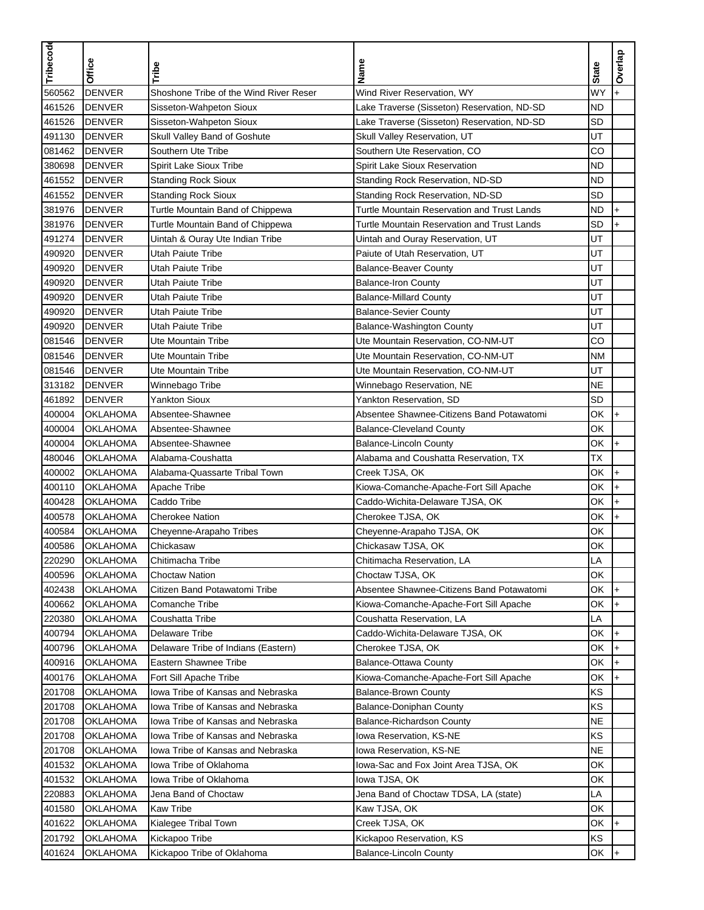| WY<br><b>DENVER</b><br>560562<br>Shoshone Tribe of the Wind River Reser<br>Wind River Reservation, WY<br>461526<br><b>DENVER</b><br>Sisseton-Wahpeton Sioux<br>Lake Traverse (Sisseton) Reservation, ND-SD<br><b>ND</b><br>461526<br>Lake Traverse (Sisseton) Reservation, ND-SD<br>SD<br><b>DENVER</b><br>Sisseton-Wahpeton Sioux<br><b>DENVER</b><br>UT<br>491130<br>Skull Valley Band of Goshute<br>Skull Valley Reservation, UT<br>081462<br><b>DENVER</b><br>Southern Ute Tribe<br>Southern Ute Reservation, CO<br>CO<br>380698<br><b>ND</b><br><b>DENVER</b><br><b>Spirit Lake Sioux Tribe</b><br>Spirit Lake Sioux Reservation<br>461552<br><b>ND</b><br><b>DENVER</b><br><b>Standing Rock Sioux</b><br>Standing Rock Reservation, ND-SD<br>461552<br><b>SD</b><br><b>DENVER</b><br><b>Standing Rock Sioux</b><br>Standing Rock Reservation, ND-SD<br>381976<br><b>ND</b><br><b>DENVER</b><br>Turtle Mountain Band of Chippewa<br>Turtle Mountain Reservation and Trust Lands<br>$\ddot{}$<br>SD<br>381976<br><b>DENVER</b><br>Turtle Mountain Band of Chippewa<br>Turtle Mountain Reservation and Trust Lands<br>$\ddot{}$<br>491274<br><b>DENVER</b><br>UT<br>Uintah & Ouray Ute Indian Tribe<br>Uintah and Ouray Reservation, UT<br>490920<br><b>DENVER</b><br>Paiute of Utah Reservation, UT<br>UT<br>Utah Paiute Tribe<br>490920<br><b>DENVER</b><br>UT<br><b>Utah Paiute Tribe</b><br><b>Balance-Beaver County</b><br>UT<br>490920<br><b>DENVER</b><br>Utah Paiute Tribe<br><b>Balance-Iron County</b><br><b>DENVER</b><br>UT<br>490920<br>Utah Paiute Tribe<br><b>Balance-Millard County</b><br>490920<br><b>DENVER</b><br>UT<br><b>Utah Paiute Tribe</b><br><b>Balance-Sevier County</b><br>UT<br>490920<br><b>DENVER</b><br><b>Utah Paiute Tribe</b><br>Balance-Washington County<br>CO<br>081546<br><b>DENVER</b><br><b>Ute Mountain Tribe</b><br>Ute Mountain Reservation, CO-NM-UT<br><b>DENVER</b><br>Ute Mountain Reservation, CO-NM-UT<br>081546<br><b>Ute Mountain Tribe</b><br><b>NM</b><br><b>DENVER</b><br>Ute Mountain Reservation, CO-NM-UT<br>UT<br>081546<br>Ute Mountain Tribe<br>313182<br><b>DENVER</b><br>Winnebago Tribe<br><b>NE</b><br>Winnebago Reservation, NE<br><b>Yankton Sioux</b><br><b>SD</b><br>461892<br><b>DENVER</b><br>Yankton Reservation, SD<br>400004<br>Absentee-Shawnee<br>Absentee Shawnee-Citizens Band Potawatomi<br>OK<br>OKLAHOMA<br>$\ddot{}$<br>ОK<br>400004<br><b>OKLAHOMA</b><br>Absentee-Shawnee<br><b>Balance-Cleveland County</b><br>400004<br><b>OKLAHOMA</b><br>Absentee-Shawnee<br>OK<br><b>Balance-Lincoln County</b><br>$\ddot{}$<br><b>OKLAHOMA</b><br>TX<br>480046<br>Alabama-Coushatta<br>Alabama and Coushatta Reservation, TX<br>400002<br><b>OKLAHOMA</b><br>Alabama-Quassarte Tribal Town<br>Creek TJSA, OK<br>OK<br>$\ddot{}$<br><b>OKLAHOMA</b><br>Kiowa-Comanche-Apache-Fort Sill Apache<br>OK<br>400110<br>Apache Tribe<br>$\ddot{}$<br>OK<br>400428<br><b>OKLAHOMA</b><br>Caddo Tribe<br>Caddo-Wichita-Delaware TJSA, OK<br>$+$<br>400578<br><b>OKLAHOMA</b><br><b>Cherokee Nation</b><br>OK<br>Cherokee TJSA, OK<br>$+$<br>400584<br><b>OKLAHOMA</b><br>OK<br>Cheyenne-Arapaho Tribes<br>Cheyenne-Arapaho TJSA, OK<br>Chickasaw TJSA, OK<br>ОK<br>400586<br>OKLAHOMA<br>Chickasaw<br>220290<br><b>OKLAHOMA</b><br>Chitimacha Tribe<br>Chitimacha Reservation, LA<br>LA<br>400596<br><b>OKLAHOMA</b><br>OK<br><b>Choctaw Nation</b><br>Choctaw TJSA, OK<br><b>OKLAHOMA</b><br>OK<br>402438<br>Citizen Band Potawatomi Tribe<br>Absentee Shawnee-Citizens Band Potawatomi<br>$+$<br>400662<br><b>OKLAHOMA</b><br><b>Comanche Tribe</b><br>Kiowa-Comanche-Apache-Fort Sill Apache<br>OK<br>LA<br>220380<br><b>OKLAHOMA</b><br>Coushatta Tribe<br>Coushatta Reservation, LA<br>400794<br><b>Delaware Tribe</b><br>OK<br><b>OKLAHOMA</b><br>Caddo-Wichita-Delaware TJSA, OK<br>$+$<br>400796<br><b>OKLAHOMA</b><br>OK<br>Delaware Tribe of Indians (Eastern)<br>Cherokee TJSA, OK<br>OK<br>400916<br><b>OKLAHOMA</b><br>Eastern Shawnee Tribe<br><b>Balance-Ottawa County</b><br>OK<br>400176<br><b>OKLAHOMA</b><br>Fort Sill Apache Tribe<br>Kiowa-Comanche-Apache-Fort Sill Apache<br>$+$<br>201708<br>KS<br><b>OKLAHOMA</b><br>Iowa Tribe of Kansas and Nebraska<br><b>Balance-Brown County</b><br>KS<br>201708<br><b>OKLAHOMA</b><br>Iowa Tribe of Kansas and Nebraska<br><b>Balance-Doniphan County</b><br><b>NE</b><br>201708<br><b>OKLAHOMA</b><br>Iowa Tribe of Kansas and Nebraska<br><b>Balance-Richardson County</b><br>KS<br>201708<br><b>OKLAHOMA</b><br>Iowa Tribe of Kansas and Nebraska<br>Iowa Reservation, KS-NE<br><b>NE</b><br>201708<br><b>OKLAHOMA</b><br>Iowa Tribe of Kansas and Nebraska<br>Iowa Reservation, KS-NE<br>401532<br>OK<br><b>OKLAHOMA</b><br>Iowa Tribe of Oklahoma<br>lowa-Sac and Fox Joint Area TJSA, OK<br>401532<br><b>OKLAHOMA</b><br>Iowa Tribe of Oklahoma<br>lowa TJSA, OK<br>ОK<br>LA<br>220883<br><b>OKLAHOMA</b><br>Jena Band of Choctaw<br>Jena Band of Choctaw TDSA, LA (state)<br>401580<br><b>Kaw Tribe</b><br>OK<br><b>OKLAHOMA</b><br>Kaw TJSA, OK<br>401622<br><b>OKLAHOMA</b><br>Kialegee Tribal Town<br>Creek TJSA, OK<br>OK<br>$\ddot{}$<br>201792<br>KS<br><b>OKLAHOMA</b><br>Kickapoo Tribe<br>Kickapoo Reservation, KS<br>OK<br>401624<br><b>OKLAHOMA</b><br>Kickapoo Tribe of Oklahoma<br><b>Balance-Lincoln County</b><br>$+$ | Tribecode | Office | Tribe | Name | <b>State</b> | Overlap |
|--------------------------------------------------------------------------------------------------------------------------------------------------------------------------------------------------------------------------------------------------------------------------------------------------------------------------------------------------------------------------------------------------------------------------------------------------------------------------------------------------------------------------------------------------------------------------------------------------------------------------------------------------------------------------------------------------------------------------------------------------------------------------------------------------------------------------------------------------------------------------------------------------------------------------------------------------------------------------------------------------------------------------------------------------------------------------------------------------------------------------------------------------------------------------------------------------------------------------------------------------------------------------------------------------------------------------------------------------------------------------------------------------------------------------------------------------------------------------------------------------------------------------------------------------------------------------------------------------------------------------------------------------------------------------------------------------------------------------------------------------------------------------------------------------------------------------------------------------------------------------------------------------------------------------------------------------------------------------------------------------------------------------------------------------------------------------------------------------------------------------------------------------------------------------------------------------------------------------------------------------------------------------------------------------------------------------------------------------------------------------------------------------------------------------------------------------------------------------------------------------------------------------------------------------------------------------------------------------------------------------------------------------------------------------------------------------------------------------------------------------------------------------------------------------------------------------------------------------------------------------------------------------------------------------------------------------------------------------------------------------------------------------------------------------------------------------------------------------------------------------------------------------------------------------------------------------------------------------------------------------------------------------------------------------------------------------------------------------------------------------------------------------------------------------------------------------------------------------------------------------------------------------------------------------------------------------------------------------------------------------------------------------------------------------------------------------------------------------------------------------------------------------------------------------------------------------------------------------------------------------------------------------------------------------------------------------------------------------------------------------------------------------------------------------------------------------------------------------------------------------------------------------------------------------------------------------------------------------------------------------------------------------------------------------------------------------------------------------------------------------------------------------------------------------------------------------------------------------------------------------------------------------------------------------------------------------------------------------------------------------------------------------------------------------------------------------------------------------------------------------------------------------------------------------------------------------------------------------------------------------------------------------------------------------------------------------------------------------------------------------------------------------------------------------------------------------------------------------------------------------------------------------------------------------------------------------------------------------------------------------------------------------------------------------------------------------------------------------------------------------------|-----------|--------|-------|------|--------------|---------|
|                                                                                                                                                                                                                                                                                                                                                                                                                                                                                                                                                                                                                                                                                                                                                                                                                                                                                                                                                                                                                                                                                                                                                                                                                                                                                                                                                                                                                                                                                                                                                                                                                                                                                                                                                                                                                                                                                                                                                                                                                                                                                                                                                                                                                                                                                                                                                                                                                                                                                                                                                                                                                                                                                                                                                                                                                                                                                                                                                                                                                                                                                                                                                                                                                                                                                                                                                                                                                                                                                                                                                                                                                                                                                                                                                                                                                                                                                                                                                                                                                                                                                                                                                                                                                                                                                                                                                                                                                                                                                                                                                                                                                                                                                                                                                                                                                                                                                                                                                                                                                                                                                                                                                                                                                                                                                                                                                                                |           |        |       |      |              |         |
|                                                                                                                                                                                                                                                                                                                                                                                                                                                                                                                                                                                                                                                                                                                                                                                                                                                                                                                                                                                                                                                                                                                                                                                                                                                                                                                                                                                                                                                                                                                                                                                                                                                                                                                                                                                                                                                                                                                                                                                                                                                                                                                                                                                                                                                                                                                                                                                                                                                                                                                                                                                                                                                                                                                                                                                                                                                                                                                                                                                                                                                                                                                                                                                                                                                                                                                                                                                                                                                                                                                                                                                                                                                                                                                                                                                                                                                                                                                                                                                                                                                                                                                                                                                                                                                                                                                                                                                                                                                                                                                                                                                                                                                                                                                                                                                                                                                                                                                                                                                                                                                                                                                                                                                                                                                                                                                                                                                |           |        |       |      |              |         |
|                                                                                                                                                                                                                                                                                                                                                                                                                                                                                                                                                                                                                                                                                                                                                                                                                                                                                                                                                                                                                                                                                                                                                                                                                                                                                                                                                                                                                                                                                                                                                                                                                                                                                                                                                                                                                                                                                                                                                                                                                                                                                                                                                                                                                                                                                                                                                                                                                                                                                                                                                                                                                                                                                                                                                                                                                                                                                                                                                                                                                                                                                                                                                                                                                                                                                                                                                                                                                                                                                                                                                                                                                                                                                                                                                                                                                                                                                                                                                                                                                                                                                                                                                                                                                                                                                                                                                                                                                                                                                                                                                                                                                                                                                                                                                                                                                                                                                                                                                                                                                                                                                                                                                                                                                                                                                                                                                                                |           |        |       |      |              |         |
|                                                                                                                                                                                                                                                                                                                                                                                                                                                                                                                                                                                                                                                                                                                                                                                                                                                                                                                                                                                                                                                                                                                                                                                                                                                                                                                                                                                                                                                                                                                                                                                                                                                                                                                                                                                                                                                                                                                                                                                                                                                                                                                                                                                                                                                                                                                                                                                                                                                                                                                                                                                                                                                                                                                                                                                                                                                                                                                                                                                                                                                                                                                                                                                                                                                                                                                                                                                                                                                                                                                                                                                                                                                                                                                                                                                                                                                                                                                                                                                                                                                                                                                                                                                                                                                                                                                                                                                                                                                                                                                                                                                                                                                                                                                                                                                                                                                                                                                                                                                                                                                                                                                                                                                                                                                                                                                                                                                |           |        |       |      |              |         |
|                                                                                                                                                                                                                                                                                                                                                                                                                                                                                                                                                                                                                                                                                                                                                                                                                                                                                                                                                                                                                                                                                                                                                                                                                                                                                                                                                                                                                                                                                                                                                                                                                                                                                                                                                                                                                                                                                                                                                                                                                                                                                                                                                                                                                                                                                                                                                                                                                                                                                                                                                                                                                                                                                                                                                                                                                                                                                                                                                                                                                                                                                                                                                                                                                                                                                                                                                                                                                                                                                                                                                                                                                                                                                                                                                                                                                                                                                                                                                                                                                                                                                                                                                                                                                                                                                                                                                                                                                                                                                                                                                                                                                                                                                                                                                                                                                                                                                                                                                                                                                                                                                                                                                                                                                                                                                                                                                                                |           |        |       |      |              |         |
|                                                                                                                                                                                                                                                                                                                                                                                                                                                                                                                                                                                                                                                                                                                                                                                                                                                                                                                                                                                                                                                                                                                                                                                                                                                                                                                                                                                                                                                                                                                                                                                                                                                                                                                                                                                                                                                                                                                                                                                                                                                                                                                                                                                                                                                                                                                                                                                                                                                                                                                                                                                                                                                                                                                                                                                                                                                                                                                                                                                                                                                                                                                                                                                                                                                                                                                                                                                                                                                                                                                                                                                                                                                                                                                                                                                                                                                                                                                                                                                                                                                                                                                                                                                                                                                                                                                                                                                                                                                                                                                                                                                                                                                                                                                                                                                                                                                                                                                                                                                                                                                                                                                                                                                                                                                                                                                                                                                |           |        |       |      |              |         |
|                                                                                                                                                                                                                                                                                                                                                                                                                                                                                                                                                                                                                                                                                                                                                                                                                                                                                                                                                                                                                                                                                                                                                                                                                                                                                                                                                                                                                                                                                                                                                                                                                                                                                                                                                                                                                                                                                                                                                                                                                                                                                                                                                                                                                                                                                                                                                                                                                                                                                                                                                                                                                                                                                                                                                                                                                                                                                                                                                                                                                                                                                                                                                                                                                                                                                                                                                                                                                                                                                                                                                                                                                                                                                                                                                                                                                                                                                                                                                                                                                                                                                                                                                                                                                                                                                                                                                                                                                                                                                                                                                                                                                                                                                                                                                                                                                                                                                                                                                                                                                                                                                                                                                                                                                                                                                                                                                                                |           |        |       |      |              |         |
|                                                                                                                                                                                                                                                                                                                                                                                                                                                                                                                                                                                                                                                                                                                                                                                                                                                                                                                                                                                                                                                                                                                                                                                                                                                                                                                                                                                                                                                                                                                                                                                                                                                                                                                                                                                                                                                                                                                                                                                                                                                                                                                                                                                                                                                                                                                                                                                                                                                                                                                                                                                                                                                                                                                                                                                                                                                                                                                                                                                                                                                                                                                                                                                                                                                                                                                                                                                                                                                                                                                                                                                                                                                                                                                                                                                                                                                                                                                                                                                                                                                                                                                                                                                                                                                                                                                                                                                                                                                                                                                                                                                                                                                                                                                                                                                                                                                                                                                                                                                                                                                                                                                                                                                                                                                                                                                                                                                |           |        |       |      |              |         |
|                                                                                                                                                                                                                                                                                                                                                                                                                                                                                                                                                                                                                                                                                                                                                                                                                                                                                                                                                                                                                                                                                                                                                                                                                                                                                                                                                                                                                                                                                                                                                                                                                                                                                                                                                                                                                                                                                                                                                                                                                                                                                                                                                                                                                                                                                                                                                                                                                                                                                                                                                                                                                                                                                                                                                                                                                                                                                                                                                                                                                                                                                                                                                                                                                                                                                                                                                                                                                                                                                                                                                                                                                                                                                                                                                                                                                                                                                                                                                                                                                                                                                                                                                                                                                                                                                                                                                                                                                                                                                                                                                                                                                                                                                                                                                                                                                                                                                                                                                                                                                                                                                                                                                                                                                                                                                                                                                                                |           |        |       |      |              |         |
|                                                                                                                                                                                                                                                                                                                                                                                                                                                                                                                                                                                                                                                                                                                                                                                                                                                                                                                                                                                                                                                                                                                                                                                                                                                                                                                                                                                                                                                                                                                                                                                                                                                                                                                                                                                                                                                                                                                                                                                                                                                                                                                                                                                                                                                                                                                                                                                                                                                                                                                                                                                                                                                                                                                                                                                                                                                                                                                                                                                                                                                                                                                                                                                                                                                                                                                                                                                                                                                                                                                                                                                                                                                                                                                                                                                                                                                                                                                                                                                                                                                                                                                                                                                                                                                                                                                                                                                                                                                                                                                                                                                                                                                                                                                                                                                                                                                                                                                                                                                                                                                                                                                                                                                                                                                                                                                                                                                |           |        |       |      |              |         |
|                                                                                                                                                                                                                                                                                                                                                                                                                                                                                                                                                                                                                                                                                                                                                                                                                                                                                                                                                                                                                                                                                                                                                                                                                                                                                                                                                                                                                                                                                                                                                                                                                                                                                                                                                                                                                                                                                                                                                                                                                                                                                                                                                                                                                                                                                                                                                                                                                                                                                                                                                                                                                                                                                                                                                                                                                                                                                                                                                                                                                                                                                                                                                                                                                                                                                                                                                                                                                                                                                                                                                                                                                                                                                                                                                                                                                                                                                                                                                                                                                                                                                                                                                                                                                                                                                                                                                                                                                                                                                                                                                                                                                                                                                                                                                                                                                                                                                                                                                                                                                                                                                                                                                                                                                                                                                                                                                                                |           |        |       |      |              |         |
|                                                                                                                                                                                                                                                                                                                                                                                                                                                                                                                                                                                                                                                                                                                                                                                                                                                                                                                                                                                                                                                                                                                                                                                                                                                                                                                                                                                                                                                                                                                                                                                                                                                                                                                                                                                                                                                                                                                                                                                                                                                                                                                                                                                                                                                                                                                                                                                                                                                                                                                                                                                                                                                                                                                                                                                                                                                                                                                                                                                                                                                                                                                                                                                                                                                                                                                                                                                                                                                                                                                                                                                                                                                                                                                                                                                                                                                                                                                                                                                                                                                                                                                                                                                                                                                                                                                                                                                                                                                                                                                                                                                                                                                                                                                                                                                                                                                                                                                                                                                                                                                                                                                                                                                                                                                                                                                                                                                |           |        |       |      |              |         |
|                                                                                                                                                                                                                                                                                                                                                                                                                                                                                                                                                                                                                                                                                                                                                                                                                                                                                                                                                                                                                                                                                                                                                                                                                                                                                                                                                                                                                                                                                                                                                                                                                                                                                                                                                                                                                                                                                                                                                                                                                                                                                                                                                                                                                                                                                                                                                                                                                                                                                                                                                                                                                                                                                                                                                                                                                                                                                                                                                                                                                                                                                                                                                                                                                                                                                                                                                                                                                                                                                                                                                                                                                                                                                                                                                                                                                                                                                                                                                                                                                                                                                                                                                                                                                                                                                                                                                                                                                                                                                                                                                                                                                                                                                                                                                                                                                                                                                                                                                                                                                                                                                                                                                                                                                                                                                                                                                                                |           |        |       |      |              |         |
|                                                                                                                                                                                                                                                                                                                                                                                                                                                                                                                                                                                                                                                                                                                                                                                                                                                                                                                                                                                                                                                                                                                                                                                                                                                                                                                                                                                                                                                                                                                                                                                                                                                                                                                                                                                                                                                                                                                                                                                                                                                                                                                                                                                                                                                                                                                                                                                                                                                                                                                                                                                                                                                                                                                                                                                                                                                                                                                                                                                                                                                                                                                                                                                                                                                                                                                                                                                                                                                                                                                                                                                                                                                                                                                                                                                                                                                                                                                                                                                                                                                                                                                                                                                                                                                                                                                                                                                                                                                                                                                                                                                                                                                                                                                                                                                                                                                                                                                                                                                                                                                                                                                                                                                                                                                                                                                                                                                |           |        |       |      |              |         |
|                                                                                                                                                                                                                                                                                                                                                                                                                                                                                                                                                                                                                                                                                                                                                                                                                                                                                                                                                                                                                                                                                                                                                                                                                                                                                                                                                                                                                                                                                                                                                                                                                                                                                                                                                                                                                                                                                                                                                                                                                                                                                                                                                                                                                                                                                                                                                                                                                                                                                                                                                                                                                                                                                                                                                                                                                                                                                                                                                                                                                                                                                                                                                                                                                                                                                                                                                                                                                                                                                                                                                                                                                                                                                                                                                                                                                                                                                                                                                                                                                                                                                                                                                                                                                                                                                                                                                                                                                                                                                                                                                                                                                                                                                                                                                                                                                                                                                                                                                                                                                                                                                                                                                                                                                                                                                                                                                                                |           |        |       |      |              |         |
|                                                                                                                                                                                                                                                                                                                                                                                                                                                                                                                                                                                                                                                                                                                                                                                                                                                                                                                                                                                                                                                                                                                                                                                                                                                                                                                                                                                                                                                                                                                                                                                                                                                                                                                                                                                                                                                                                                                                                                                                                                                                                                                                                                                                                                                                                                                                                                                                                                                                                                                                                                                                                                                                                                                                                                                                                                                                                                                                                                                                                                                                                                                                                                                                                                                                                                                                                                                                                                                                                                                                                                                                                                                                                                                                                                                                                                                                                                                                                                                                                                                                                                                                                                                                                                                                                                                                                                                                                                                                                                                                                                                                                                                                                                                                                                                                                                                                                                                                                                                                                                                                                                                                                                                                                                                                                                                                                                                |           |        |       |      |              |         |
|                                                                                                                                                                                                                                                                                                                                                                                                                                                                                                                                                                                                                                                                                                                                                                                                                                                                                                                                                                                                                                                                                                                                                                                                                                                                                                                                                                                                                                                                                                                                                                                                                                                                                                                                                                                                                                                                                                                                                                                                                                                                                                                                                                                                                                                                                                                                                                                                                                                                                                                                                                                                                                                                                                                                                                                                                                                                                                                                                                                                                                                                                                                                                                                                                                                                                                                                                                                                                                                                                                                                                                                                                                                                                                                                                                                                                                                                                                                                                                                                                                                                                                                                                                                                                                                                                                                                                                                                                                                                                                                                                                                                                                                                                                                                                                                                                                                                                                                                                                                                                                                                                                                                                                                                                                                                                                                                                                                |           |        |       |      |              |         |
|                                                                                                                                                                                                                                                                                                                                                                                                                                                                                                                                                                                                                                                                                                                                                                                                                                                                                                                                                                                                                                                                                                                                                                                                                                                                                                                                                                                                                                                                                                                                                                                                                                                                                                                                                                                                                                                                                                                                                                                                                                                                                                                                                                                                                                                                                                                                                                                                                                                                                                                                                                                                                                                                                                                                                                                                                                                                                                                                                                                                                                                                                                                                                                                                                                                                                                                                                                                                                                                                                                                                                                                                                                                                                                                                                                                                                                                                                                                                                                                                                                                                                                                                                                                                                                                                                                                                                                                                                                                                                                                                                                                                                                                                                                                                                                                                                                                                                                                                                                                                                                                                                                                                                                                                                                                                                                                                                                                |           |        |       |      |              |         |
|                                                                                                                                                                                                                                                                                                                                                                                                                                                                                                                                                                                                                                                                                                                                                                                                                                                                                                                                                                                                                                                                                                                                                                                                                                                                                                                                                                                                                                                                                                                                                                                                                                                                                                                                                                                                                                                                                                                                                                                                                                                                                                                                                                                                                                                                                                                                                                                                                                                                                                                                                                                                                                                                                                                                                                                                                                                                                                                                                                                                                                                                                                                                                                                                                                                                                                                                                                                                                                                                                                                                                                                                                                                                                                                                                                                                                                                                                                                                                                                                                                                                                                                                                                                                                                                                                                                                                                                                                                                                                                                                                                                                                                                                                                                                                                                                                                                                                                                                                                                                                                                                                                                                                                                                                                                                                                                                                                                |           |        |       |      |              |         |
|                                                                                                                                                                                                                                                                                                                                                                                                                                                                                                                                                                                                                                                                                                                                                                                                                                                                                                                                                                                                                                                                                                                                                                                                                                                                                                                                                                                                                                                                                                                                                                                                                                                                                                                                                                                                                                                                                                                                                                                                                                                                                                                                                                                                                                                                                                                                                                                                                                                                                                                                                                                                                                                                                                                                                                                                                                                                                                                                                                                                                                                                                                                                                                                                                                                                                                                                                                                                                                                                                                                                                                                                                                                                                                                                                                                                                                                                                                                                                                                                                                                                                                                                                                                                                                                                                                                                                                                                                                                                                                                                                                                                                                                                                                                                                                                                                                                                                                                                                                                                                                                                                                                                                                                                                                                                                                                                                                                |           |        |       |      |              |         |
|                                                                                                                                                                                                                                                                                                                                                                                                                                                                                                                                                                                                                                                                                                                                                                                                                                                                                                                                                                                                                                                                                                                                                                                                                                                                                                                                                                                                                                                                                                                                                                                                                                                                                                                                                                                                                                                                                                                                                                                                                                                                                                                                                                                                                                                                                                                                                                                                                                                                                                                                                                                                                                                                                                                                                                                                                                                                                                                                                                                                                                                                                                                                                                                                                                                                                                                                                                                                                                                                                                                                                                                                                                                                                                                                                                                                                                                                                                                                                                                                                                                                                                                                                                                                                                                                                                                                                                                                                                                                                                                                                                                                                                                                                                                                                                                                                                                                                                                                                                                                                                                                                                                                                                                                                                                                                                                                                                                |           |        |       |      |              |         |
|                                                                                                                                                                                                                                                                                                                                                                                                                                                                                                                                                                                                                                                                                                                                                                                                                                                                                                                                                                                                                                                                                                                                                                                                                                                                                                                                                                                                                                                                                                                                                                                                                                                                                                                                                                                                                                                                                                                                                                                                                                                                                                                                                                                                                                                                                                                                                                                                                                                                                                                                                                                                                                                                                                                                                                                                                                                                                                                                                                                                                                                                                                                                                                                                                                                                                                                                                                                                                                                                                                                                                                                                                                                                                                                                                                                                                                                                                                                                                                                                                                                                                                                                                                                                                                                                                                                                                                                                                                                                                                                                                                                                                                                                                                                                                                                                                                                                                                                                                                                                                                                                                                                                                                                                                                                                                                                                                                                |           |        |       |      |              |         |
|                                                                                                                                                                                                                                                                                                                                                                                                                                                                                                                                                                                                                                                                                                                                                                                                                                                                                                                                                                                                                                                                                                                                                                                                                                                                                                                                                                                                                                                                                                                                                                                                                                                                                                                                                                                                                                                                                                                                                                                                                                                                                                                                                                                                                                                                                                                                                                                                                                                                                                                                                                                                                                                                                                                                                                                                                                                                                                                                                                                                                                                                                                                                                                                                                                                                                                                                                                                                                                                                                                                                                                                                                                                                                                                                                                                                                                                                                                                                                                                                                                                                                                                                                                                                                                                                                                                                                                                                                                                                                                                                                                                                                                                                                                                                                                                                                                                                                                                                                                                                                                                                                                                                                                                                                                                                                                                                                                                |           |        |       |      |              |         |
|                                                                                                                                                                                                                                                                                                                                                                                                                                                                                                                                                                                                                                                                                                                                                                                                                                                                                                                                                                                                                                                                                                                                                                                                                                                                                                                                                                                                                                                                                                                                                                                                                                                                                                                                                                                                                                                                                                                                                                                                                                                                                                                                                                                                                                                                                                                                                                                                                                                                                                                                                                                                                                                                                                                                                                                                                                                                                                                                                                                                                                                                                                                                                                                                                                                                                                                                                                                                                                                                                                                                                                                                                                                                                                                                                                                                                                                                                                                                                                                                                                                                                                                                                                                                                                                                                                                                                                                                                                                                                                                                                                                                                                                                                                                                                                                                                                                                                                                                                                                                                                                                                                                                                                                                                                                                                                                                                                                |           |        |       |      |              |         |
|                                                                                                                                                                                                                                                                                                                                                                                                                                                                                                                                                                                                                                                                                                                                                                                                                                                                                                                                                                                                                                                                                                                                                                                                                                                                                                                                                                                                                                                                                                                                                                                                                                                                                                                                                                                                                                                                                                                                                                                                                                                                                                                                                                                                                                                                                                                                                                                                                                                                                                                                                                                                                                                                                                                                                                                                                                                                                                                                                                                                                                                                                                                                                                                                                                                                                                                                                                                                                                                                                                                                                                                                                                                                                                                                                                                                                                                                                                                                                                                                                                                                                                                                                                                                                                                                                                                                                                                                                                                                                                                                                                                                                                                                                                                                                                                                                                                                                                                                                                                                                                                                                                                                                                                                                                                                                                                                                                                |           |        |       |      |              |         |
|                                                                                                                                                                                                                                                                                                                                                                                                                                                                                                                                                                                                                                                                                                                                                                                                                                                                                                                                                                                                                                                                                                                                                                                                                                                                                                                                                                                                                                                                                                                                                                                                                                                                                                                                                                                                                                                                                                                                                                                                                                                                                                                                                                                                                                                                                                                                                                                                                                                                                                                                                                                                                                                                                                                                                                                                                                                                                                                                                                                                                                                                                                                                                                                                                                                                                                                                                                                                                                                                                                                                                                                                                                                                                                                                                                                                                                                                                                                                                                                                                                                                                                                                                                                                                                                                                                                                                                                                                                                                                                                                                                                                                                                                                                                                                                                                                                                                                                                                                                                                                                                                                                                                                                                                                                                                                                                                                                                |           |        |       |      |              |         |
|                                                                                                                                                                                                                                                                                                                                                                                                                                                                                                                                                                                                                                                                                                                                                                                                                                                                                                                                                                                                                                                                                                                                                                                                                                                                                                                                                                                                                                                                                                                                                                                                                                                                                                                                                                                                                                                                                                                                                                                                                                                                                                                                                                                                                                                                                                                                                                                                                                                                                                                                                                                                                                                                                                                                                                                                                                                                                                                                                                                                                                                                                                                                                                                                                                                                                                                                                                                                                                                                                                                                                                                                                                                                                                                                                                                                                                                                                                                                                                                                                                                                                                                                                                                                                                                                                                                                                                                                                                                                                                                                                                                                                                                                                                                                                                                                                                                                                                                                                                                                                                                                                                                                                                                                                                                                                                                                                                                |           |        |       |      |              |         |
|                                                                                                                                                                                                                                                                                                                                                                                                                                                                                                                                                                                                                                                                                                                                                                                                                                                                                                                                                                                                                                                                                                                                                                                                                                                                                                                                                                                                                                                                                                                                                                                                                                                                                                                                                                                                                                                                                                                                                                                                                                                                                                                                                                                                                                                                                                                                                                                                                                                                                                                                                                                                                                                                                                                                                                                                                                                                                                                                                                                                                                                                                                                                                                                                                                                                                                                                                                                                                                                                                                                                                                                                                                                                                                                                                                                                                                                                                                                                                                                                                                                                                                                                                                                                                                                                                                                                                                                                                                                                                                                                                                                                                                                                                                                                                                                                                                                                                                                                                                                                                                                                                                                                                                                                                                                                                                                                                                                |           |        |       |      |              |         |
|                                                                                                                                                                                                                                                                                                                                                                                                                                                                                                                                                                                                                                                                                                                                                                                                                                                                                                                                                                                                                                                                                                                                                                                                                                                                                                                                                                                                                                                                                                                                                                                                                                                                                                                                                                                                                                                                                                                                                                                                                                                                                                                                                                                                                                                                                                                                                                                                                                                                                                                                                                                                                                                                                                                                                                                                                                                                                                                                                                                                                                                                                                                                                                                                                                                                                                                                                                                                                                                                                                                                                                                                                                                                                                                                                                                                                                                                                                                                                                                                                                                                                                                                                                                                                                                                                                                                                                                                                                                                                                                                                                                                                                                                                                                                                                                                                                                                                                                                                                                                                                                                                                                                                                                                                                                                                                                                                                                |           |        |       |      |              |         |
|                                                                                                                                                                                                                                                                                                                                                                                                                                                                                                                                                                                                                                                                                                                                                                                                                                                                                                                                                                                                                                                                                                                                                                                                                                                                                                                                                                                                                                                                                                                                                                                                                                                                                                                                                                                                                                                                                                                                                                                                                                                                                                                                                                                                                                                                                                                                                                                                                                                                                                                                                                                                                                                                                                                                                                                                                                                                                                                                                                                                                                                                                                                                                                                                                                                                                                                                                                                                                                                                                                                                                                                                                                                                                                                                                                                                                                                                                                                                                                                                                                                                                                                                                                                                                                                                                                                                                                                                                                                                                                                                                                                                                                                                                                                                                                                                                                                                                                                                                                                                                                                                                                                                                                                                                                                                                                                                                                                |           |        |       |      |              |         |
|                                                                                                                                                                                                                                                                                                                                                                                                                                                                                                                                                                                                                                                                                                                                                                                                                                                                                                                                                                                                                                                                                                                                                                                                                                                                                                                                                                                                                                                                                                                                                                                                                                                                                                                                                                                                                                                                                                                                                                                                                                                                                                                                                                                                                                                                                                                                                                                                                                                                                                                                                                                                                                                                                                                                                                                                                                                                                                                                                                                                                                                                                                                                                                                                                                                                                                                                                                                                                                                                                                                                                                                                                                                                                                                                                                                                                                                                                                                                                                                                                                                                                                                                                                                                                                                                                                                                                                                                                                                                                                                                                                                                                                                                                                                                                                                                                                                                                                                                                                                                                                                                                                                                                                                                                                                                                                                                                                                |           |        |       |      |              |         |
|                                                                                                                                                                                                                                                                                                                                                                                                                                                                                                                                                                                                                                                                                                                                                                                                                                                                                                                                                                                                                                                                                                                                                                                                                                                                                                                                                                                                                                                                                                                                                                                                                                                                                                                                                                                                                                                                                                                                                                                                                                                                                                                                                                                                                                                                                                                                                                                                                                                                                                                                                                                                                                                                                                                                                                                                                                                                                                                                                                                                                                                                                                                                                                                                                                                                                                                                                                                                                                                                                                                                                                                                                                                                                                                                                                                                                                                                                                                                                                                                                                                                                                                                                                                                                                                                                                                                                                                                                                                                                                                                                                                                                                                                                                                                                                                                                                                                                                                                                                                                                                                                                                                                                                                                                                                                                                                                                                                |           |        |       |      |              |         |
|                                                                                                                                                                                                                                                                                                                                                                                                                                                                                                                                                                                                                                                                                                                                                                                                                                                                                                                                                                                                                                                                                                                                                                                                                                                                                                                                                                                                                                                                                                                                                                                                                                                                                                                                                                                                                                                                                                                                                                                                                                                                                                                                                                                                                                                                                                                                                                                                                                                                                                                                                                                                                                                                                                                                                                                                                                                                                                                                                                                                                                                                                                                                                                                                                                                                                                                                                                                                                                                                                                                                                                                                                                                                                                                                                                                                                                                                                                                                                                                                                                                                                                                                                                                                                                                                                                                                                                                                                                                                                                                                                                                                                                                                                                                                                                                                                                                                                                                                                                                                                                                                                                                                                                                                                                                                                                                                                                                |           |        |       |      |              |         |
|                                                                                                                                                                                                                                                                                                                                                                                                                                                                                                                                                                                                                                                                                                                                                                                                                                                                                                                                                                                                                                                                                                                                                                                                                                                                                                                                                                                                                                                                                                                                                                                                                                                                                                                                                                                                                                                                                                                                                                                                                                                                                                                                                                                                                                                                                                                                                                                                                                                                                                                                                                                                                                                                                                                                                                                                                                                                                                                                                                                                                                                                                                                                                                                                                                                                                                                                                                                                                                                                                                                                                                                                                                                                                                                                                                                                                                                                                                                                                                                                                                                                                                                                                                                                                                                                                                                                                                                                                                                                                                                                                                                                                                                                                                                                                                                                                                                                                                                                                                                                                                                                                                                                                                                                                                                                                                                                                                                |           |        |       |      |              |         |
|                                                                                                                                                                                                                                                                                                                                                                                                                                                                                                                                                                                                                                                                                                                                                                                                                                                                                                                                                                                                                                                                                                                                                                                                                                                                                                                                                                                                                                                                                                                                                                                                                                                                                                                                                                                                                                                                                                                                                                                                                                                                                                                                                                                                                                                                                                                                                                                                                                                                                                                                                                                                                                                                                                                                                                                                                                                                                                                                                                                                                                                                                                                                                                                                                                                                                                                                                                                                                                                                                                                                                                                                                                                                                                                                                                                                                                                                                                                                                                                                                                                                                                                                                                                                                                                                                                                                                                                                                                                                                                                                                                                                                                                                                                                                                                                                                                                                                                                                                                                                                                                                                                                                                                                                                                                                                                                                                                                |           |        |       |      |              |         |
|                                                                                                                                                                                                                                                                                                                                                                                                                                                                                                                                                                                                                                                                                                                                                                                                                                                                                                                                                                                                                                                                                                                                                                                                                                                                                                                                                                                                                                                                                                                                                                                                                                                                                                                                                                                                                                                                                                                                                                                                                                                                                                                                                                                                                                                                                                                                                                                                                                                                                                                                                                                                                                                                                                                                                                                                                                                                                                                                                                                                                                                                                                                                                                                                                                                                                                                                                                                                                                                                                                                                                                                                                                                                                                                                                                                                                                                                                                                                                                                                                                                                                                                                                                                                                                                                                                                                                                                                                                                                                                                                                                                                                                                                                                                                                                                                                                                                                                                                                                                                                                                                                                                                                                                                                                                                                                                                                                                |           |        |       |      |              |         |
|                                                                                                                                                                                                                                                                                                                                                                                                                                                                                                                                                                                                                                                                                                                                                                                                                                                                                                                                                                                                                                                                                                                                                                                                                                                                                                                                                                                                                                                                                                                                                                                                                                                                                                                                                                                                                                                                                                                                                                                                                                                                                                                                                                                                                                                                                                                                                                                                                                                                                                                                                                                                                                                                                                                                                                                                                                                                                                                                                                                                                                                                                                                                                                                                                                                                                                                                                                                                                                                                                                                                                                                                                                                                                                                                                                                                                                                                                                                                                                                                                                                                                                                                                                                                                                                                                                                                                                                                                                                                                                                                                                                                                                                                                                                                                                                                                                                                                                                                                                                                                                                                                                                                                                                                                                                                                                                                                                                |           |        |       |      |              |         |
|                                                                                                                                                                                                                                                                                                                                                                                                                                                                                                                                                                                                                                                                                                                                                                                                                                                                                                                                                                                                                                                                                                                                                                                                                                                                                                                                                                                                                                                                                                                                                                                                                                                                                                                                                                                                                                                                                                                                                                                                                                                                                                                                                                                                                                                                                                                                                                                                                                                                                                                                                                                                                                                                                                                                                                                                                                                                                                                                                                                                                                                                                                                                                                                                                                                                                                                                                                                                                                                                                                                                                                                                                                                                                                                                                                                                                                                                                                                                                                                                                                                                                                                                                                                                                                                                                                                                                                                                                                                                                                                                                                                                                                                                                                                                                                                                                                                                                                                                                                                                                                                                                                                                                                                                                                                                                                                                                                                |           |        |       |      |              |         |
|                                                                                                                                                                                                                                                                                                                                                                                                                                                                                                                                                                                                                                                                                                                                                                                                                                                                                                                                                                                                                                                                                                                                                                                                                                                                                                                                                                                                                                                                                                                                                                                                                                                                                                                                                                                                                                                                                                                                                                                                                                                                                                                                                                                                                                                                                                                                                                                                                                                                                                                                                                                                                                                                                                                                                                                                                                                                                                                                                                                                                                                                                                                                                                                                                                                                                                                                                                                                                                                                                                                                                                                                                                                                                                                                                                                                                                                                                                                                                                                                                                                                                                                                                                                                                                                                                                                                                                                                                                                                                                                                                                                                                                                                                                                                                                                                                                                                                                                                                                                                                                                                                                                                                                                                                                                                                                                                                                                |           |        |       |      |              |         |
|                                                                                                                                                                                                                                                                                                                                                                                                                                                                                                                                                                                                                                                                                                                                                                                                                                                                                                                                                                                                                                                                                                                                                                                                                                                                                                                                                                                                                                                                                                                                                                                                                                                                                                                                                                                                                                                                                                                                                                                                                                                                                                                                                                                                                                                                                                                                                                                                                                                                                                                                                                                                                                                                                                                                                                                                                                                                                                                                                                                                                                                                                                                                                                                                                                                                                                                                                                                                                                                                                                                                                                                                                                                                                                                                                                                                                                                                                                                                                                                                                                                                                                                                                                                                                                                                                                                                                                                                                                                                                                                                                                                                                                                                                                                                                                                                                                                                                                                                                                                                                                                                                                                                                                                                                                                                                                                                                                                |           |        |       |      |              |         |
|                                                                                                                                                                                                                                                                                                                                                                                                                                                                                                                                                                                                                                                                                                                                                                                                                                                                                                                                                                                                                                                                                                                                                                                                                                                                                                                                                                                                                                                                                                                                                                                                                                                                                                                                                                                                                                                                                                                                                                                                                                                                                                                                                                                                                                                                                                                                                                                                                                                                                                                                                                                                                                                                                                                                                                                                                                                                                                                                                                                                                                                                                                                                                                                                                                                                                                                                                                                                                                                                                                                                                                                                                                                                                                                                                                                                                                                                                                                                                                                                                                                                                                                                                                                                                                                                                                                                                                                                                                                                                                                                                                                                                                                                                                                                                                                                                                                                                                                                                                                                                                                                                                                                                                                                                                                                                                                                                                                |           |        |       |      |              |         |
|                                                                                                                                                                                                                                                                                                                                                                                                                                                                                                                                                                                                                                                                                                                                                                                                                                                                                                                                                                                                                                                                                                                                                                                                                                                                                                                                                                                                                                                                                                                                                                                                                                                                                                                                                                                                                                                                                                                                                                                                                                                                                                                                                                                                                                                                                                                                                                                                                                                                                                                                                                                                                                                                                                                                                                                                                                                                                                                                                                                                                                                                                                                                                                                                                                                                                                                                                                                                                                                                                                                                                                                                                                                                                                                                                                                                                                                                                                                                                                                                                                                                                                                                                                                                                                                                                                                                                                                                                                                                                                                                                                                                                                                                                                                                                                                                                                                                                                                                                                                                                                                                                                                                                                                                                                                                                                                                                                                |           |        |       |      |              |         |
|                                                                                                                                                                                                                                                                                                                                                                                                                                                                                                                                                                                                                                                                                                                                                                                                                                                                                                                                                                                                                                                                                                                                                                                                                                                                                                                                                                                                                                                                                                                                                                                                                                                                                                                                                                                                                                                                                                                                                                                                                                                                                                                                                                                                                                                                                                                                                                                                                                                                                                                                                                                                                                                                                                                                                                                                                                                                                                                                                                                                                                                                                                                                                                                                                                                                                                                                                                                                                                                                                                                                                                                                                                                                                                                                                                                                                                                                                                                                                                                                                                                                                                                                                                                                                                                                                                                                                                                                                                                                                                                                                                                                                                                                                                                                                                                                                                                                                                                                                                                                                                                                                                                                                                                                                                                                                                                                                                                |           |        |       |      |              |         |
|                                                                                                                                                                                                                                                                                                                                                                                                                                                                                                                                                                                                                                                                                                                                                                                                                                                                                                                                                                                                                                                                                                                                                                                                                                                                                                                                                                                                                                                                                                                                                                                                                                                                                                                                                                                                                                                                                                                                                                                                                                                                                                                                                                                                                                                                                                                                                                                                                                                                                                                                                                                                                                                                                                                                                                                                                                                                                                                                                                                                                                                                                                                                                                                                                                                                                                                                                                                                                                                                                                                                                                                                                                                                                                                                                                                                                                                                                                                                                                                                                                                                                                                                                                                                                                                                                                                                                                                                                                                                                                                                                                                                                                                                                                                                                                                                                                                                                                                                                                                                                                                                                                                                                                                                                                                                                                                                                                                |           |        |       |      |              |         |
|                                                                                                                                                                                                                                                                                                                                                                                                                                                                                                                                                                                                                                                                                                                                                                                                                                                                                                                                                                                                                                                                                                                                                                                                                                                                                                                                                                                                                                                                                                                                                                                                                                                                                                                                                                                                                                                                                                                                                                                                                                                                                                                                                                                                                                                                                                                                                                                                                                                                                                                                                                                                                                                                                                                                                                                                                                                                                                                                                                                                                                                                                                                                                                                                                                                                                                                                                                                                                                                                                                                                                                                                                                                                                                                                                                                                                                                                                                                                                                                                                                                                                                                                                                                                                                                                                                                                                                                                                                                                                                                                                                                                                                                                                                                                                                                                                                                                                                                                                                                                                                                                                                                                                                                                                                                                                                                                                                                |           |        |       |      |              |         |
|                                                                                                                                                                                                                                                                                                                                                                                                                                                                                                                                                                                                                                                                                                                                                                                                                                                                                                                                                                                                                                                                                                                                                                                                                                                                                                                                                                                                                                                                                                                                                                                                                                                                                                                                                                                                                                                                                                                                                                                                                                                                                                                                                                                                                                                                                                                                                                                                                                                                                                                                                                                                                                                                                                                                                                                                                                                                                                                                                                                                                                                                                                                                                                                                                                                                                                                                                                                                                                                                                                                                                                                                                                                                                                                                                                                                                                                                                                                                                                                                                                                                                                                                                                                                                                                                                                                                                                                                                                                                                                                                                                                                                                                                                                                                                                                                                                                                                                                                                                                                                                                                                                                                                                                                                                                                                                                                                                                |           |        |       |      |              |         |
|                                                                                                                                                                                                                                                                                                                                                                                                                                                                                                                                                                                                                                                                                                                                                                                                                                                                                                                                                                                                                                                                                                                                                                                                                                                                                                                                                                                                                                                                                                                                                                                                                                                                                                                                                                                                                                                                                                                                                                                                                                                                                                                                                                                                                                                                                                                                                                                                                                                                                                                                                                                                                                                                                                                                                                                                                                                                                                                                                                                                                                                                                                                                                                                                                                                                                                                                                                                                                                                                                                                                                                                                                                                                                                                                                                                                                                                                                                                                                                                                                                                                                                                                                                                                                                                                                                                                                                                                                                                                                                                                                                                                                                                                                                                                                                                                                                                                                                                                                                                                                                                                                                                                                                                                                                                                                                                                                                                |           |        |       |      |              |         |
|                                                                                                                                                                                                                                                                                                                                                                                                                                                                                                                                                                                                                                                                                                                                                                                                                                                                                                                                                                                                                                                                                                                                                                                                                                                                                                                                                                                                                                                                                                                                                                                                                                                                                                                                                                                                                                                                                                                                                                                                                                                                                                                                                                                                                                                                                                                                                                                                                                                                                                                                                                                                                                                                                                                                                                                                                                                                                                                                                                                                                                                                                                                                                                                                                                                                                                                                                                                                                                                                                                                                                                                                                                                                                                                                                                                                                                                                                                                                                                                                                                                                                                                                                                                                                                                                                                                                                                                                                                                                                                                                                                                                                                                                                                                                                                                                                                                                                                                                                                                                                                                                                                                                                                                                                                                                                                                                                                                |           |        |       |      |              |         |
|                                                                                                                                                                                                                                                                                                                                                                                                                                                                                                                                                                                                                                                                                                                                                                                                                                                                                                                                                                                                                                                                                                                                                                                                                                                                                                                                                                                                                                                                                                                                                                                                                                                                                                                                                                                                                                                                                                                                                                                                                                                                                                                                                                                                                                                                                                                                                                                                                                                                                                                                                                                                                                                                                                                                                                                                                                                                                                                                                                                                                                                                                                                                                                                                                                                                                                                                                                                                                                                                                                                                                                                                                                                                                                                                                                                                                                                                                                                                                                                                                                                                                                                                                                                                                                                                                                                                                                                                                                                                                                                                                                                                                                                                                                                                                                                                                                                                                                                                                                                                                                                                                                                                                                                                                                                                                                                                                                                |           |        |       |      |              |         |
|                                                                                                                                                                                                                                                                                                                                                                                                                                                                                                                                                                                                                                                                                                                                                                                                                                                                                                                                                                                                                                                                                                                                                                                                                                                                                                                                                                                                                                                                                                                                                                                                                                                                                                                                                                                                                                                                                                                                                                                                                                                                                                                                                                                                                                                                                                                                                                                                                                                                                                                                                                                                                                                                                                                                                                                                                                                                                                                                                                                                                                                                                                                                                                                                                                                                                                                                                                                                                                                                                                                                                                                                                                                                                                                                                                                                                                                                                                                                                                                                                                                                                                                                                                                                                                                                                                                                                                                                                                                                                                                                                                                                                                                                                                                                                                                                                                                                                                                                                                                                                                                                                                                                                                                                                                                                                                                                                                                |           |        |       |      |              |         |
|                                                                                                                                                                                                                                                                                                                                                                                                                                                                                                                                                                                                                                                                                                                                                                                                                                                                                                                                                                                                                                                                                                                                                                                                                                                                                                                                                                                                                                                                                                                                                                                                                                                                                                                                                                                                                                                                                                                                                                                                                                                                                                                                                                                                                                                                                                                                                                                                                                                                                                                                                                                                                                                                                                                                                                                                                                                                                                                                                                                                                                                                                                                                                                                                                                                                                                                                                                                                                                                                                                                                                                                                                                                                                                                                                                                                                                                                                                                                                                                                                                                                                                                                                                                                                                                                                                                                                                                                                                                                                                                                                                                                                                                                                                                                                                                                                                                                                                                                                                                                                                                                                                                                                                                                                                                                                                                                                                                |           |        |       |      |              |         |
|                                                                                                                                                                                                                                                                                                                                                                                                                                                                                                                                                                                                                                                                                                                                                                                                                                                                                                                                                                                                                                                                                                                                                                                                                                                                                                                                                                                                                                                                                                                                                                                                                                                                                                                                                                                                                                                                                                                                                                                                                                                                                                                                                                                                                                                                                                                                                                                                                                                                                                                                                                                                                                                                                                                                                                                                                                                                                                                                                                                                                                                                                                                                                                                                                                                                                                                                                                                                                                                                                                                                                                                                                                                                                                                                                                                                                                                                                                                                                                                                                                                                                                                                                                                                                                                                                                                                                                                                                                                                                                                                                                                                                                                                                                                                                                                                                                                                                                                                                                                                                                                                                                                                                                                                                                                                                                                                                                                |           |        |       |      |              |         |
|                                                                                                                                                                                                                                                                                                                                                                                                                                                                                                                                                                                                                                                                                                                                                                                                                                                                                                                                                                                                                                                                                                                                                                                                                                                                                                                                                                                                                                                                                                                                                                                                                                                                                                                                                                                                                                                                                                                                                                                                                                                                                                                                                                                                                                                                                                                                                                                                                                                                                                                                                                                                                                                                                                                                                                                                                                                                                                                                                                                                                                                                                                                                                                                                                                                                                                                                                                                                                                                                                                                                                                                                                                                                                                                                                                                                                                                                                                                                                                                                                                                                                                                                                                                                                                                                                                                                                                                                                                                                                                                                                                                                                                                                                                                                                                                                                                                                                                                                                                                                                                                                                                                                                                                                                                                                                                                                                                                |           |        |       |      |              |         |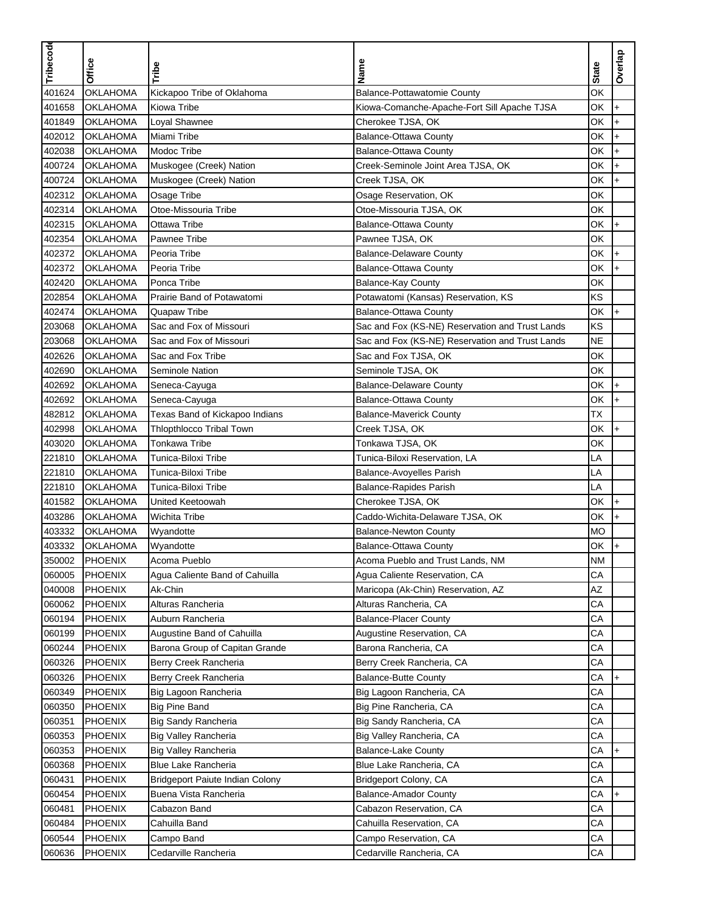| Tribecode        |                                    |                                                    |                                                                            |              |           |
|------------------|------------------------------------|----------------------------------------------------|----------------------------------------------------------------------------|--------------|-----------|
|                  | Office                             | Tribe                                              | Name                                                                       | <b>State</b> | Overlap   |
|                  |                                    |                                                    |                                                                            |              |           |
| 401624           | <b>OKLAHOMA</b><br><b>OKLAHOMA</b> | Kickapoo Tribe of Oklahoma                         | Balance-Pottawatomie County<br>Kiowa-Comanche-Apache-Fort Sill Apache TJSA | OK           |           |
| 401658           | <b>OKLAHOMA</b>                    | Kiowa Tribe                                        |                                                                            | OK<br>ОK     | $\ddot{}$ |
| 401849           |                                    | Loyal Shawnee                                      | Cherokee TJSA, OK                                                          | ОK           | $\ddot{}$ |
| 402012           | <b>OKLAHOMA</b>                    | Miami Tribe                                        | Balance-Ottawa County                                                      | ОK           | $\ddot{}$ |
| 402038           | <b>OKLAHOMA</b><br><b>OKLAHOMA</b> | Modoc Tribe                                        | Balance-Ottawa County                                                      | ОK           | $\ddot{}$ |
| 400724<br>400724 | <b>OKLAHOMA</b>                    | Muskogee (Creek) Nation<br>Muskogee (Creek) Nation | Creek-Seminole Joint Area TJSA, OK                                         | ОK           | $\ddot{}$ |
| 402312           | <b>OKLAHOMA</b>                    | Osage Tribe                                        | Creek TJSA, OK<br>Osage Reservation, OK                                    | ОK           | $\ddot{}$ |
| 402314           | <b>OKLAHOMA</b>                    | Otoe-Missouria Tribe                               | Otoe-Missouria TJSA, OK                                                    | ОK           |           |
| 402315           | <b>OKLAHOMA</b>                    | Ottawa Tribe                                       | <b>Balance-Ottawa County</b>                                               | ОK           | $\ddot{}$ |
| 402354           | <b>OKLAHOMA</b>                    | Pawnee Tribe                                       | Pawnee TJSA, OK                                                            | ОK           |           |
| 402372           | <b>OKLAHOMA</b>                    | Peoria Tribe                                       | <b>Balance-Delaware County</b>                                             | ОK           | $\ddot{}$ |
| 402372           | <b>OKLAHOMA</b>                    | Peoria Tribe                                       | Balance-Ottawa County                                                      | ОK           | $\ddot{}$ |
| 402420           | <b>OKLAHOMA</b>                    | Ponca Tribe                                        | Balance-Kay County                                                         | ОK           |           |
| 202854           | <b>OKLAHOMA</b>                    | Prairie Band of Potawatomi                         | Potawatomi (Kansas) Reservation, KS                                        | ΚS           |           |
| 402474           | <b>OKLAHOMA</b>                    | Quapaw Tribe                                       | <b>Balance-Ottawa County</b>                                               | ОK           | $\ddot{}$ |
| 203068           | <b>OKLAHOMA</b>                    | Sac and Fox of Missouri                            | Sac and Fox (KS-NE) Reservation and Trust Lands                            | KS           |           |
| 203068           | <b>OKLAHOMA</b>                    | Sac and Fox of Missouri                            | Sac and Fox (KS-NE) Reservation and Trust Lands                            | <b>NE</b>    |           |
| 402626           | <b>OKLAHOMA</b>                    | Sac and Fox Tribe                                  | Sac and Fox TJSA, OK                                                       | OK           |           |
| 402690           | <b>OKLAHOMA</b>                    | Seminole Nation                                    | Seminole TJSA, OK                                                          | ОK           |           |
| 402692           | <b>OKLAHOMA</b>                    | Seneca-Cayuga                                      | <b>Balance-Delaware County</b>                                             | ОK           | $\ddot{}$ |
| 402692           | <b>OKLAHOMA</b>                    | Seneca-Cayuga                                      | Balance-Ottawa County                                                      | ОK           | $+$       |
| 482812           | <b>OKLAHOMA</b>                    | Texas Band of Kickapoo Indians                     | <b>Balance-Maverick County</b>                                             | ТX           |           |
| 402998           | <b>OKLAHOMA</b>                    | <b>Thlopthlocco Tribal Town</b>                    | Creek TJSA, OK                                                             | ОK           | $\ddot{}$ |
| 403020           | <b>OKLAHOMA</b>                    | <b>Tonkawa Tribe</b>                               | Tonkawa TJSA, OK                                                           | ОK           |           |
| 221810           | <b>OKLAHOMA</b>                    | Tunica-Biloxi Tribe                                | Tunica-Biloxi Reservation, LA                                              | LA           |           |
| 221810           | <b>OKLAHOMA</b>                    | Tunica-Biloxi Tribe                                | Balance-Avoyelles Parish                                                   | LA           |           |
| 221810           | <b>OKLAHOMA</b>                    | Tunica-Biloxi Tribe                                | Balance-Rapides Parish                                                     | LA           |           |
| 401582           | <b>OKLAHOMA</b>                    | United Keetoowah                                   | Cherokee TJSA, OK                                                          | ОK           | $\ddot{}$ |
| 403286           | <b>OKLAHOMA</b>                    | <b>Wichita Tribe</b>                               | Caddo-Wichita-Delaware TJSA, OK                                            | ОK           | $\ddot{}$ |
| 403332           | <b>OKLAHOMA</b>                    | Wyandotte                                          | <b>Balance-Newton County</b>                                               | <b>MO</b>    |           |
| 403332           | <b>OKLAHOMA</b>                    | Wyandotte                                          | <b>Balance-Ottawa County</b>                                               | ОK           | $\ddot{}$ |
| 350002           | PHOENIX                            | Acoma Pueblo                                       | Acoma Pueblo and Trust Lands, NM                                           | NM           |           |
| 060005           | <b>PHOENIX</b>                     | Agua Caliente Band of Cahuilla                     | Agua Caliente Reservation, CA                                              | CA           |           |
| 040008           | <b>PHOENIX</b>                     | Ak-Chin                                            | Maricopa (Ak-Chin) Reservation, AZ                                         | AZ           |           |
| 060062           | <b>PHOENIX</b>                     | Alturas Rancheria                                  | Alturas Rancheria, CA                                                      | СA           |           |
| 060194           | PHOENIX                            | Auburn Rancheria                                   | <b>Balance-Placer County</b>                                               | CA           |           |
| 060199           | <b>PHOENIX</b>                     | Augustine Band of Cahuilla                         | Augustine Reservation, CA                                                  | CA           |           |
| 060244           | <b>PHOENIX</b>                     | Barona Group of Capitan Grande                     | Barona Rancheria, CA                                                       | CA           |           |
| 060326           | <b>PHOENIX</b>                     | Berry Creek Rancheria                              | Berry Creek Rancheria, CA                                                  | СA           |           |
| 060326           | <b>PHOENIX</b>                     | Berry Creek Rancheria                              | <b>Balance-Butte County</b>                                                | СA           | $+$       |
| 060349           | <b>PHOENIX</b>                     | Big Lagoon Rancheria                               | Big Lagoon Rancheria, CA                                                   | СA           |           |
| 060350           | <b>PHOENIX</b>                     | <b>Big Pine Band</b>                               | Big Pine Rancheria, CA                                                     | CA           |           |
| 060351           | <b>PHOENIX</b>                     | Big Sandy Rancheria                                | Big Sandy Rancheria, CA                                                    | CA           |           |
| 060353           | <b>PHOENIX</b>                     | Big Valley Rancheria                               | Big Valley Rancheria, CA                                                   | CA           |           |
| 060353           | <b>PHOENIX</b>                     | <b>Big Valley Rancheria</b>                        | <b>Balance-Lake County</b>                                                 | СA           |           |
| 060368           | <b>PHOENIX</b>                     | Blue Lake Rancheria                                | Blue Lake Rancheria, CA                                                    | CA           |           |
| 060431           | PHOENIX                            | Bridgeport Paiute Indian Colony                    | Bridgeport Colony, CA                                                      | СA           |           |
| 060454           | <b>PHOENIX</b>                     | Buena Vista Rancheria                              | <b>Balance-Amador County</b>                                               | СA           | $+$       |
| 060481           | <b>PHOENIX</b>                     | Cabazon Band                                       | Cabazon Reservation, CA                                                    | СA           |           |
| 060484           | PHOENIX                            | Cahuilla Band                                      | Cahuilla Reservation, CA                                                   | СA           |           |
| 060544           | <b>PHOENIX</b>                     | Campo Band                                         | Campo Reservation, CA                                                      | CA           |           |
| 060636           | <b>PHOENIX</b>                     | Cedarville Rancheria                               | Cedarville Rancheria, CA                                                   | СA           |           |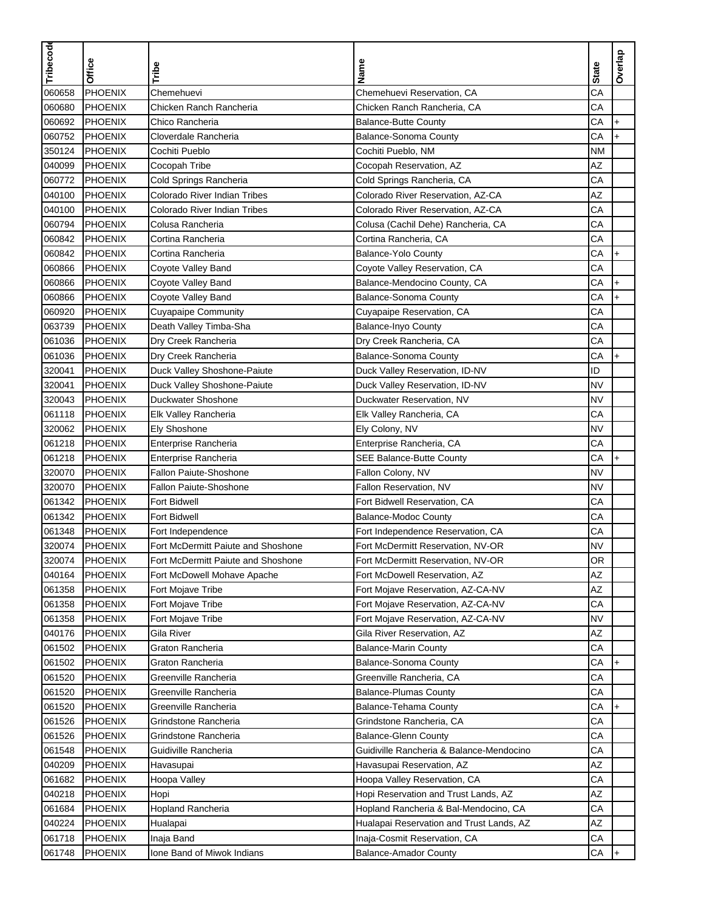| Tribecode |                                  |                                      |                                          |              | Overlap   |
|-----------|----------------------------------|--------------------------------------|------------------------------------------|--------------|-----------|
|           | <b>Office</b>                    | Tribe                                | Name                                     | <b>State</b> |           |
| 060658    | PHOENIX                          | Chemehuevi                           | Chemehuevi Reservation, CA               | CA           |           |
| 060680    | PHOENIX                          | Chicken Ranch Rancheria              | Chicken Ranch Rancheria, CA              | CA           |           |
| 060692    | <b>PHOENIX</b>                   | Chico Rancheria                      | <b>Balance-Butte County</b>              | CA           | $\ddot{}$ |
| 060752    | <b>PHOENIX</b>                   | Cloverdale Rancheria                 | <b>Balance-Sonoma County</b>             | CA           | $\ddot{}$ |
| 350124    | <b>PHOENIX</b>                   | Cochiti Pueblo                       | Cochiti Pueblo, NM                       | ΝM           |           |
| 040099    | <b>PHOENIX</b>                   | Cocopah Tribe                        | Cocopah Reservation, AZ                  | ΑZ           |           |
| 060772    | <b>PHOENIX</b>                   | Cold Springs Rancheria               | Cold Springs Rancheria, CA               | CA           |           |
| 040100    | <b>PHOENIX</b>                   | Colorado River Indian Tribes         | Colorado River Reservation, AZ-CA        | AZ           |           |
| 040100    | PHOENIX                          | Colorado River Indian Tribes         | Colorado River Reservation, AZ-CA        | CA           |           |
| 060794    | PHOENIX                          | Colusa Rancheria                     | Colusa (Cachil Dehe) Rancheria, CA       | CA           |           |
| 060842    | <b>PHOENIX</b>                   | Cortina Rancheria                    | Cortina Rancheria, CA                    | CA           |           |
| 060842    | PHOENIX                          | Cortina Rancheria                    | Balance-Yolo County                      | CA           | $\ddot{}$ |
| 060866    | PHOENIX                          | Coyote Valley Band                   | Coyote Valley Reservation, CA            | CA           |           |
| 060866    | <b>PHOENIX</b>                   | Coyote Valley Band                   | Balance-Mendocino County, CA             | CA           | $+$       |
| 060866    | <b>PHOENIX</b>                   | Coyote Valley Band                   | <b>Balance-Sonoma County</b>             | CA           | $\ddot{}$ |
| 060920    | <b>PHOENIX</b>                   | <b>Cuyapaipe Community</b>           | Cuyapaipe Reservation, CA                | CA           |           |
| 063739    | <b>PHOENIX</b>                   | Death Valley Timba-Sha               | <b>Balance-Inyo County</b>               | CA           |           |
| 061036    | <b>PHOENIX</b>                   | Dry Creek Rancheria                  | Dry Creek Rancheria, CA                  | CA           |           |
| 061036    | PHOENIX                          | Dry Creek Rancheria                  | Balance-Sonoma County                    | CA           | $+$       |
| 320041    | <b>PHOENIX</b>                   | Duck Valley Shoshone-Paiute          | Duck Valley Reservation, ID-NV           | ID           |           |
| 320041    | <b>PHOENIX</b>                   | Duck Valley Shoshone-Paiute          | Duck Valley Reservation, ID-NV           | <b>NV</b>    |           |
| 320043    | <b>PHOENIX</b>                   | Duckwater Shoshone                   | Duckwater Reservation, NV                | <b>NV</b>    |           |
| 061118    | <b>PHOENIX</b>                   | Elk Valley Rancheria                 | Elk Valley Rancheria, CA                 | CA           |           |
| 320062    | <b>PHOENIX</b>                   | Ely Shoshone                         | Ely Colony, NV                           | NV           |           |
| 061218    | <b>PHOENIX</b>                   | Enterprise Rancheria                 | Enterprise Rancheria, CA                 | CA           |           |
| 061218    | <b>PHOENIX</b>                   | Enterprise Rancheria                 | <b>SEE Balance-Butte County</b>          | CA           | $\ddot{}$ |
| 320070    | PHOENIX                          | Fallon Paiute-Shoshone               | Fallon Colony, NV                        | <b>NV</b>    |           |
| 320070    | PHOENIX                          | <b>Fallon Paiute-Shoshone</b>        | Fallon Reservation, NV                   | NV           |           |
| 061342    | PHOENIX                          | Fort Bidwell                         | Fort Bidwell Reservation, CA             | CA           |           |
| 061342    | PHOENIX                          | <b>Fort Bidwell</b>                  | <b>Balance-Modoc County</b>              | CA           |           |
| 061348    | PHOENIX                          | Fort Independence                    | Fort Independence Reservation, CA        | CA           |           |
| 320074    | <b>PHOENIX</b>                   | Fort McDermitt Paiute and Shoshone   | Fort McDermitt Reservation, NV-OR        | NV           |           |
| 320074    | <b>PHOENIX</b>                   | Fort McDermitt Paiute and Shoshone   | Fort McDermitt Reservation, NV-OR        | OR           |           |
| 040164    | <b>PHOENIX</b>                   | Fort McDowell Mohave Apache          | Fort McDowell Reservation, AZ            | AZ           |           |
| 061358    | PHOENIX                          | Fort Mojave Tribe                    | Fort Mojave Reservation, AZ-CA-NV        | AZ           |           |
| 061358    | <b>PHOENIX</b>                   | Fort Mojave Tribe                    | Fort Mojave Reservation, AZ-CA-NV        | CA           |           |
| 061358    | PHOENIX                          | Fort Mojave Tribe                    | Fort Mojave Reservation, AZ-CA-NV        | NV           |           |
| 040176    | <b>PHOENIX</b>                   | Gila River                           | Gila River Reservation, AZ               | AZ           |           |
| 061502    | <b>PHOENIX</b>                   | Graton Rancheria                     | <b>Balance-Marin County</b>              | CA           |           |
| 061502    | <b>PHOENIX</b>                   | Graton Rancheria                     | Balance-Sonoma County                    | СA           | $\ddot{}$ |
| 061520    | <b>PHOENIX</b>                   | Greenville Rancheria                 | Greenville Rancheria, CA                 | CA           |           |
| 061520    | <b>PHOENIX</b>                   | Greenville Rancheria                 | <b>Balance-Plumas County</b>             | СA           |           |
| 061520    | PHOENIX                          | Greenville Rancheria                 | Balance-Tehama County                    | CA           | $+$       |
| 061526    | <b>PHOENIX</b>                   | Grindstone Rancheria                 | Grindstone Rancheria, CA                 | CA           |           |
| 061526    | <b>PHOENIX</b>                   | Grindstone Rancheria                 | <b>Balance-Glenn County</b>              | CA           |           |
| 061548    | <b>PHOENIX</b>                   | Guidiville Rancheria                 | Guidiville Rancheria & Balance-Mendocino | СA           |           |
| 040209    | <b>PHOENIX</b>                   | Havasupai                            | Havasupai Reservation, AZ                | AZ           |           |
| 061682    | <b>PHOENIX</b>                   | Hoopa Valley                         | Hoopa Valley Reservation, CA             | СA           |           |
| 040218    | <b>PHOENIX</b>                   |                                      | Hopi Reservation and Trust Lands, AZ     | ΑZ           |           |
| 061684    |                                  | Hopi                                 |                                          | СA           |           |
| 040224    | <b>PHOENIX</b><br><b>PHOENIX</b> | <b>Hopland Rancheria</b><br>Hualapai | Hopland Rancheria & Bal-Mendocino, CA    | AZ           |           |
|           |                                  |                                      | Hualapai Reservation and Trust Lands, AZ |              |           |
| 061718    | <b>PHOENIX</b>                   | Inaja Band                           | Inaja-Cosmit Reservation, CA             | СA           |           |
| 061748    | <b>PHOENIX</b>                   | Ione Band of Miwok Indians           | <b>Balance-Amador County</b>             | СA           | $+$       |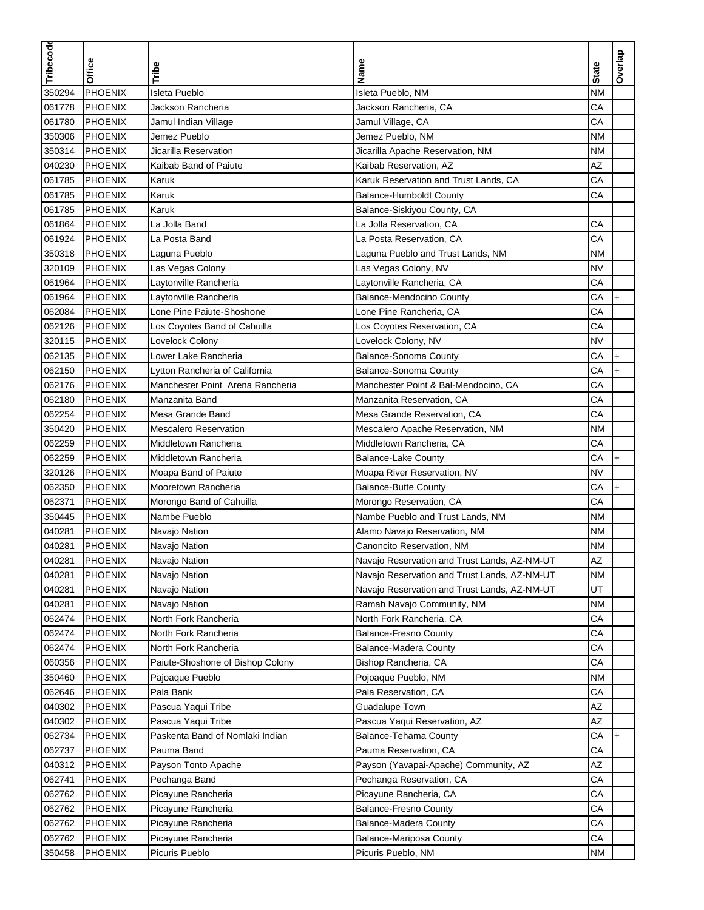| Tribecode | <b>Office</b>  | Tribe                            | Name                                         | <b>State</b> | Overlap   |
|-----------|----------------|----------------------------------|----------------------------------------------|--------------|-----------|
| 350294    | PHOENIX        | <b>Isleta Pueblo</b>             | Isleta Pueblo, NM                            | <b>NM</b>    |           |
| 061778    | <b>PHOENIX</b> | Jackson Rancheria                | Jackson Rancheria, CA                        | CA           |           |
| 061780    | <b>PHOENIX</b> | Jamul Indian Village             | Jamul Village, CA                            | CA           |           |
| 350306    | <b>PHOENIX</b> | Jemez Pueblo                     | Jemez Pueblo, NM                             | <b>NM</b>    |           |
| 350314    | PHOENIX        | Jicarilla Reservation            | Jicarilla Apache Reservation, NM             | <b>NM</b>    |           |
| 040230    | <b>PHOENIX</b> | Kaibab Band of Paiute            | Kaibab Reservation, AZ                       | AZ           |           |
| 061785    | PHOENIX        | Karuk                            | Karuk Reservation and Trust Lands, CA        | CA           |           |
| 061785    | <b>PHOENIX</b> | Karuk                            | <b>Balance-Humboldt County</b>               | CA           |           |
| 061785    | <b>PHOENIX</b> | Karuk                            | Balance-Siskiyou County, CA                  |              |           |
| 061864    | <b>PHOENIX</b> | La Jolla Band                    | La Jolla Reservation, CA                     | CA           |           |
| 061924    | PHOENIX        | La Posta Band                    | La Posta Reservation, CA                     | CA           |           |
| 350318    | <b>PHOENIX</b> | Laguna Pueblo                    | Laguna Pueblo and Trust Lands, NM            | <b>NM</b>    |           |
| 320109    | <b>PHOENIX</b> | Las Vegas Colony                 | Las Vegas Colony, NV                         | <b>NV</b>    |           |
| 061964    | PHOENIX        | Laytonville Rancheria            | Laytonville Rancheria, CA                    | CA           |           |
| 061964    | PHOENIX        | Laytonville Rancheria            | <b>Balance-Mendocino County</b>              | CA           | $\ddot{}$ |
| 062084    | PHOENIX        | Lone Pine Paiute-Shoshone        | Lone Pine Rancheria, CA                      | CA           |           |
| 062126    | PHOENIX        | Los Coyotes Band of Cahuilla     | Los Coyotes Reservation, CA                  | CA           |           |
| 320115    | PHOENIX        | Lovelock Colony                  | Lovelock Colony, NV                          | <b>NV</b>    |           |
| 062135    | <b>PHOENIX</b> | Lower Lake Rancheria             | Balance-Sonoma County                        | CA           | $\ddot{}$ |
| 062150    | <b>PHOENIX</b> | Lytton Rancheria of California   | <b>Balance-Sonoma County</b>                 | CA           | $\ddot{}$ |
| 062176    | <b>PHOENIX</b> | Manchester Point Arena Rancheria | Manchester Point & Bal-Mendocino, CA         | CA           |           |
| 062180    | <b>PHOENIX</b> | Manzanita Band                   | Manzanita Reservation, CA                    | CA           |           |
| 062254    | PHOENIX        | Mesa Grande Band                 | Mesa Grande Reservation, CA                  | CA           |           |
| 350420    | <b>PHOENIX</b> | <b>Mescalero Reservation</b>     | Mescalero Apache Reservation, NM             | ΝM           |           |
| 062259    | <b>PHOENIX</b> | Middletown Rancheria             | Middletown Rancheria, CA                     | CA           |           |
| 062259    | PHOENIX        | Middletown Rancheria             | <b>Balance-Lake County</b>                   | CA           | $\ddot{}$ |
| 320126    | PHOENIX        | Moapa Band of Paiute             | Moapa River Reservation, NV                  | <b>NV</b>    |           |
| 062350    | <b>PHOENIX</b> | Mooretown Rancheria              | <b>Balance-Butte County</b>                  | CA           | $\ddot{}$ |
| 062371    | <b>PHOENIX</b> | Morongo Band of Cahuilla         | Morongo Reservation, CA                      | CA           |           |
| 350445    | PHOENIX        | Nambe Pueblo                     | Nambe Pueblo and Trust Lands, NM             | <b>NM</b>    |           |
| 040281    | PHOENIX        | Navajo Nation                    | Alamo Navajo Reservation, NM                 | <b>NM</b>    |           |
| 040281    | <b>PHOENIX</b> | Navajo Nation                    | Canoncito Reservation, NM                    | ΝM           |           |
| 040281    | PHOENIX        | Navajo Nation                    | Navajo Reservation and Trust Lands, AZ-NM-UT | AZ           |           |
| 040281    | <b>PHOENIX</b> | Navajo Nation                    | Navajo Reservation and Trust Lands, AZ-NM-UT | <b>NM</b>    |           |
| 040281    | <b>PHOENIX</b> | Navajo Nation                    | Navajo Reservation and Trust Lands, AZ-NM-UT | UT           |           |
| 040281    | <b>PHOENIX</b> | Navajo Nation                    | Ramah Navajo Community, NM                   | ΝM           |           |
| 062474    | <b>PHOENIX</b> | North Fork Rancheria             | North Fork Rancheria, CA                     | CA           |           |
| 062474    | <b>PHOENIX</b> | North Fork Rancheria             | <b>Balance-Fresno County</b>                 | CA           |           |
| 062474    | <b>PHOENIX</b> | North Fork Rancheria             | Balance-Madera County                        | CA           |           |
| 060356    | PHOENIX        | Paiute-Shoshone of Bishop Colony | Bishop Rancheria, CA                         | СA           |           |
| 350460    | <b>PHOENIX</b> | Pajoaque Pueblo                  | Pojoaque Pueblo, NM                          | ΝM           |           |
| 062646    | PHOENIX        | Pala Bank                        | Pala Reservation, CA                         | СA           |           |
| 040302    | PHOENIX        | Pascua Yaqui Tribe               | Guadalupe Town                               | AZ           |           |
| 040302    | <b>PHOENIX</b> | Pascua Yaqui Tribe               | Pascua Yaqui Reservation, AZ                 | ΑZ           |           |
| 062734    | <b>PHOENIX</b> | Paskenta Band of Nomlaki Indian  | Balance-Tehama County                        | CA           |           |
| 062737    | <b>PHOENIX</b> | Pauma Band                       | Pauma Reservation, CA                        | СA           |           |
| 040312    | <b>PHOENIX</b> | Payson Tonto Apache              | Payson (Yavapai-Apache) Community, AZ        | AZ           |           |
| 062741    | <b>PHOENIX</b> | Pechanga Band                    | Pechanga Reservation, CA                     | СA           |           |
| 062762    | <b>PHOENIX</b> | Picayune Rancheria               | Picayune Rancheria, CA                       | СA           |           |
| 062762    | <b>PHOENIX</b> | Picayune Rancheria               | <b>Balance-Fresno County</b>                 | СA           |           |
| 062762    | PHOENIX        | Picayune Rancheria               | <b>Balance-Madera County</b>                 | CA           |           |
| 062762    | <b>PHOENIX</b> | Picayune Rancheria               | Balance-Mariposa County                      | СA           |           |
| 350458    | <b>PHOENIX</b> | Picuris Pueblo                   | Picuris Pueblo, NM                           | <b>NM</b>    |           |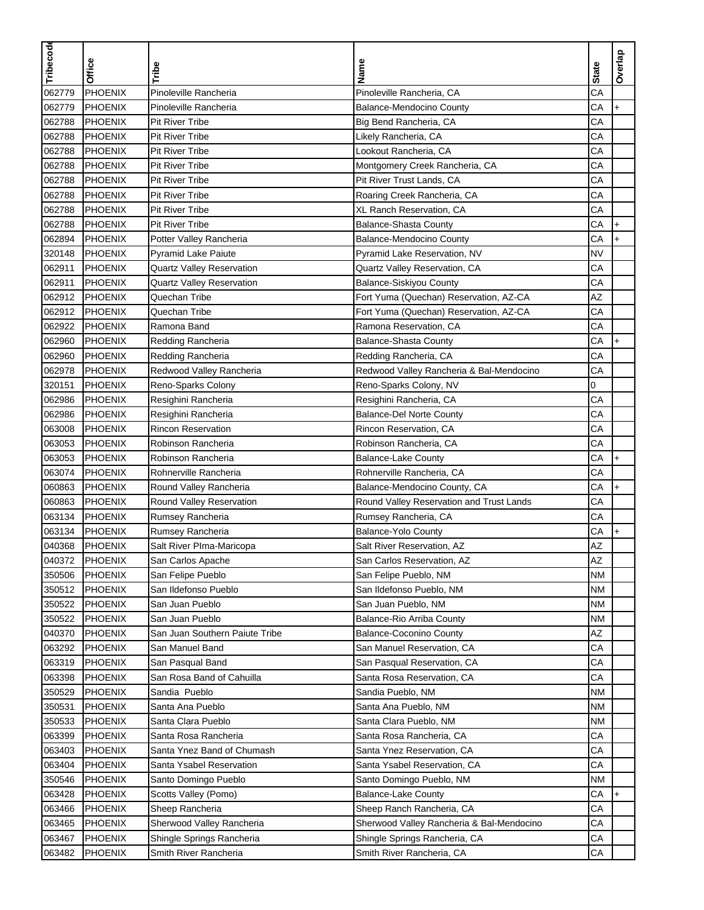|           |                |                                  |                                           |              | Overlap   |
|-----------|----------------|----------------------------------|-------------------------------------------|--------------|-----------|
| Tribecode | <b>Office</b>  | Tribe                            | Name                                      | <b>State</b> |           |
| 062779    | PHOENIX        | Pinoleville Rancheria            | Pinoleville Rancheria, CA                 | CA           |           |
| 062779    | <b>PHOENIX</b> | Pinoleville Rancheria            | Balance-Mendocino County                  | CA           | $\ddot{}$ |
| 062788    | <b>PHOENIX</b> | <b>Pit River Tribe</b>           | Big Bend Rancheria, CA                    | CA           |           |
| 062788    | <b>PHOENIX</b> | <b>Pit River Tribe</b>           | Likely Rancheria, CA                      | CA           |           |
| 062788    | <b>PHOENIX</b> | Pit River Tribe                  | Lookout Rancheria, CA                     | CA           |           |
| 062788    | PHOENIX        | <b>Pit River Tribe</b>           | Montgomery Creek Rancheria, CA            | CA           |           |
| 062788    | PHOENIX        | <b>Pit River Tribe</b>           | Pit River Trust Lands, CA                 | CA           |           |
| 062788    | <b>PHOENIX</b> | Pit River Tribe                  | Roaring Creek Rancheria, CA               | CA           |           |
| 062788    | <b>PHOENIX</b> | <b>Pit River Tribe</b>           | XL Ranch Reservation, CA                  | CA           |           |
| 062788    | <b>PHOENIX</b> | <b>Pit River Tribe</b>           | <b>Balance-Shasta County</b>              | CA           | $+$       |
| 062894    | PHOENIX        | Potter Valley Rancheria          | <b>Balance-Mendocino County</b>           | CA           | $\ddot{}$ |
| 320148    | PHOENIX        | <b>Pyramid Lake Paiute</b>       | Pyramid Lake Reservation, NV              | <b>NV</b>    |           |
| 062911    | PHOENIX        | <b>Quartz Valley Reservation</b> | Quartz Valley Reservation, CA             | CA           |           |
| 062911    | <b>PHOENIX</b> | Quartz Valley Reservation        | Balance-Siskiyou County                   | CA           |           |
| 062912    | PHOENIX        | Quechan Tribe                    | Fort Yuma (Quechan) Reservation, AZ-CA    | AZ           |           |
| 062912    | <b>PHOENIX</b> | Quechan Tribe                    | Fort Yuma (Quechan) Reservation, AZ-CA    | CA           |           |
| 062922    | PHOENIX        | Ramona Band                      | Ramona Reservation, CA                    | CA           |           |
| 062960    | <b>PHOENIX</b> | Redding Rancheria                | <b>Balance-Shasta County</b>              | CA           | $\ddot{}$ |
| 062960    | PHOENIX        | Redding Rancheria                | Redding Rancheria, CA                     | CA           |           |
| 062978    | <b>PHOENIX</b> | Redwood Valley Rancheria         | Redwood Valley Rancheria & Bal-Mendocino  | CA           |           |
| 320151    | PHOENIX        | Reno-Sparks Colony               | Reno-Sparks Colony, NV                    | 0            |           |
| 062986    | PHOENIX        | Resighini Rancheria              | Resighini Rancheria, CA                   | CA           |           |
| 062986    | PHOENIX        | Resighini Rancheria              | <b>Balance-Del Norte County</b>           | CA           |           |
| 063008    | <b>PHOENIX</b> | <b>Rincon Reservation</b>        | Rincon Reservation, CA                    | CA           |           |
| 063053    | <b>PHOENIX</b> | Robinson Rancheria               | Robinson Rancheria, CA                    | CA           |           |
| 063053    | <b>PHOENIX</b> | Robinson Rancheria               | <b>Balance-Lake County</b>                | CA           | $\ddot{}$ |
| 063074    | PHOENIX        | Rohnerville Rancheria            | Rohnerville Rancheria, CA                 | CA           |           |
| 060863    | <b>PHOENIX</b> | Round Valley Rancheria           | Balance-Mendocino County, CA              | CA           | $\ddot{}$ |
| 060863    | PHOENIX        | Round Valley Reservation         | Round Valley Reservation and Trust Lands  | CA           |           |
| 063134    | PHOENIX        | Rumsey Rancheria                 | Rumsey Rancheria, CA                      | CA           |           |
| 063134    | PHOENIX        | Rumsey Rancheria                 | Balance-Yolo County                       | CA           | $\ddot{}$ |
| 040368    | <b>PHOENIX</b> | Salt River Plma-Maricopa         | Salt River Reservation, AZ                | ΑZ           |           |
| 040372    | PHOENIX        | San Carlos Apache                | San Carlos Reservation, AZ                | AZ           |           |
| 350506    | <b>PHOENIX</b> | San Felipe Pueblo                | San Felipe Pueblo, NM                     | <b>NM</b>    |           |
| 350512    | <b>PHOENIX</b> | San Ildefonso Pueblo             | San Ildefonso Pueblo, NM                  | <b>NM</b>    |           |
| 350522    | <b>PHOENIX</b> | San Juan Pueblo                  | San Juan Pueblo, NM                       | ΝM           |           |
| 350522    | <b>PHOENIX</b> | San Juan Pueblo                  | Balance-Rio Arriba County                 | NM           |           |
| 040370    | <b>PHOENIX</b> | San Juan Southern Paiute Tribe   | <b>Balance-Coconino County</b>            | AZ           |           |
| 063292    | <b>PHOENIX</b> | San Manuel Band                  | San Manuel Reservation, CA                | CA           |           |
| 063319    | <b>PHOENIX</b> | San Pasqual Band                 | San Pasqual Reservation, CA               | СA           |           |
| 063398    | <b>PHOENIX</b> | San Rosa Band of Cahuilla        | Santa Rosa Reservation, CA                | CA           |           |
| 350529    | <b>PHOENIX</b> | Sandia Pueblo                    | Sandia Pueblo, NM                         | ΝM           |           |
| 350531    | PHOENIX        | Santa Ana Pueblo                 | Santa Ana Pueblo, NM                      | <b>NM</b>    |           |
| 350533    | <b>PHOENIX</b> | Santa Clara Pueblo               | Santa Clara Pueblo, NM                    | ΝM           |           |
| 063399    | <b>PHOENIX</b> | Santa Rosa Rancheria             | Santa Rosa Rancheria, CA                  | СA           |           |
| 063403    | <b>PHOENIX</b> | Santa Ynez Band of Chumash       | Santa Ynez Reservation, CA                | СA           |           |
| 063404    | <b>PHOENIX</b> | Santa Ysabel Reservation         | Santa Ysabel Reservation, CA              | CA           |           |
| 350546    | <b>PHOENIX</b> | Santo Domingo Pueblo             | Santo Domingo Pueblo, NM                  | ΝM           |           |
| 063428    | <b>PHOENIX</b> | Scotts Valley (Pomo)             | Balance-Lake County                       | СA           | $+$       |
| 063466    | <b>PHOENIX</b> | Sheep Rancheria                  | Sheep Ranch Rancheria, CA                 | СA           |           |
| 063465    | <b>PHOENIX</b> | Sherwood Valley Rancheria        | Sherwood Valley Rancheria & Bal-Mendocino | СA           |           |
| 063467    | <b>PHOENIX</b> | Shingle Springs Rancheria        | Shingle Springs Rancheria, CA             | СA           |           |
| 063482    | <b>PHOENIX</b> | Smith River Rancheria            | Smith River Rancheria, CA                 | СA           |           |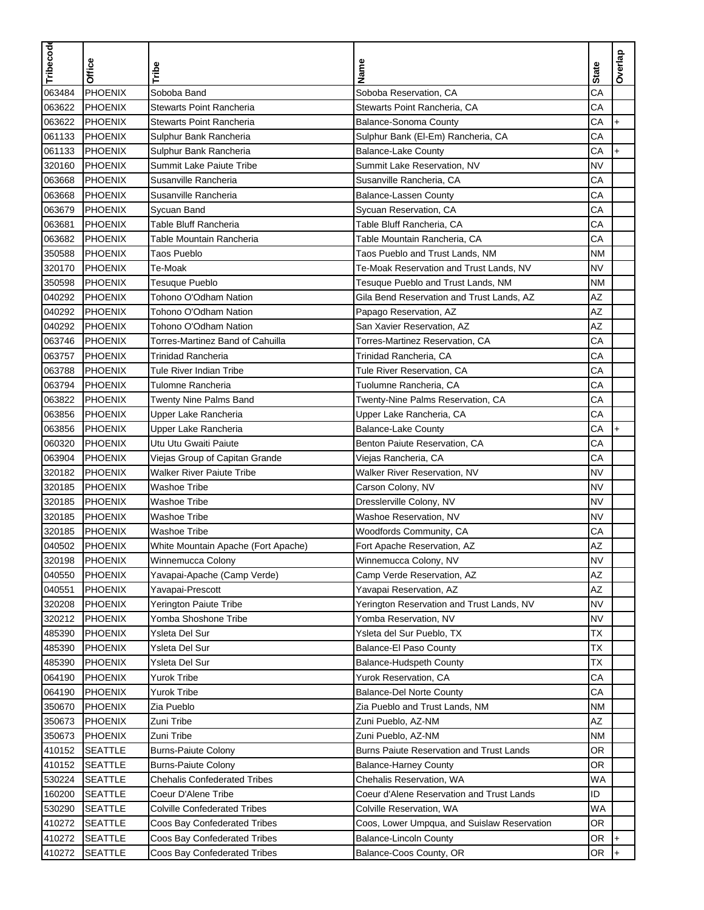| Tribecode |                |                                     |                                             |              |           |
|-----------|----------------|-------------------------------------|---------------------------------------------|--------------|-----------|
|           | <b>Office</b>  | Tribe                               | Name                                        | <b>State</b> | Overlap   |
| 063484    | PHOENIX        | Soboba Band                         | Soboba Reservation, CA                      | CA           |           |
| 063622    | <b>PHOENIX</b> | Stewarts Point Rancheria            | Stewarts Point Rancheria, CA                | CA           |           |
| 063622    | PHOENIX        | Stewarts Point Rancheria            | <b>Balance-Sonoma County</b>                | CA           | $\ddot{}$ |
| 061133    | <b>PHOENIX</b> | Sulphur Bank Rancheria              | Sulphur Bank (El-Em) Rancheria, CA          | CA           |           |
| 061133    | <b>PHOENIX</b> | Sulphur Bank Rancheria              | <b>Balance-Lake County</b>                  | CA           | $\ddot{}$ |
| 320160    | <b>PHOENIX</b> | Summit Lake Paiute Tribe            | Summit Lake Reservation, NV                 | <b>NV</b>    |           |
| 063668    | <b>PHOENIX</b> | Susanville Rancheria                | Susanville Rancheria, CA                    | CA           |           |
| 063668    | <b>PHOENIX</b> | Susanville Rancheria                | <b>Balance-Lassen County</b>                | CA           |           |
| 063679    | PHOENIX        | Sycuan Band                         | Sycuan Reservation, CA                      | CA           |           |
| 063681    | <b>PHOENIX</b> | Table Bluff Rancheria               | Table Bluff Rancheria, CA                   | CA           |           |
| 063682    | <b>PHOENIX</b> | Table Mountain Rancheria            | Table Mountain Rancheria, CA                | CA           |           |
| 350588    | PHOENIX        | Taos Pueblo                         | Taos Pueblo and Trust Lands, NM             | <b>NM</b>    |           |
| 320170    | PHOENIX        | Te-Moak                             | Te-Moak Reservation and Trust Lands, NV     | <b>NV</b>    |           |
| 350598    | <b>PHOENIX</b> | Tesuque Pueblo                      | Tesuque Pueblo and Trust Lands, NM          | <b>NM</b>    |           |
| 040292    | <b>PHOENIX</b> | Tohono O'Odham Nation               | Gila Bend Reservation and Trust Lands, AZ   | AZ           |           |
| 040292    | <b>PHOENIX</b> | Tohono O'Odham Nation               | Papago Reservation, AZ                      | AZ           |           |
| 040292    | PHOENIX        | Tohono O'Odham Nation               | San Xavier Reservation, AZ                  | <b>AZ</b>    |           |
| 063746    | PHOENIX        | Torres-Martinez Band of Cahuilla    | Torres-Martinez Reservation, CA             | CA           |           |
| 063757    | <b>PHOENIX</b> | Trinidad Rancheria                  | Trinidad Rancheria. CA                      | CA           |           |
| 063788    | <b>PHOENIX</b> | Tule River Indian Tribe             | Tule River Reservation, CA                  | CA           |           |
| 063794    | <b>PHOENIX</b> | Tulomne Rancheria                   | Tuolumne Rancheria, CA                      | CA           |           |
| 063822    | <b>PHOENIX</b> | <b>Twenty Nine Palms Band</b>       | Twenty-Nine Palms Reservation, CA           | CA           |           |
| 063856    | <b>PHOENIX</b> | Upper Lake Rancheria                | Upper Lake Rancheria, CA                    | CA           |           |
| 063856    | <b>PHOENIX</b> | Upper Lake Rancheria                | <b>Balance-Lake County</b>                  | CA           | $\ddot{}$ |
| 060320    | <b>PHOENIX</b> | Utu Utu Gwaiti Paiute               | Benton Paiute Reservation, CA               | CA           |           |
| 063904    | <b>PHOENIX</b> | Viejas Group of Capitan Grande      | Viejas Rancheria, CA                        | CA           |           |
| 320182    | PHOENIX        | <b>Walker River Paiute Tribe</b>    | Walker River Reservation, NV                | <b>NV</b>    |           |
| 320185    | PHOENIX        | Washoe Tribe                        | Carson Colony, NV                           | NV           |           |
| 320185    | PHOENIX        | Washoe Tribe                        | Dresslerville Colony, NV                    | <b>NV</b>    |           |
| 320185    | <b>PHOENIX</b> | Washoe Tribe                        | Washoe Reservation, NV                      | <b>NV</b>    |           |
| 320185    | PHOENIX        | Washoe Tribe                        | Woodfords Community, CA                     | CA           |           |
| 040502    | <b>PHOENIX</b> | White Mountain Apache (Fort Apache) | Fort Apache Reservation, AZ                 | ΑZ           |           |
| 320198    | PHOENIX        | Winnemucca Colony                   | Winnemucca Colony, NV                       | NV           |           |
| 040550    | <b>PHOENIX</b> | Yavapai-Apache (Camp Verde)         | Camp Verde Reservation, AZ                  | AZ           |           |
| 040551    | PHOENIX        | Yavapai-Prescott                    | Yavapai Reservation, AZ                     | AZ           |           |
| 320208    | <b>PHOENIX</b> | Yerington Paiute Tribe              | Yerington Reservation and Trust Lands, NV   | <b>NV</b>    |           |
| 320212    | PHOENIX        | Yomba Shoshone Tribe                | Yomba Reservation, NV                       | <b>NV</b>    |           |
| 485390    | <b>PHOENIX</b> | Ysleta Del Sur                      | Ysleta del Sur Pueblo, TX                   | ТX           |           |
| 485390    | <b>PHOENIX</b> | Ysleta Del Sur                      | <b>Balance-El Paso County</b>               | <b>TX</b>    |           |
| 485390    | PHOENIX        | Ysleta Del Sur                      | Balance-Hudspeth County                     | ТX           |           |
| 064190    | <b>PHOENIX</b> | Yurok Tribe                         | Yurok Reservation, CA                       | CA           |           |
| 064190    | PHOENIX        | Yurok Tribe                         | <b>Balance-Del Norte County</b>             | СA           |           |
| 350670    | PHOENIX        | Zia Pueblo                          | Zia Pueblo and Trust Lands, NM              | <b>NM</b>    |           |
| 350673    | PHOENIX        | Zuni Tribe                          | Zuni Pueblo, AZ-NM                          | AZ           |           |
| 350673    | <b>PHOENIX</b> | Zuni Tribe                          | Zuni Pueblo, AZ-NM                          | ΝM           |           |
| 410152    | <b>SEATTLE</b> | <b>Burns-Paiute Colony</b>          | Burns Paiute Reservation and Trust Lands    | OR.          |           |
| 410152    | <b>SEATTLE</b> | <b>Burns-Paiute Colony</b>          | <b>Balance-Harney County</b>                | OR           |           |
| 530224    | <b>SEATTLE</b> | <b>Chehalis Confederated Tribes</b> | Chehalis Reservation, WA                    | WA           |           |
| 160200    | <b>SEATTLE</b> | Coeur D'Alene Tribe                 | Coeur d'Alene Reservation and Trust Lands   | ID           |           |
| 530290    | <b>SEATTLE</b> | <b>Colville Confederated Tribes</b> | Colville Reservation, WA                    | WA           |           |
| 410272    | <b>SEATTLE</b> | Coos Bay Confederated Tribes        | Coos, Lower Umpqua, and Suislaw Reservation | OR.          |           |
| 410272    | <b>SEATTLE</b> | Coos Bay Confederated Tribes        | <b>Balance-Lincoln County</b>               | OR           |           |
| 410272    | <b>SEATTLE</b> | Coos Bay Confederated Tribes        | Balance-Coos County, OR                     | OR           | $+$       |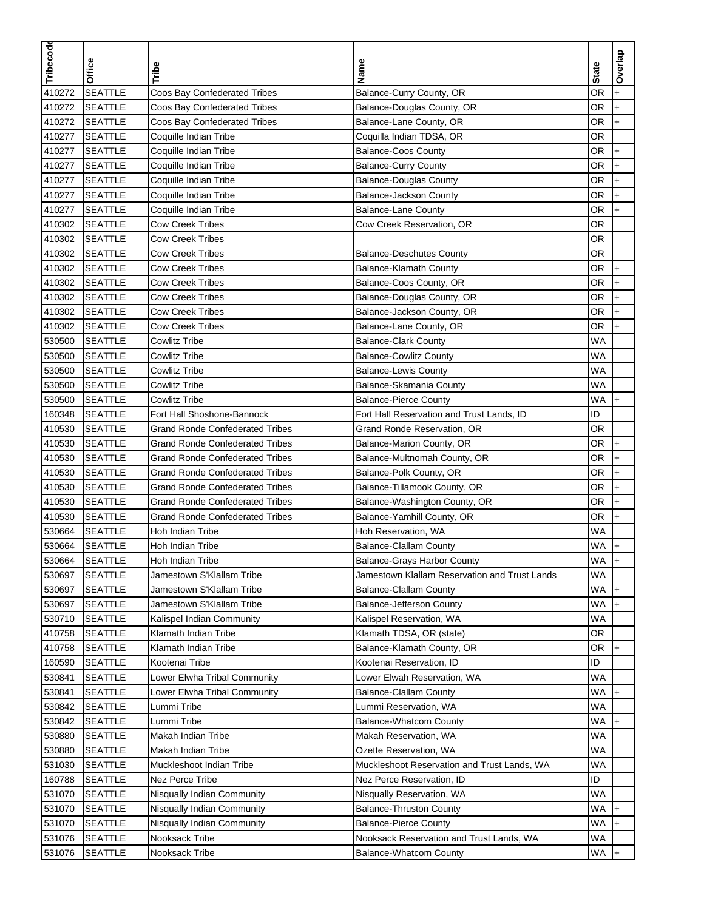| Tribecode | <b>Office</b>  | Tribe                                  | Name                                          | <b>State</b> | Overlap     |
|-----------|----------------|----------------------------------------|-----------------------------------------------|--------------|-------------|
| 410272    | <b>SEATTLE</b> | Coos Bay Confederated Tribes           | Balance-Curry County, OR                      | OR           | $\ddot{}$   |
| 410272    | <b>SEATTLE</b> | Coos Bay Confederated Tribes           | Balance-Douglas County, OR                    | OR           | $\ddotmark$ |
| 410272    | <b>SEATTLE</b> | Coos Bay Confederated Tribes           | Balance-Lane County, OR                       | OR           | $\ddot{}$   |
| 410277    | <b>SEATTLE</b> | Coquille Indian Tribe                  | Coquilla Indian TDSA, OR                      | OR           |             |
| 410277    | <b>SEATTLE</b> | Coquille Indian Tribe                  | <b>Balance-Coos County</b>                    | OR           | $+$         |
| 410277    | <b>SEATTLE</b> | Coquille Indian Tribe                  | <b>Balance-Curry County</b>                   | OR           | $\ddot{}$   |
| 410277    | <b>SEATTLE</b> | Coquille Indian Tribe                  | <b>Balance-Douglas County</b>                 | OR           | $\ddot{}$   |
| 410277    | <b>SEATTLE</b> | Coquille Indian Tribe                  | <b>Balance-Jackson County</b>                 | OR           | $\ddot{}$   |
| 410277    | <b>SEATTLE</b> | Coquille Indian Tribe                  | <b>Balance-Lane County</b>                    | OR           | $\ddot{}$   |
| 410302    | <b>SEATTLE</b> | <b>Cow Creek Tribes</b>                | Cow Creek Reservation, OR                     | <b>OR</b>    |             |
| 410302    | <b>SEATTLE</b> | <b>Cow Creek Tribes</b>                |                                               | OR           |             |
| 410302    | <b>SEATTLE</b> | <b>Cow Creek Tribes</b>                | <b>Balance-Deschutes County</b>               | OR           |             |
| 410302    | <b>SEATTLE</b> | <b>Cow Creek Tribes</b>                | Balance-Klamath County                        | OR           | $\ddot{}$   |
| 410302    | <b>SEATTLE</b> | <b>Cow Creek Tribes</b>                | Balance-Coos County, OR                       | OR           | $\ddot{}$   |
| 410302    | <b>SEATTLE</b> | <b>Cow Creek Tribes</b>                | Balance-Douglas County, OR                    | OR           | $\ddot{}$   |
| 410302    | <b>SEATTLE</b> | <b>Cow Creek Tribes</b>                | Balance-Jackson County, OR                    | OR           | $\ddot{}$   |
| 410302    | <b>SEATTLE</b> | <b>Cow Creek Tribes</b>                | Balance-Lane County, OR                       | OR           | $\ddot{}$   |
| 530500    | <b>SEATTLE</b> | <b>Cowlitz Tribe</b>                   | <b>Balance-Clark County</b>                   | <b>WA</b>    |             |
| 530500    | <b>SEATTLE</b> | <b>Cowlitz Tribe</b>                   | <b>Balance-Cowlitz County</b>                 | <b>WA</b>    |             |
| 530500    | <b>SEATTLE</b> | <b>Cowlitz Tribe</b>                   | <b>Balance-Lewis County</b>                   | <b>WA</b>    |             |
| 530500    | <b>SEATTLE</b> | <b>Cowlitz Tribe</b>                   | Balance-Skamania County                       | WA           |             |
| 530500    | <b>SEATTLE</b> | <b>Cowlitz Tribe</b>                   | <b>Balance-Pierce County</b>                  | WA           | $\ddot{}$   |
| 160348    | <b>SEATTLE</b> | Fort Hall Shoshone-Bannock             | Fort Hall Reservation and Trust Lands, ID     | ID           |             |
| 410530    | <b>SEATTLE</b> | <b>Grand Ronde Confederated Tribes</b> | Grand Ronde Reservation, OR                   | OR           |             |
| 410530    | <b>SEATTLE</b> | <b>Grand Ronde Confederated Tribes</b> | Balance-Marion County, OR                     | OR           | $\ddot{}$   |
| 410530    | <b>SEATTLE</b> | <b>Grand Ronde Confederated Tribes</b> | Balance-Multnomah County, OR                  | OR           | $\ddot{}$   |
| 410530    | <b>SEATTLE</b> | <b>Grand Ronde Confederated Tribes</b> | Balance-Polk County, OR                       | OR           | $\ddotmark$ |
| 410530    | <b>SEATTLE</b> | <b>Grand Ronde Confederated Tribes</b> | Balance-Tillamook County, OR                  | OR           | $\ddot{}$   |
| 410530    | <b>SEATTLE</b> | <b>Grand Ronde Confederated Tribes</b> | Balance-Washington County, OR                 | OR           | $\ddot{}$   |
| 410530    | <b>SEATTLE</b> | <b>Grand Ronde Confederated Tribes</b> | Balance-Yamhill County, OR                    | OR           | $\ddot{}$   |
| 530664    | <b>SEATTLE</b> | Hoh Indian Tribe                       | Hoh Reservation, WA                           | WA           |             |
| 530664    | <b>SEATTLE</b> | Hoh Indian Tribe                       | <b>Balance-Clallam County</b>                 | WA           | $\ddot{}$   |
| 530664    | <b>SEATTLE</b> | Hoh Indian Tribe                       | Balance-Grays Harbor County                   | <b>WA</b>    | $ +$        |
| 530697    | <b>SEATTLE</b> | Jamestown S'Klallam Tribe              | Jamestown Klallam Reservation and Trust Lands | <b>WA</b>    |             |
| 530697    | <b>SEATTLE</b> | Jamestown S'Klallam Tribe              | <b>Balance-Clallam County</b>                 | WA           | $+$         |
| 530697    | <b>SEATTLE</b> | Jamestown S'Klallam Tribe              | Balance-Jefferson County                      | WA           | $+$         |
| 530710    | <b>SEATTLE</b> | Kalispel Indian Community              | Kalispel Reservation, WA                      | WA           |             |
| 410758    | <b>SEATTLE</b> | Klamath Indian Tribe                   | Klamath TDSA, OR (state)                      | OR.          |             |
| 410758    | <b>SEATTLE</b> | Klamath Indian Tribe                   | Balance-Klamath County, OR                    | OR.          | l+          |
| 160590    | <b>SEATTLE</b> | Kootenai Tribe                         | Kootenai Reservation, ID                      | ID           |             |
| 530841    | <b>SEATTLE</b> | Lower Elwha Tribal Community           | Lower Elwah Reservation, WA                   | WA           |             |
| 530841    | <b>SEATTLE</b> | Lower Elwha Tribal Community           | <b>Balance-Clallam County</b>                 | WA           | $+$         |
| 530842    | <b>SEATTLE</b> | Lummi Tribe                            | Lummi Reservation, WA                         | <b>WA</b>    |             |
| 530842    | <b>SEATTLE</b> | Lummi Tribe                            | <b>Balance-Whatcom County</b>                 | WA           | $+$         |
| 530880    | <b>SEATTLE</b> | Makah Indian Tribe                     | Makah Reservation, WA                         | WA           |             |
| 530880    | <b>SEATTLE</b> | Makah Indian Tribe                     | Ozette Reservation, WA                        | WA           |             |
| 531030    | <b>SEATTLE</b> | Muckleshoot Indian Tribe               | Muckleshoot Reservation and Trust Lands, WA   | <b>WA</b>    |             |
| 160788    | <b>SEATTLE</b> | Nez Perce Tribe                        | Nez Perce Reservation, ID                     | ID           |             |
| 531070    | <b>SEATTLE</b> | Nisqually Indian Community             | Nisqually Reservation, WA                     | WA           |             |
| 531070    | <b>SEATTLE</b> | Nisqually Indian Community             | <b>Balance-Thruston County</b>                | WA           | $+$         |
| 531070    | <b>SEATTLE</b> | Nisqually Indian Community             | <b>Balance-Pierce County</b>                  | <b>WA</b>    | $+$         |
| 531076    | <b>SEATTLE</b> | Nooksack Tribe                         | Nooksack Reservation and Trust Lands, WA      | WA           |             |
| 531076    | <b>SEATTLE</b> | Nooksack Tribe                         | <b>Balance-Whatcom County</b>                 | WA           | l+          |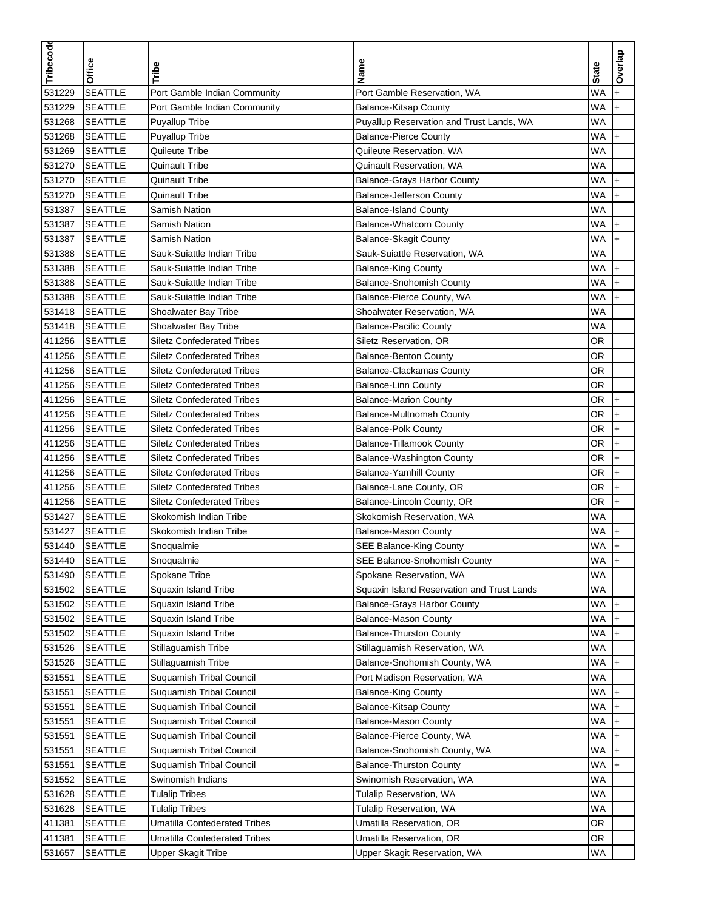| Tribecode | Office         | Tribe                               | Name                                       | <b>State</b> | Overlap   |
|-----------|----------------|-------------------------------------|--------------------------------------------|--------------|-----------|
| 531229    | <b>SEATTLE</b> | Port Gamble Indian Community        | Port Gamble Reservation, WA                | <b>WA</b>    | ÷.        |
| 531229    | <b>SEATTLE</b> | Port Gamble Indian Community        | <b>Balance-Kitsap County</b>               | <b>WA</b>    | $\ddot{}$ |
| 531268    | <b>SEATTLE</b> | Puyallup Tribe                      | Puyallup Reservation and Trust Lands, WA   | <b>WA</b>    |           |
| 531268    | <b>SEATTLE</b> | Puyallup Tribe                      | <b>Balance-Pierce County</b>               | <b>WA</b>    | $+$       |
| 531269    | <b>SEATTLE</b> | Quileute Tribe                      | Quileute Reservation, WA                   | <b>WA</b>    |           |
| 531270    | <b>SEATTLE</b> | <b>Quinault Tribe</b>               | Quinault Reservation, WA                   | <b>WA</b>    |           |
| 531270    | <b>SEATTLE</b> | <b>Quinault Tribe</b>               | Balance-Grays Harbor County                | WA           | $\ddot{}$ |
| 531270    | <b>SEATTLE</b> | <b>Quinault Tribe</b>               | <b>Balance-Jefferson County</b>            | WA           | $\ddot{}$ |
| 531387    | <b>SEATTLE</b> | <b>Samish Nation</b>                | <b>Balance-Island County</b>               | WA           |           |
| 531387    | <b>SEATTLE</b> | <b>Samish Nation</b>                | <b>Balance-Whatcom County</b>              | <b>WA</b>    | $\ddot{}$ |
| 531387    | <b>SEATTLE</b> | <b>Samish Nation</b>                | <b>Balance-Skagit County</b>               | <b>WA</b>    | $\ddot{}$ |
| 531388    | <b>SEATTLE</b> | Sauk-Suiattle Indian Tribe          | Sauk-Suiattle Reservation, WA              | WA           |           |
| 531388    | <b>SEATTLE</b> | Sauk-Suiattle Indian Tribe          | <b>Balance-King County</b>                 | <b>WA</b>    | $\ddot{}$ |
| 531388    | <b>SEATTLE</b> | Sauk-Suiattle Indian Tribe          | Balance-Snohomish County                   | <b>WA</b>    | $\ddot{}$ |
| 531388    | <b>SEATTLE</b> | Sauk-Suiattle Indian Tribe          | Balance-Pierce County, WA                  | WA           | $\ddot{}$ |
| 531418    | <b>SEATTLE</b> | Shoalwater Bay Tribe                | Shoalwater Reservation, WA                 | WA           |           |
| 531418    | <b>SEATTLE</b> | Shoalwater Bay Tribe                | <b>Balance-Pacific County</b>              | WA           |           |
| 411256    | <b>SEATTLE</b> | <b>Siletz Confederated Tribes</b>   | Siletz Reservation, OR                     | <b>OR</b>    |           |
| 411256    | <b>SEATTLE</b> | <b>Siletz Confederated Tribes</b>   | <b>Balance-Benton County</b>               | <b>OR</b>    |           |
| 411256    | <b>SEATTLE</b> | <b>Siletz Confederated Tribes</b>   | <b>Balance-Clackamas County</b>            | OR           |           |
| 411256    | <b>SEATTLE</b> | <b>Siletz Confederated Tribes</b>   | <b>Balance-Linn County</b>                 | OR           |           |
| 411256    | <b>SEATTLE</b> | <b>Siletz Confederated Tribes</b>   | <b>Balance-Marion County</b>               | OR           | $\ddot{}$ |
| 411256    | <b>SEATTLE</b> | <b>Siletz Confederated Tribes</b>   | Balance-Multnomah County                   | OR           | $\ddot{}$ |
| 411256    | <b>SEATTLE</b> | <b>Siletz Confederated Tribes</b>   | <b>Balance-Polk County</b>                 | OR           | $\ddot{}$ |
| 411256    | <b>SEATTLE</b> | <b>Siletz Confederated Tribes</b>   | <b>Balance-Tillamook County</b>            | OR           | $\ddot{}$ |
| 411256    | <b>SEATTLE</b> | <b>Siletz Confederated Tribes</b>   | Balance-Washington County                  | OR           | $\ddot{}$ |
| 411256    | <b>SEATTLE</b> | <b>Siletz Confederated Tribes</b>   | <b>Balance-Yamhill County</b>              | OR           | $\ddot{}$ |
| 411256    | <b>SEATTLE</b> | <b>Siletz Confederated Tribes</b>   | Balance-Lane County, OR                    | OR           | $\ddot{}$ |
| 411256    | <b>SEATTLE</b> | <b>Siletz Confederated Tribes</b>   | Balance-Lincoln County, OR                 | OR           | $\ddot{}$ |
| 531427    | <b>SEATTLE</b> | Skokomish Indian Tribe              | Skokomish Reservation, WA                  | <b>WA</b>    |           |
| 531427    | <b>SEATTLE</b> | Skokomish Indian Tribe              | <b>Balance-Mason County</b>                | WA           | $\ddot{}$ |
| 531440    | <b>SEATTLE</b> | Snoqualmie                          | <b>SEE Balance-King County</b>             | WA           | $\ddot{}$ |
| 531440    | <b>SEATTLE</b> | Snoqualmie                          | SEE Balance-Snohomish County               | WA.          | $ +$      |
| 531490    | <b>SEATTLE</b> | Spokane Tribe                       | Spokane Reservation, WA                    | WA           |           |
| 531502    | <b>SEATTLE</b> | Squaxin Island Tribe                | Squaxin Island Reservation and Trust Lands | <b>WA</b>    |           |
| 531502    | <b>SEATTLE</b> | Squaxin Island Tribe                | <b>Balance-Grays Harbor County</b>         | WA           | $+$       |
| 531502    | <b>SEATTLE</b> | Squaxin Island Tribe                | <b>Balance-Mason County</b>                | WA           |           |
| 531502    | <b>SEATTLE</b> | Squaxin Island Tribe                | <b>Balance-Thurston County</b>             | WA           | $\ddot{}$ |
| 531526    | <b>SEATTLE</b> | Stillaquamish Tribe                 | Stillaguamish Reservation, WA              | WA           |           |
| 531526    | <b>SEATTLE</b> | Stillaguamish Tribe                 | Balance-Snohomish County, WA               | WA           | $+$       |
| 531551    | <b>SEATTLE</b> | <b>Suquamish Tribal Council</b>     | Port Madison Reservation, WA               | WA           |           |
| 531551    | <b>SEATTLE</b> | <b>Suquamish Tribal Council</b>     | <b>Balance-King County</b>                 | WA           | $\ddot{}$ |
| 531551    | <b>SEATTLE</b> | <b>Suquamish Tribal Council</b>     | <b>Balance-Kitsap County</b>               | WA           | $+$       |
| 531551    | <b>SEATTLE</b> | <b>Suquamish Tribal Council</b>     | <b>Balance-Mason County</b>                | WA           | $+$       |
| 531551    | <b>SEATTLE</b> | <b>Suquamish Tribal Council</b>     | Balance-Pierce County, WA                  | WA           | $+$       |
| 531551    | <b>SEATTLE</b> | Suquamish Tribal Council            | Balance-Snohomish County, WA               | WA           |           |
| 531551    | <b>SEATTLE</b> | Suquamish Tribal Council            | <b>Balance-Thurston County</b>             | WA           |           |
| 531552    | <b>SEATTLE</b> | Swinomish Indians                   | Swinomish Reservation, WA                  | WA           |           |
| 531628    | <b>SEATTLE</b> | <b>Tulalip Tribes</b>               | Tulalip Reservation, WA                    | WA           |           |
| 531628    | <b>SEATTLE</b> | <b>Tulalip Tribes</b>               | Tulalip Reservation, WA                    | WA           |           |
| 411381    | <b>SEATTLE</b> | <b>Umatilla Confederated Tribes</b> | Umatilla Reservation, OR                   | OR           |           |
| 411381    | <b>SEATTLE</b> | <b>Umatilla Confederated Tribes</b> | Umatilla Reservation, OR                   | OR           |           |
| 531657    | <b>SEATTLE</b> | <b>Upper Skagit Tribe</b>           | Upper Skagit Reservation, WA               | WA           |           |